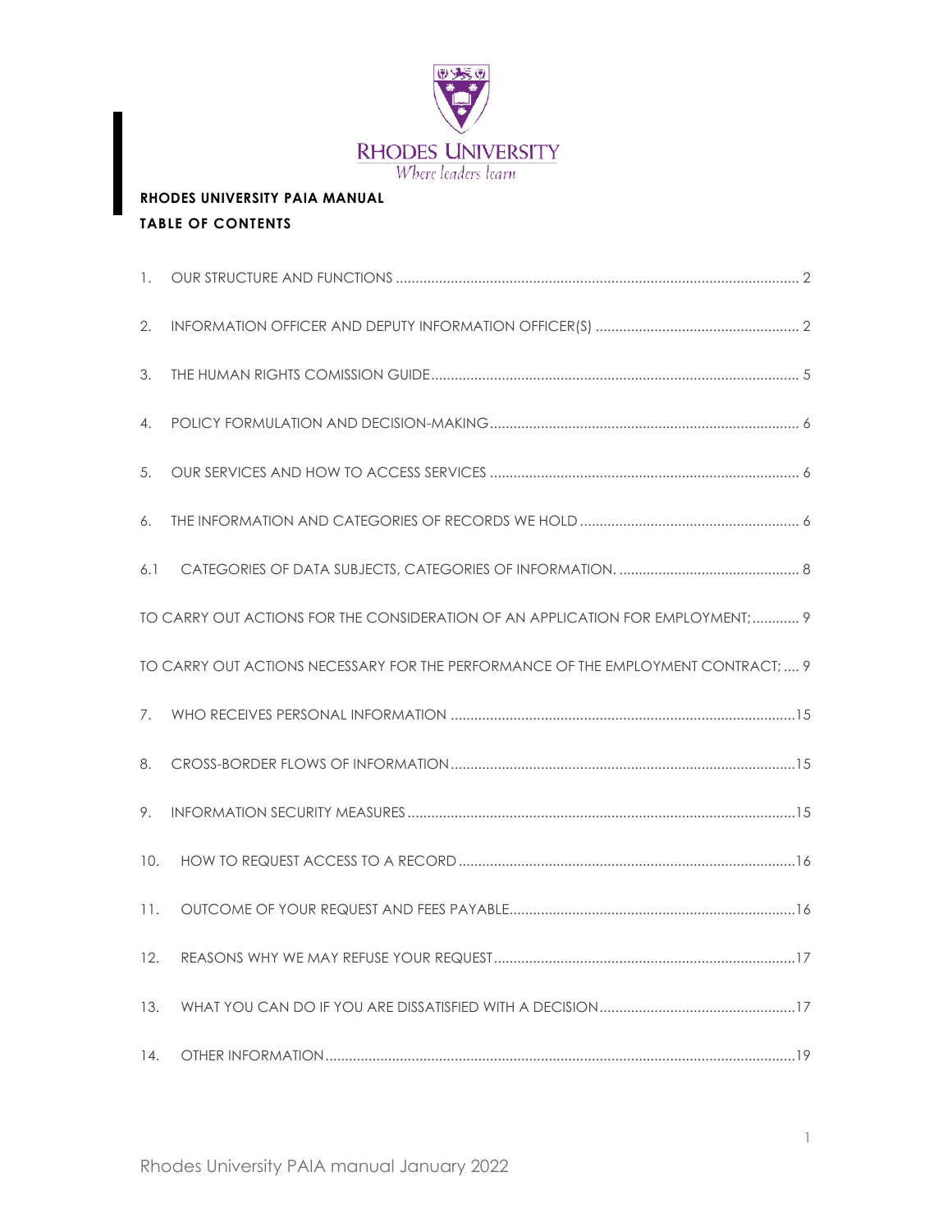

# **RHODES UNIVERSITY PAIA MANUAL TABLE OF CONTENTS**

| 1.  |                                                                                   |
|-----|-----------------------------------------------------------------------------------|
| 2.  |                                                                                   |
| 3.  |                                                                                   |
| 4.  |                                                                                   |
| 5.  |                                                                                   |
| 6.  |                                                                                   |
| 6.1 |                                                                                   |
|     | TO CARRY OUT ACTIONS FOR THE CONSIDERATION OF AN APPLICATION FOR EMPLOYMENT; 9    |
|     | TO CARRY OUT ACTIONS NECESSARY FOR THE PERFORMANCE OF THE EMPLOYMENT CONTRACT;  9 |
| 7.  |                                                                                   |
| 8.  |                                                                                   |
| 9.  |                                                                                   |
| 10. |                                                                                   |
| 11. |                                                                                   |
| 12. |                                                                                   |
| 13. |                                                                                   |
| 14. |                                                                                   |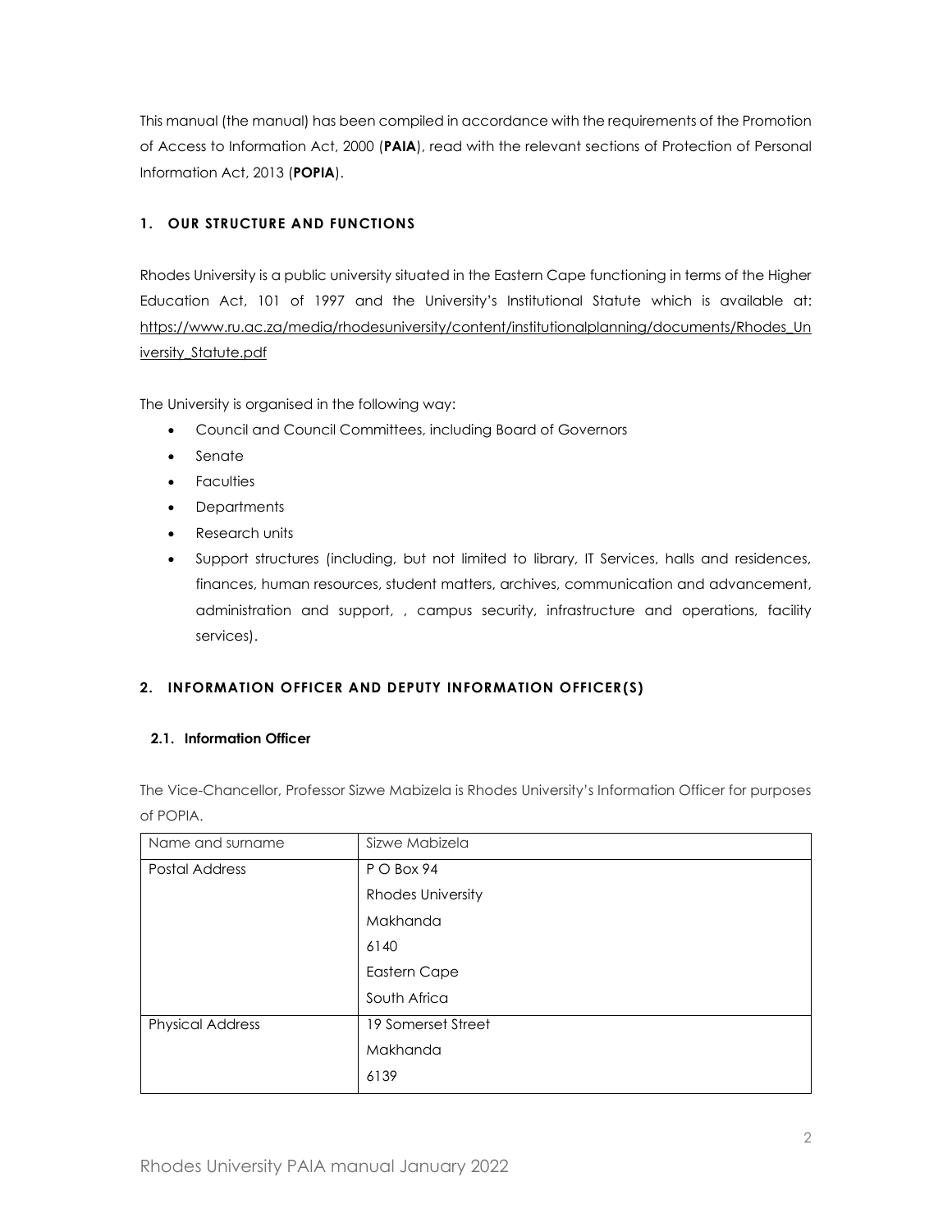This manual (the manual) has been compiled in accordance with the requirements of the Promotion of Access to Information Act, 2000 (**PAIA**), read with the relevant sections of Protection of Personal Information Act, 2013 (**POPIA**).

# <span id="page-1-0"></span>**1. OUR STRUCTURE AND FUNCTIONS**

Rhodes University is a public university situated in the Eastern Cape functioning in terms of the Higher Education Act, 101 of 1997 and the University's Institutional Statute which is available at: [https://www.ru.ac.za/media/rhodesuniversity/content/institutionalplanning/documents/Rhodes\\_Un](https://www.ru.ac.za/media/rhodesuniversity/content/institutionalplanning/documents/Rhodes_University_Statute.pdf) [iversity\\_Statute.pdf](https://www.ru.ac.za/media/rhodesuniversity/content/institutionalplanning/documents/Rhodes_University_Statute.pdf)

The University is organised in the following way:

- Council and Council Committees, including Board of Governors
- Senate
- Faculties
- Departments
- Research units
- Support structures (including, but not limited to library, IT Services, halls and residences, finances, human resources, student matters, archives, communication and advancement, administration and support, , campus security, infrastructure and operations, facility services).

# <span id="page-1-1"></span>**2. INFORMATION OFFICER AND DEPUTY INFORMATION OFFICER(S)**

#### **2.1. Information Officer**

The Vice-Chancellor, Professor Sizwe Mabizela is Rhodes University's Information Officer for purposes of POPIA.

| Name and surname        | Sizwe Mabizela           |
|-------------------------|--------------------------|
| <b>Postal Address</b>   | P O Box 94               |
|                         | <b>Rhodes University</b> |
|                         | Makhanda                 |
|                         | 6140                     |
|                         | <b>Eastern Cape</b>      |
|                         | South Africa             |
| <b>Physical Address</b> | 19 Somerset Street       |
|                         | Makhanda                 |
|                         | 6139                     |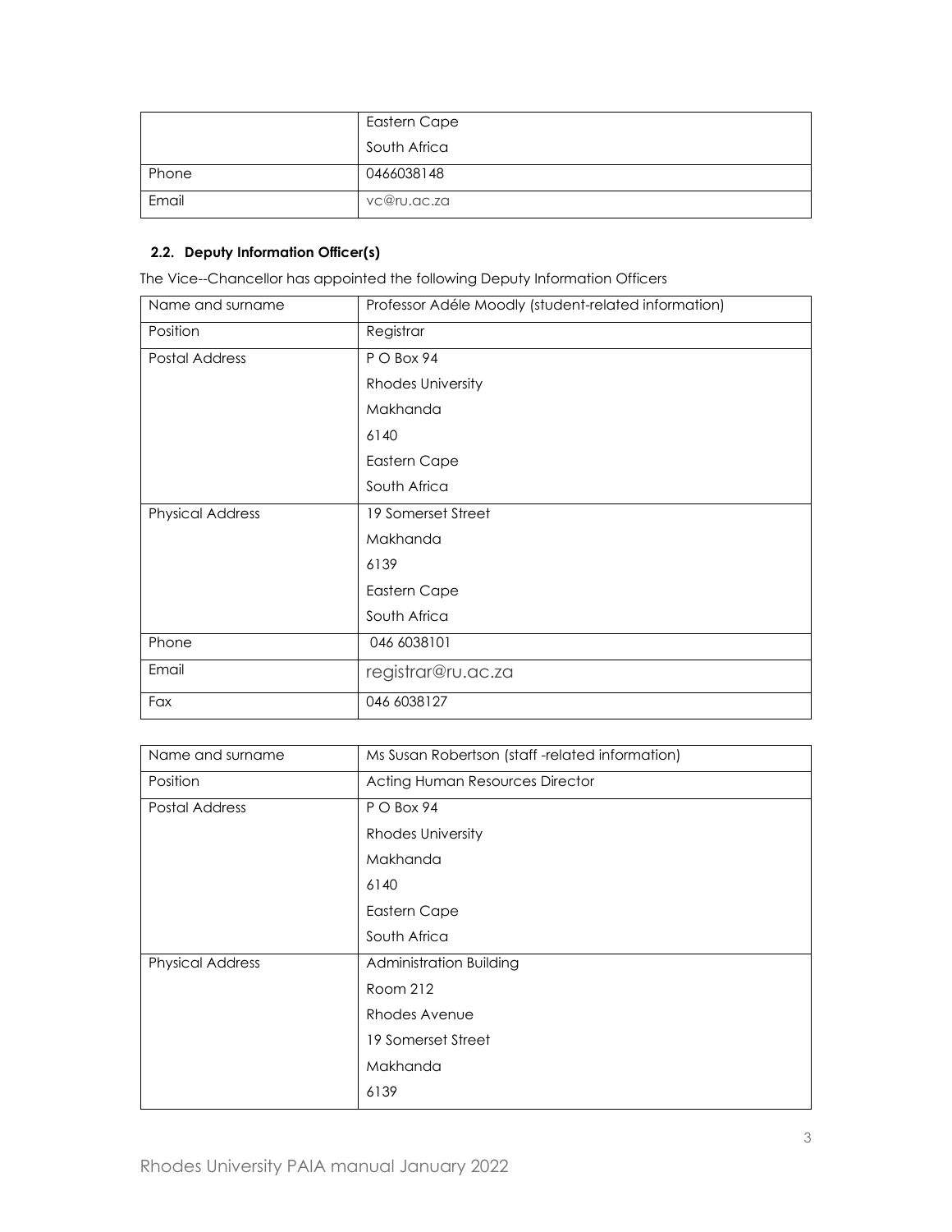|       | Eastern Cape |
|-------|--------------|
|       | South Africa |
| Phone | 0466038148   |
| Email | vc@ru.ac.za  |

### **2.2. Deputy Information Officer(s)**

The Vice--Chancellor has appointed the following Deputy Information Officers

| Name and surname        | Professor Adéle Moodly (student-related information) |
|-------------------------|------------------------------------------------------|
| Position                | Registrar                                            |
| Postal Address          | PO Box 94                                            |
|                         | Rhodes University                                    |
|                         | Makhanda                                             |
|                         | 6140                                                 |
|                         | Eastern Cape                                         |
|                         | South Africa                                         |
| <b>Physical Address</b> | 19 Somerset Street                                   |
|                         | Makhanda                                             |
|                         | 6139                                                 |
|                         | Eastern Cape                                         |
|                         | South Africa                                         |
| Phone                   | 046 6038101                                          |
| Email                   | registrar@ru.ac.za                                   |
| Fax                     | 046 6038127                                          |

| Name and surname        | Ms Susan Robertson (staff-related information) |  |  |
|-------------------------|------------------------------------------------|--|--|
| Position                | Acting Human Resources Director                |  |  |
| Postal Address          | P O Box 94                                     |  |  |
|                         | Rhodes University                              |  |  |
|                         | Makhanda                                       |  |  |
|                         | 6140                                           |  |  |
|                         | Eastern Cape                                   |  |  |
|                         | South Africa                                   |  |  |
| <b>Physical Address</b> | Administration Building                        |  |  |
|                         | Room 212                                       |  |  |
|                         | Rhodes Avenue                                  |  |  |
|                         | 19 Somerset Street                             |  |  |
|                         | Makhanda                                       |  |  |
|                         | 6139                                           |  |  |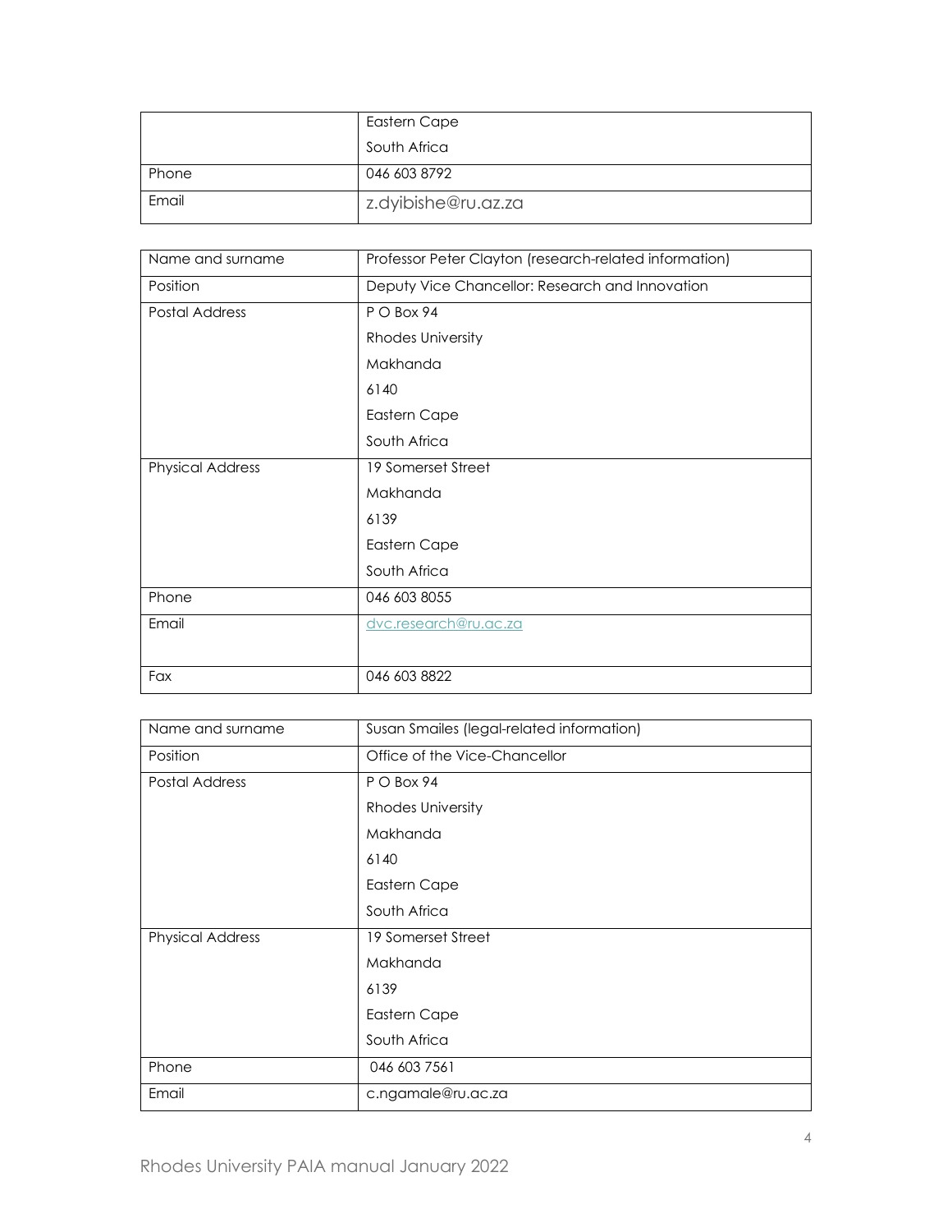|       | Eastern Cape        |
|-------|---------------------|
|       | South Africa        |
| Phone | 046 603 8792        |
| Email | z.dyibishe@ru.az.za |

| Name and surname        | Professor Peter Clayton (research-related information) |  |  |
|-------------------------|--------------------------------------------------------|--|--|
| Position                | Deputy Vice Chancellor: Research and Innovation        |  |  |
| Postal Address          | P O Box 94                                             |  |  |
|                         | Rhodes University                                      |  |  |
|                         | Makhanda                                               |  |  |
|                         | 6140                                                   |  |  |
|                         | Eastern Cape                                           |  |  |
|                         | South Africa                                           |  |  |
| <b>Physical Address</b> | 19 Somerset Street                                     |  |  |
|                         | Makhanda                                               |  |  |
|                         | 6139                                                   |  |  |
|                         | <b>Eastern Cape</b>                                    |  |  |
|                         | South Africa                                           |  |  |
| Phone                   | 046 603 8055                                           |  |  |
| Email                   | dvc.research@ru.ac.za                                  |  |  |
|                         |                                                        |  |  |
| Fax                     | 046 603 8822                                           |  |  |

| Name and surname        | Susan Smailes (legal-related information) |  |  |
|-------------------------|-------------------------------------------|--|--|
| Position                | Office of the Vice-Chancellor             |  |  |
| Postal Address          | P O Box 94                                |  |  |
|                         | <b>Rhodes University</b>                  |  |  |
|                         | Makhanda                                  |  |  |
|                         | 6140                                      |  |  |
|                         | Eastern Cape                              |  |  |
|                         | South Africa                              |  |  |
| <b>Physical Address</b> | 19 Somerset Street                        |  |  |
|                         | Makhanda                                  |  |  |
|                         | 6139                                      |  |  |
|                         | Eastern Cape                              |  |  |
|                         | South Africa                              |  |  |
| Phone                   | 046 603 7561                              |  |  |
| Email                   | c.ngamale@ru.ac.za                        |  |  |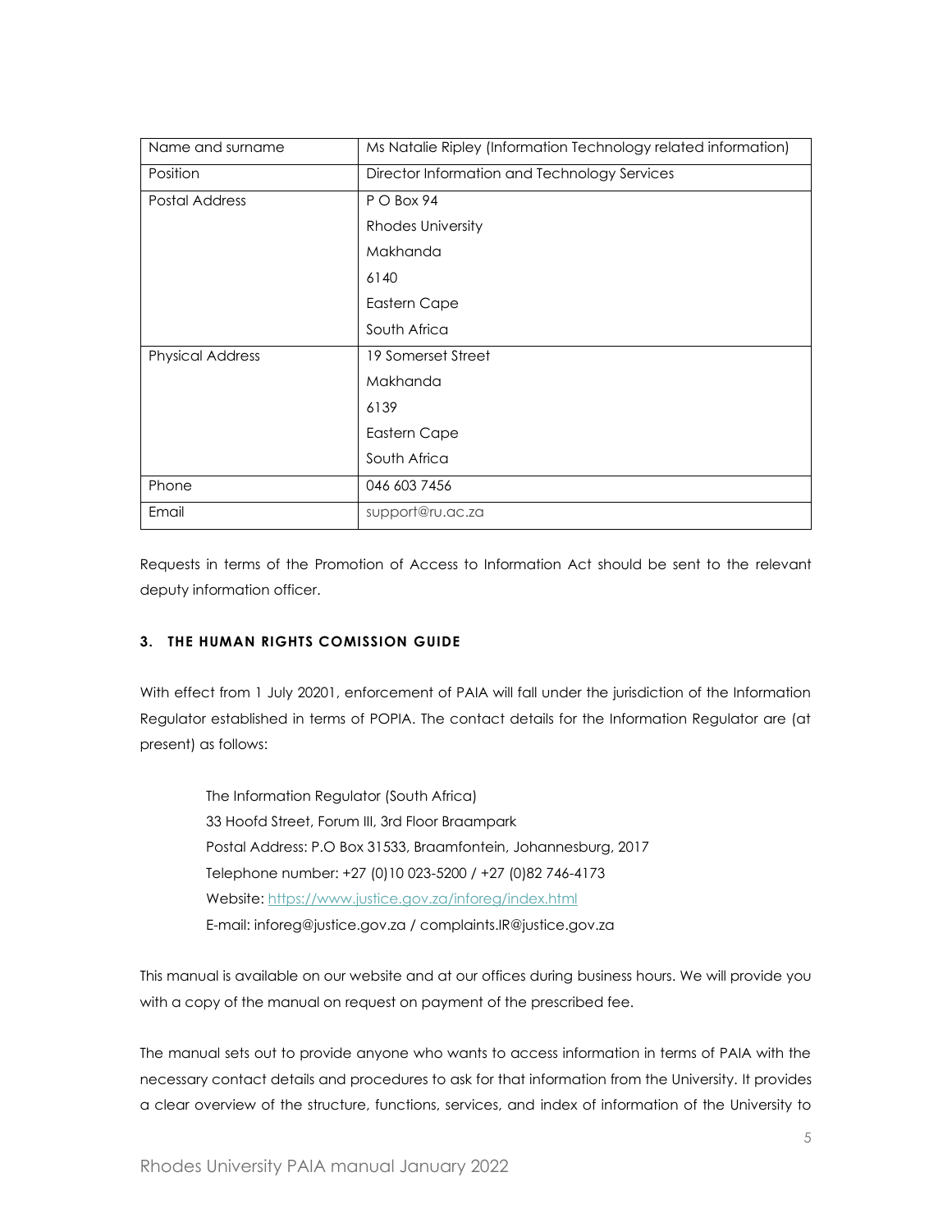| Name and surname        | Ms Natalie Ripley (Information Technology related information) |  |  |
|-------------------------|----------------------------------------------------------------|--|--|
| Position                | Director Information and Technology Services                   |  |  |
| Postal Address          | P O Box 94                                                     |  |  |
|                         | <b>Rhodes University</b>                                       |  |  |
|                         | Makhanda                                                       |  |  |
|                         | 6140                                                           |  |  |
|                         | Eastern Cape                                                   |  |  |
|                         | South Africa                                                   |  |  |
| <b>Physical Address</b> | 19 Somerset Street                                             |  |  |
|                         | Makhanda                                                       |  |  |
|                         | 6139                                                           |  |  |
|                         | Eastern Cape                                                   |  |  |
|                         | South Africa                                                   |  |  |
| Phone                   | 046 603 7456                                                   |  |  |
| Email                   | support@ru.ac.za                                               |  |  |

Requests in terms of the Promotion of Access to Information Act should be sent to the relevant deputy information officer.

# <span id="page-4-0"></span>**3. THE HUMAN RIGHTS COMISSION GUIDE**

With effect from 1 July 20201, enforcement of PAIA will fall under the jurisdiction of the Information Regulator established in terms of POPIA. The contact details for the Information Regulator are (at present) as follows:

The Information Regulator (South Africa) 33 Hoofd Street, Forum III, 3rd Floor Braampark Postal Address: P.O Box 31533, Braamfontein, Johannesburg, 2017 Telephone number: +27 (0)10 023-5200 / +27 (0)82 746-4173 Website[: https://www.justice.gov.za/inforeg/index.html](https://www.justice.gov.za/inforeg/index.html) E-mail[: inforeg@justice.gov.za](mailto:inforeg@justice.gov.za) / [complaints.IR@justice.gov.za](mailto:complaints.IR@justice.gov.za)

This manual is available on our website and at our offices during business hours. We will provide you with a copy of the manual on request on payment of the prescribed fee.

The manual sets out to provide anyone who wants to access information in terms of PAIA with the necessary contact details and procedures to ask for that information from the University. It provides a clear overview of the structure, functions, services, and index of information of the University to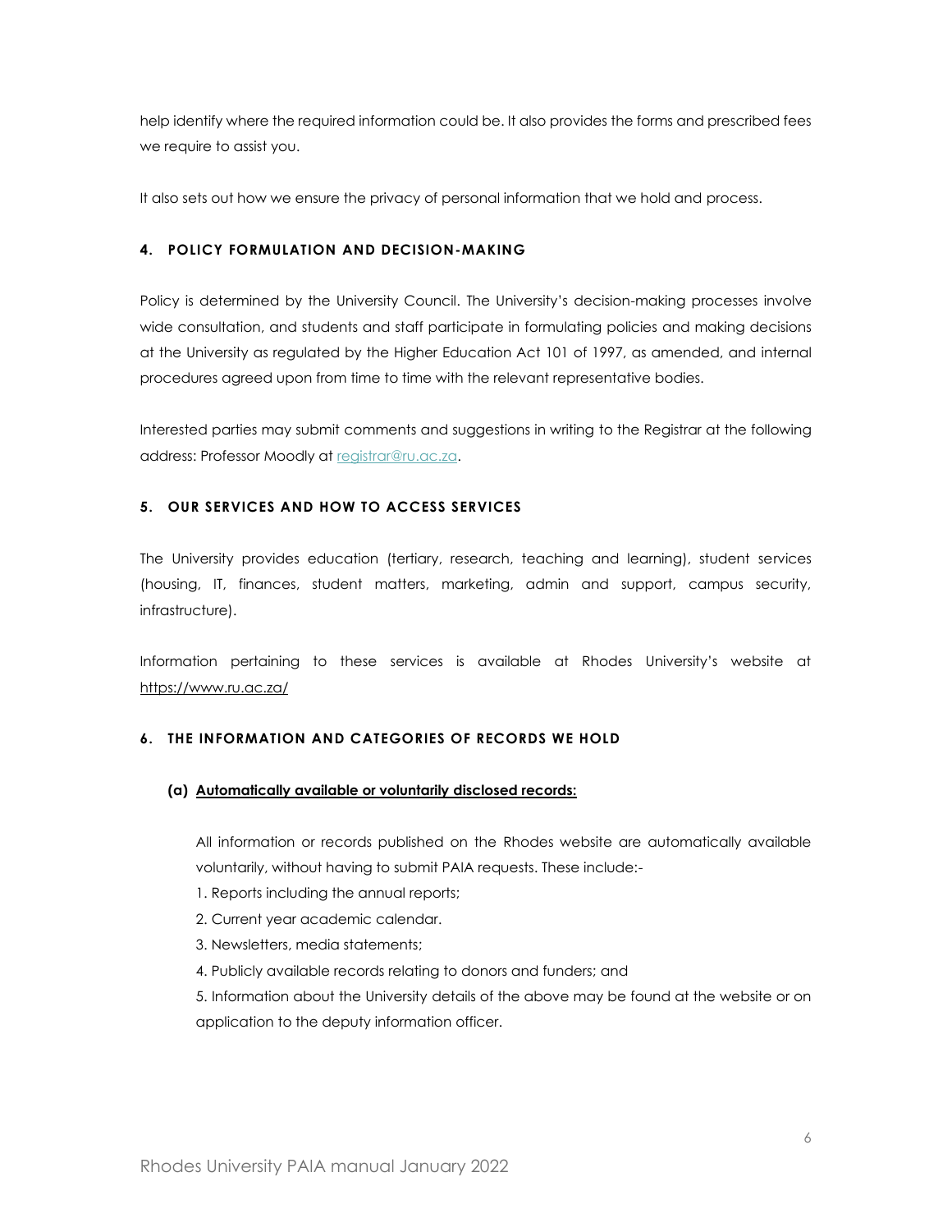help identify where the required information could be. It also provides the forms and prescribed fees we require to assist you.

It also sets out how we ensure the privacy of personal information that we hold and process.

# <span id="page-5-0"></span>**4. POLICY FORMULATION AND DECISION-MAKING**

Policy is determined by the University Council. The University's decision-making processes involve wide consultation, and students and staff participate in formulating policies and making decisions at the University as regulated by the Higher Education Act 101 of 1997, as amended, and internal procedures agreed upon from time to time with the relevant representative bodies.

Interested parties may submit comments and suggestions in writing to the Registrar at the following address: Professor Moodly a[t registrar@ru.ac.za.](mailto:registrar@ru.ac.za)

### <span id="page-5-1"></span>**5. OUR SERVICES AND HOW TO ACCESS SERVICES**

The University provides education (tertiary, research, teaching and learning), student services (housing, IT, finances, student matters, marketing, admin and support, campus security, infrastructure).

Information pertaining to these services is available at Rhodes University's website at <https://www.ru.ac.za/>

# <span id="page-5-2"></span>**6. THE INFORMATION AND CATEGORIES OF RECORDS WE HOLD**

#### **(a) Automatically available or voluntarily disclosed records:**

All information or records published on the Rhodes website are automatically available voluntarily, without having to submit PAIA requests. These include:-

- 1. Reports including the annual reports;
- 2. Current year academic calendar.
- 3. Newsletters, media statements;
- 4. Publicly available records relating to donors and funders; and

5. Information about the University details of the above may be found at the website or on application to the deputy information officer.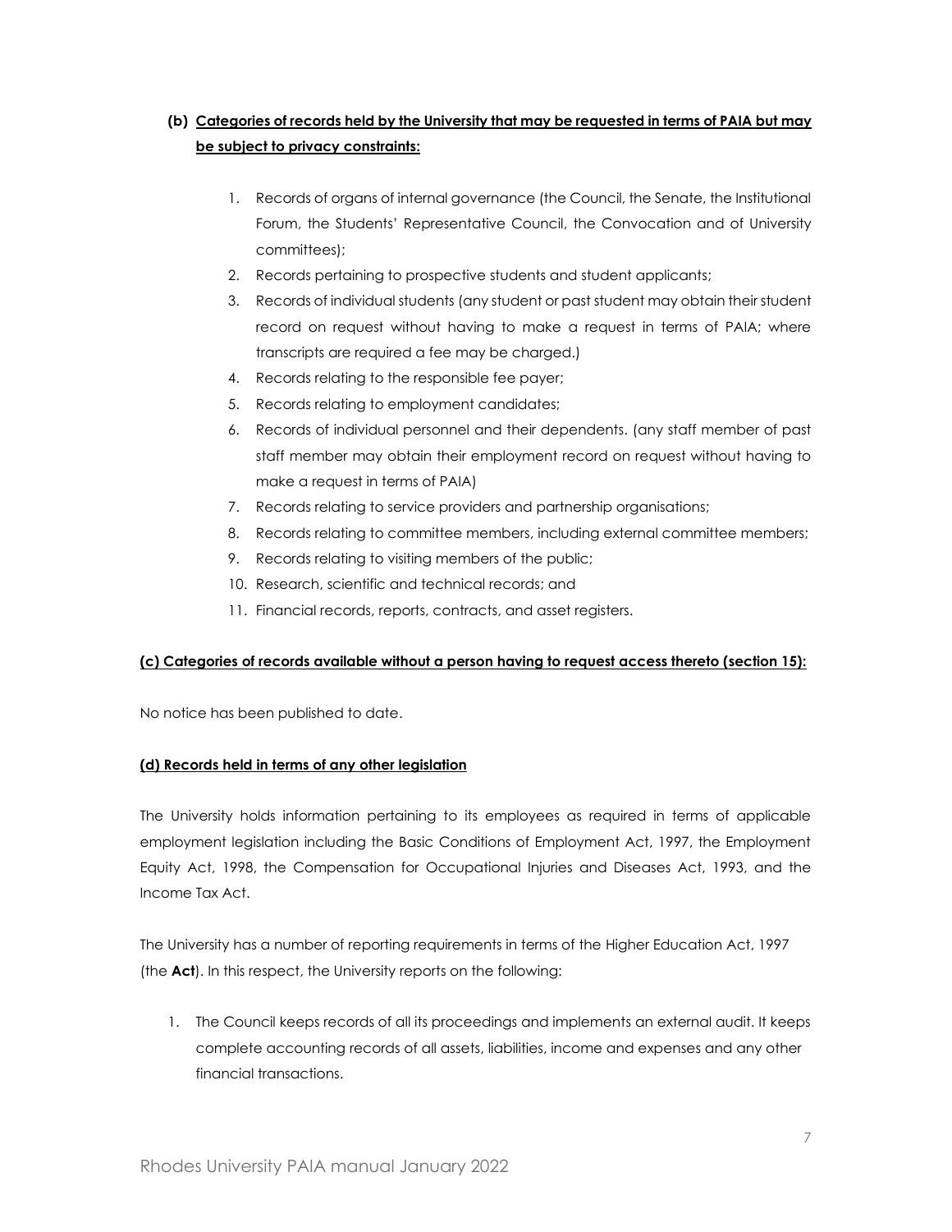# **(b) Categories of records held by the University that may be requested in terms of PAIA but may be subject to privacy constraints:**

- 1. Records of organs of internal governance (the Council, the Senate, the Institutional Forum, the Students' Representative Council, the Convocation and of University committees);
- 2. Records pertaining to prospective students and student applicants;
- 3. Records of individual students (any student or past student may obtain their student record on request without having to make a request in terms of PAIA; where transcripts are required a fee may be charged.)
- 4. Records relating to the responsible fee payer;
- 5. Records relating to employment candidates;
- 6. Records of individual personnel and their dependents. (any staff member of past staff member may obtain their employment record on request without having to make a request in terms of PAIA)
- 7. Records relating to service providers and partnership organisations;
- 8. Records relating to committee members, including external committee members;
- 9. Records relating to visiting members of the public;
- 10. Research, scientific and technical records; and
- 11. Financial records, reports, contracts, and asset registers.

# **(c) Categories of records available without a person having to request access thereto (section 15):**

No notice has been published to date.

# **(d) Records held in terms of any other legislation**

The University holds information pertaining to its employees as required in terms of applicable employment legislation including the Basic Conditions of Employment Act, 1997, the Employment Equity Act, 1998, the Compensation for Occupational Injuries and Diseases Act, 1993, and the Income Tax Act.

The University has a number of reporting requirements in terms of the Higher Education Act, 1997 (the **Act**). In this respect, the University reports on the following:

1. The Council keeps records of all its proceedings and implements an external audit. It keeps complete accounting records of all assets, liabilities, income and expenses and any other financial transactions.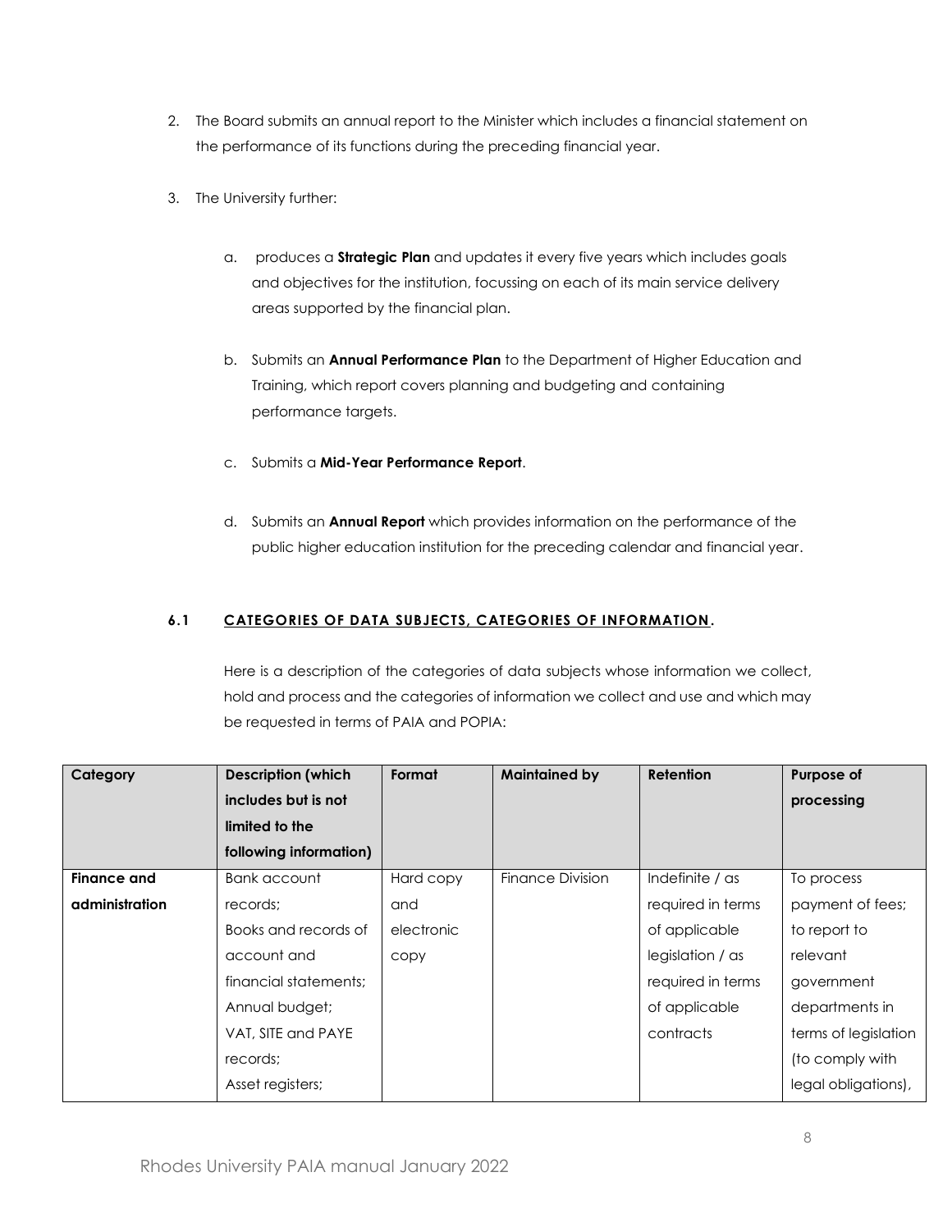- 2. The Board submits an annual report to the Minister which includes a financial statement on the performance of its functions during the preceding financial year.
- 3. The University further:
	- a. produces a **Strategic Plan** and updates it every five years which includes goals and objectives for the institution, focussing on each of its main service delivery areas supported by the financial plan.
	- b. Submits an **Annual Performance Plan** to the Department of Higher Education and Training, which report covers planning and budgeting and containing performance targets.
	- c. Submits a **Mid-Year Performance Report**.
	- d. Submits an **Annual Report** which provides information on the performance of the public higher education institution for the preceding calendar and financial year.

# <span id="page-7-0"></span>**6.1 CATEGORIES OF DATA SUBJECTS, CATEGORIES OF INFORMATION.**

Here is a description of the categories of data subjects whose information we collect, hold and process and the categories of information we collect and use and which may be requested in terms of PAIA and POPIA:

| Category       | <b>Description (which</b> | Format     | <b>Maintained by</b> | Retention         | Purpose of           |
|----------------|---------------------------|------------|----------------------|-------------------|----------------------|
|                | includes but is not       |            |                      |                   | processing           |
|                | limited to the            |            |                      |                   |                      |
|                | following information)    |            |                      |                   |                      |
| Finance and    | Bank account              | Hard copy  | Finance Division     | Indefinite / as   | To process           |
| administration | records;                  | and        |                      | required in terms | payment of fees;     |
|                | Books and records of      | electronic |                      | of applicable     | to report to         |
|                | account and               | copy       |                      | legislation / as  | relevant             |
|                | financial statements:     |            |                      | required in terms | government           |
|                | Annual budget;            |            |                      | of applicable     | departments in       |
|                | VAT, SITE and PAYE        |            |                      | contracts         | terms of legislation |
|                | records;                  |            |                      |                   | (to comply with      |
|                | Asset registers;          |            |                      |                   | legal obligations),  |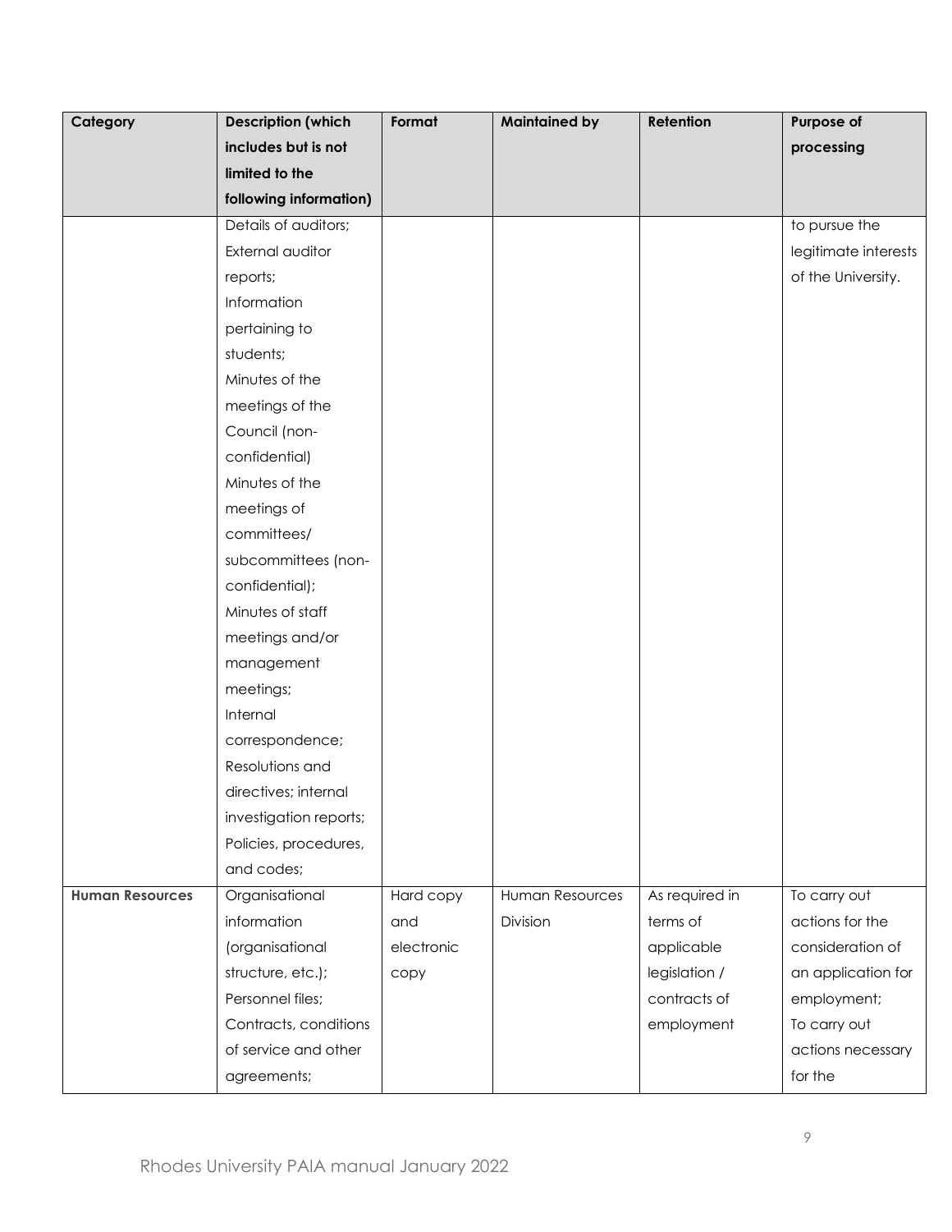<span id="page-8-1"></span><span id="page-8-0"></span>

| Category               | <b>Description (which</b> | Format     | <b>Maintained by</b> | Retention      | Purpose of           |
|------------------------|---------------------------|------------|----------------------|----------------|----------------------|
|                        | includes but is not       |            |                      |                | processing           |
|                        | limited to the            |            |                      |                |                      |
|                        | following information)    |            |                      |                |                      |
|                        | Details of auditors;      |            |                      |                | to pursue the        |
|                        | External auditor          |            |                      |                | legitimate interests |
|                        | reports;                  |            |                      |                | of the University.   |
|                        | Information               |            |                      |                |                      |
|                        | pertaining to             |            |                      |                |                      |
|                        | students;                 |            |                      |                |                      |
|                        | Minutes of the            |            |                      |                |                      |
|                        | meetings of the           |            |                      |                |                      |
|                        | Council (non-             |            |                      |                |                      |
|                        | confidential)             |            |                      |                |                      |
|                        | Minutes of the            |            |                      |                |                      |
|                        | meetings of               |            |                      |                |                      |
|                        | committees/               |            |                      |                |                      |
|                        | subcommittees (non-       |            |                      |                |                      |
|                        | confidential);            |            |                      |                |                      |
|                        | Minutes of staff          |            |                      |                |                      |
|                        | meetings and/or           |            |                      |                |                      |
|                        | management                |            |                      |                |                      |
|                        | meetings;                 |            |                      |                |                      |
|                        | Internal                  |            |                      |                |                      |
|                        | correspondence;           |            |                      |                |                      |
|                        | Resolutions and           |            |                      |                |                      |
|                        | directives; internal      |            |                      |                |                      |
|                        | investigation reports;    |            |                      |                |                      |
|                        | Policies, procedures,     |            |                      |                |                      |
|                        | and codes;                |            |                      |                |                      |
| <b>Human Resources</b> | Organisational            | Hard copy  | Human Resources      | As required in | To carry out         |
|                        | information               | and        | Division             | terms of       | actions for the      |
|                        | (organisational           | electronic |                      | applicable     | consideration of     |
|                        | structure, etc.);         | copy       |                      | legislation /  | an application for   |
|                        | Personnel files;          |            |                      | contracts of   | employment;          |
|                        | Contracts, conditions     |            |                      | employment     | To carry out         |
|                        | of service and other      |            |                      |                | actions necessary    |
|                        | agreements;               |            |                      |                | for the              |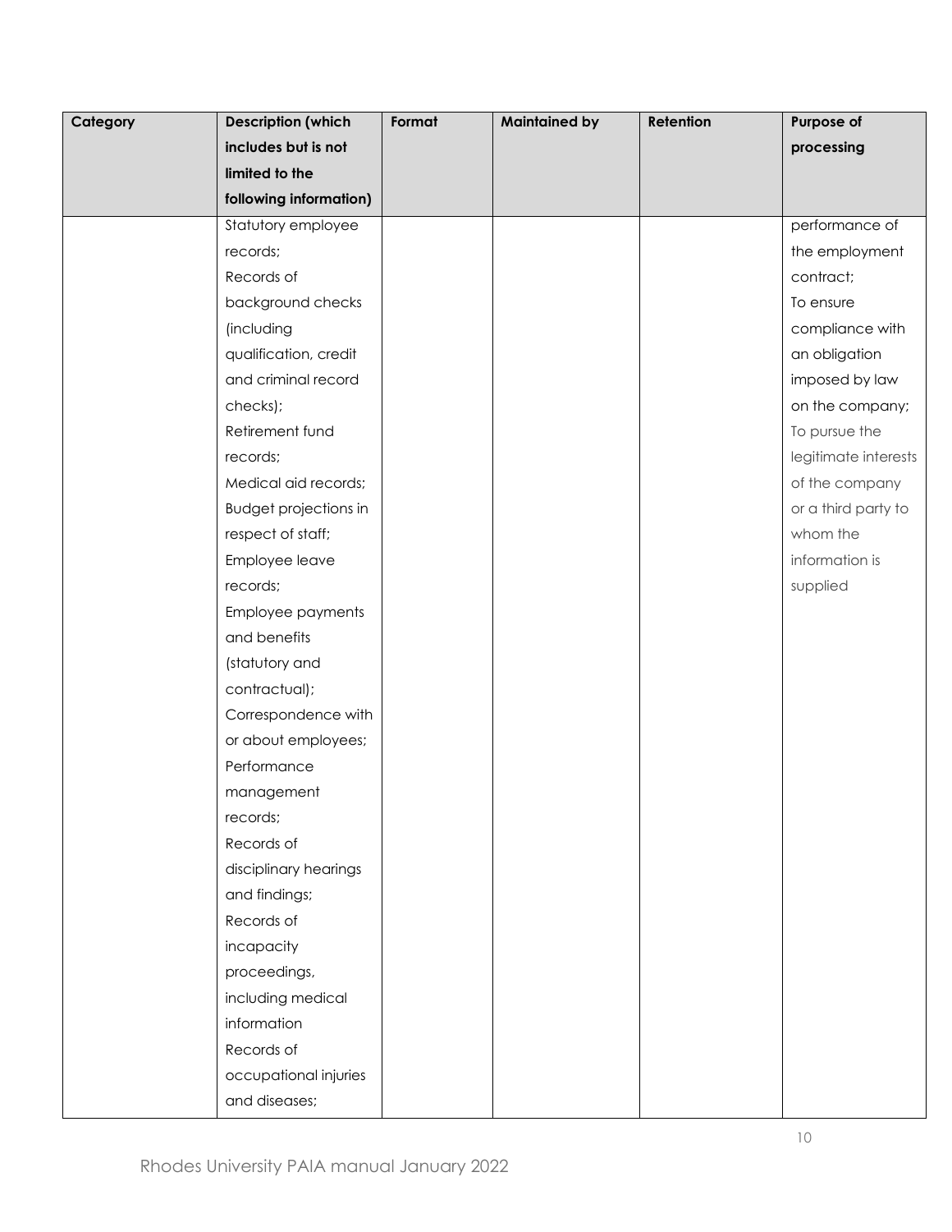| Category | <b>Description (which</b>    | Format | <b>Maintained by</b> | Retention | Purpose of           |
|----------|------------------------------|--------|----------------------|-----------|----------------------|
|          | includes but is not          |        |                      |           | processing           |
|          | limited to the               |        |                      |           |                      |
|          | following information)       |        |                      |           |                      |
|          | Statutory employee           |        |                      |           | performance of       |
|          | records;                     |        |                      |           | the employment       |
|          | Records of                   |        |                      |           | contract;            |
|          | background checks            |        |                      |           | To ensure            |
|          | (including                   |        |                      |           | compliance with      |
|          | qualification, credit        |        |                      |           | an obligation        |
|          | and criminal record          |        |                      |           | imposed by law       |
|          | checks);                     |        |                      |           | on the company;      |
|          | Retirement fund              |        |                      |           | To pursue the        |
|          | records;                     |        |                      |           | legitimate interests |
|          | Medical aid records;         |        |                      |           | of the company       |
|          | <b>Budget projections in</b> |        |                      |           | or a third party to  |
|          | respect of staff;            |        |                      |           | whom the             |
|          | Employee leave               |        |                      |           | information is       |
|          | records;                     |        |                      |           | supplied             |
|          | Employee payments            |        |                      |           |                      |
|          | and benefits                 |        |                      |           |                      |
|          | (statutory and               |        |                      |           |                      |
|          | contractual);                |        |                      |           |                      |
|          | Correspondence with          |        |                      |           |                      |
|          | or about employees;          |        |                      |           |                      |
|          | Performance                  |        |                      |           |                      |
|          | management                   |        |                      |           |                      |
|          | records;                     |        |                      |           |                      |
|          | Records of                   |        |                      |           |                      |
|          | disciplinary hearings        |        |                      |           |                      |
|          | and findings;                |        |                      |           |                      |
|          | Records of                   |        |                      |           |                      |
|          | incapacity                   |        |                      |           |                      |
|          | proceedings,                 |        |                      |           |                      |
|          | including medical            |        |                      |           |                      |
|          | information                  |        |                      |           |                      |
|          | Records of                   |        |                      |           |                      |
|          | occupational injuries        |        |                      |           |                      |
|          | and diseases;                |        |                      |           |                      |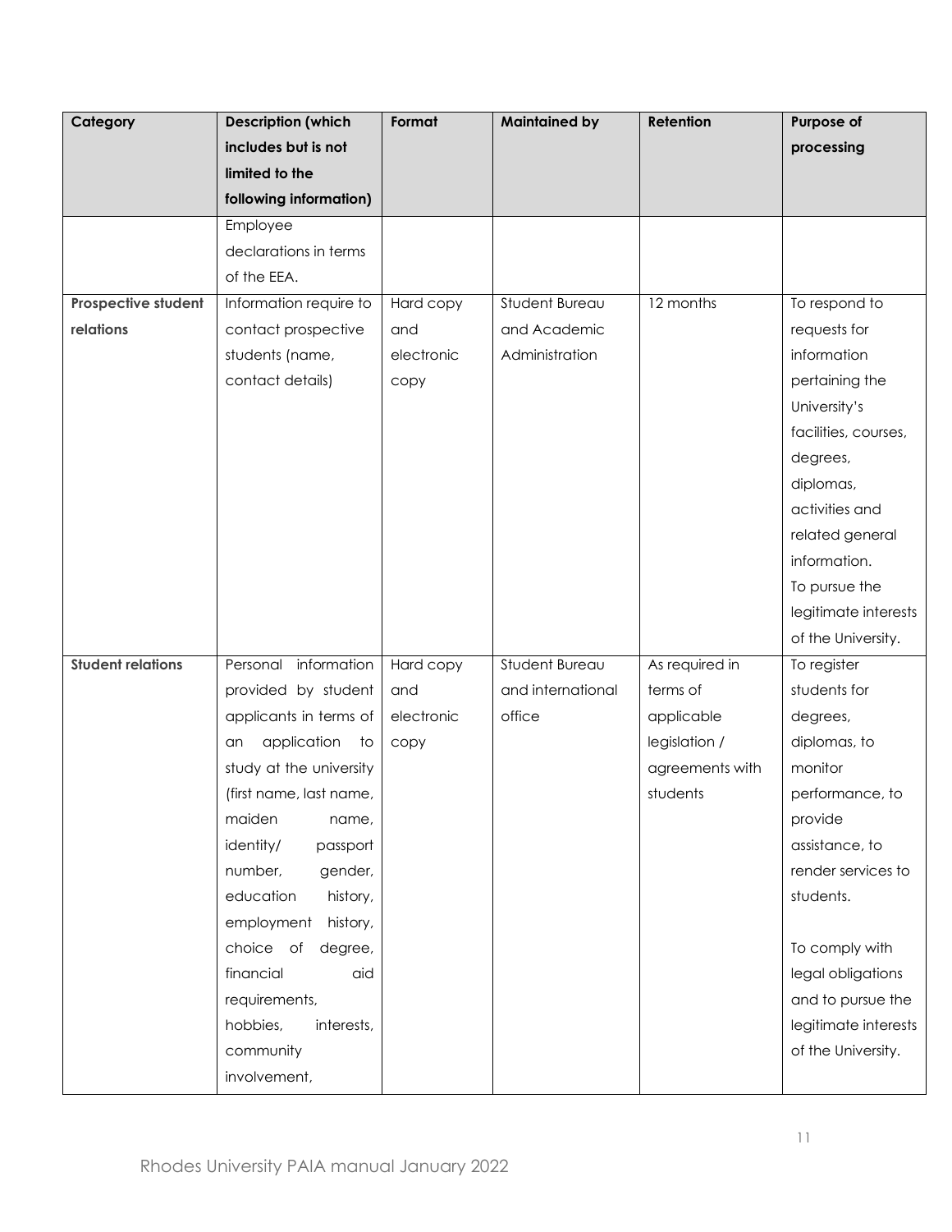| Category                 | <b>Description (which</b> | Format     | <b>Maintained by</b> | Retention       | Purpose of           |
|--------------------------|---------------------------|------------|----------------------|-----------------|----------------------|
|                          | includes but is not       |            |                      |                 | processing           |
|                          | limited to the            |            |                      |                 |                      |
|                          | following information)    |            |                      |                 |                      |
|                          | Employee                  |            |                      |                 |                      |
|                          | declarations in terms     |            |                      |                 |                      |
|                          | of the EEA.               |            |                      |                 |                      |
| Prospective student      | Information require to    | Hard copy  | Student Bureau       | 12 months       | To respond to        |
| relations                | contact prospective       | and        | and Academic         |                 | requests for         |
|                          | students (name,           | electronic | Administration       |                 | information          |
|                          | contact details)          | copy       |                      |                 | pertaining the       |
|                          |                           |            |                      |                 | University's         |
|                          |                           |            |                      |                 | facilities, courses, |
|                          |                           |            |                      |                 | degrees,             |
|                          |                           |            |                      |                 | diplomas,            |
|                          |                           |            |                      |                 | activities and       |
|                          |                           |            |                      |                 | related general      |
|                          |                           |            |                      |                 | information.         |
|                          |                           |            |                      |                 | To pursue the        |
|                          |                           |            |                      |                 | legitimate interests |
|                          |                           |            |                      |                 | of the University.   |
| <b>Student relations</b> | Personal information      | Hard copy  | Student Bureau       | As required in  | To register          |
|                          | provided by student       | and        | and international    | terms of        | students for         |
|                          | applicants in terms of    | electronic | office               | applicable      | degrees,             |
|                          | application<br>to<br>an   | copy       |                      | legislation /   | diplomas, to         |
|                          | study at the university   |            |                      | agreements with | monitor              |
|                          | (first name, last name,   |            |                      | students        | performance, to      |
|                          | maiden<br>name,           |            |                      |                 | provide              |
|                          | identity/<br>passport     |            |                      |                 | assistance, to       |
|                          | number,<br>gender,        |            |                      |                 | render services to   |
|                          | education<br>history,     |            |                      |                 | students.            |
|                          | employment<br>history,    |            |                      |                 |                      |
|                          | choice of<br>degree,      |            |                      |                 | To comply with       |
|                          | financial<br>aid          |            |                      |                 | legal obligations    |
|                          | requirements,             |            |                      |                 | and to pursue the    |
|                          | hobbies,<br>interests,    |            |                      |                 | legitimate interests |
|                          | community                 |            |                      |                 | of the University.   |
|                          | involvement,              |            |                      |                 |                      |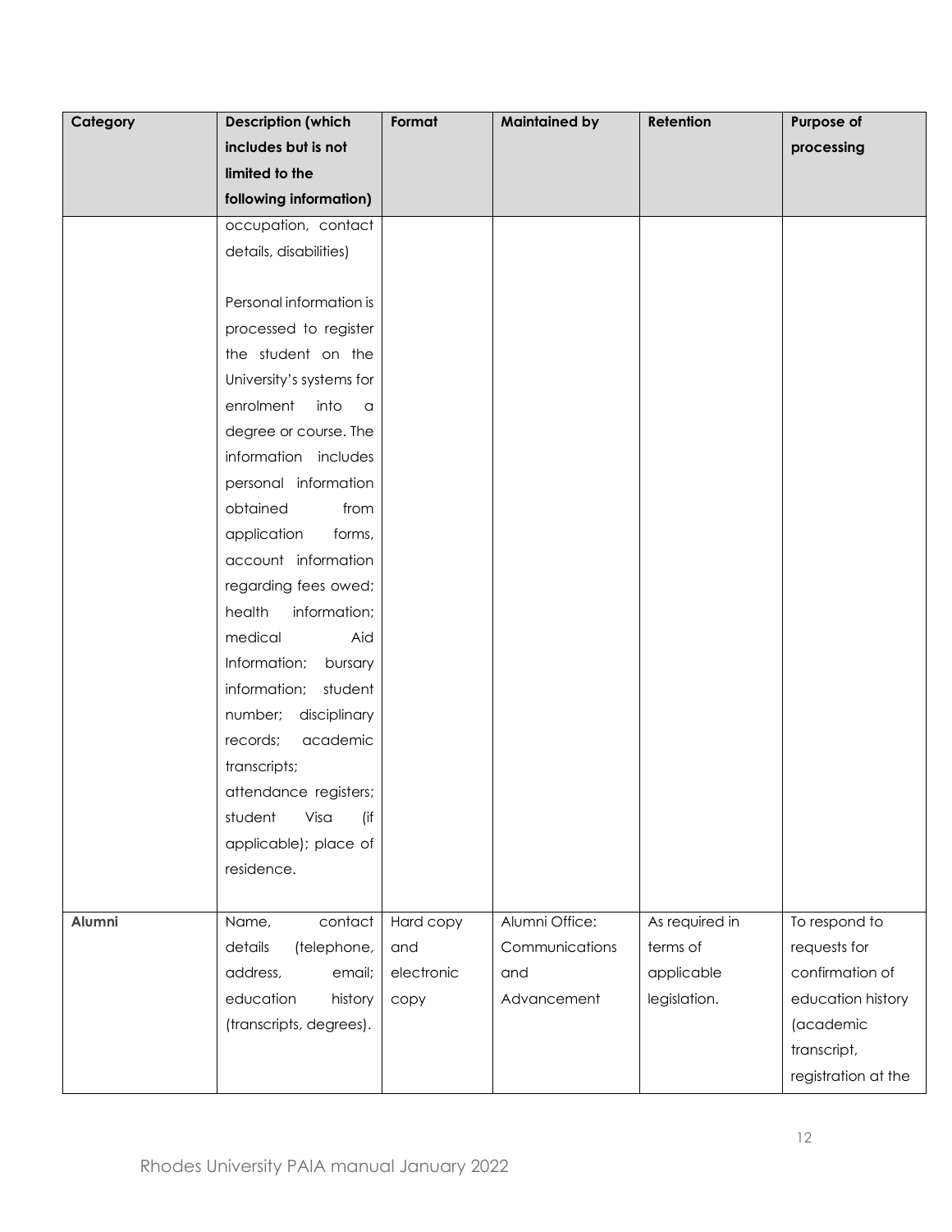| Category | <b>Description (which</b> | Format     | <b>Maintained by</b> | Retention      | Purpose of          |
|----------|---------------------------|------------|----------------------|----------------|---------------------|
|          | includes but is not       |            |                      |                | processing          |
|          | limited to the            |            |                      |                |                     |
|          | following information)    |            |                      |                |                     |
|          | occupation, contact       |            |                      |                |                     |
|          | details, disabilities)    |            |                      |                |                     |
|          |                           |            |                      |                |                     |
|          | Personal information is   |            |                      |                |                     |
|          | processed to register     |            |                      |                |                     |
|          | the student on the        |            |                      |                |                     |
|          | University's systems for  |            |                      |                |                     |
|          | enrolment into a          |            |                      |                |                     |
|          | degree or course. The     |            |                      |                |                     |
|          | information includes      |            |                      |                |                     |
|          | personal information      |            |                      |                |                     |
|          | obtained<br>from          |            |                      |                |                     |
|          | application<br>forms,     |            |                      |                |                     |
|          | account information       |            |                      |                |                     |
|          | regarding fees owed;      |            |                      |                |                     |
|          | health<br>information;    |            |                      |                |                     |
|          | medical<br>Aid            |            |                      |                |                     |
|          | Information; bursary      |            |                      |                |                     |
|          | information;<br>student   |            |                      |                |                     |
|          | number; disciplinary      |            |                      |                |                     |
|          | academic<br>records;      |            |                      |                |                     |
|          | transcripts;              |            |                      |                |                     |
|          | attendance registers;     |            |                      |                |                     |
|          | Visa<br>student<br>(if    |            |                      |                |                     |
|          | applicable); place of     |            |                      |                |                     |
|          | residence.                |            |                      |                |                     |
|          |                           |            |                      |                |                     |
| Alumni   | contact<br>Name,          | Hard copy  | Alumni Office:       | As required in | To respond to       |
|          | details<br>(telephone,    | and        | Communications       | terms of       | requests for        |
|          | address,<br>email;        | electronic | and                  | applicable     | confirmation of     |
|          | education<br>history      | copy       | Advancement          | legislation.   | education history   |
|          | (transcripts, degrees).   |            |                      |                | (academic           |
|          |                           |            |                      |                | transcript,         |
|          |                           |            |                      |                | registration at the |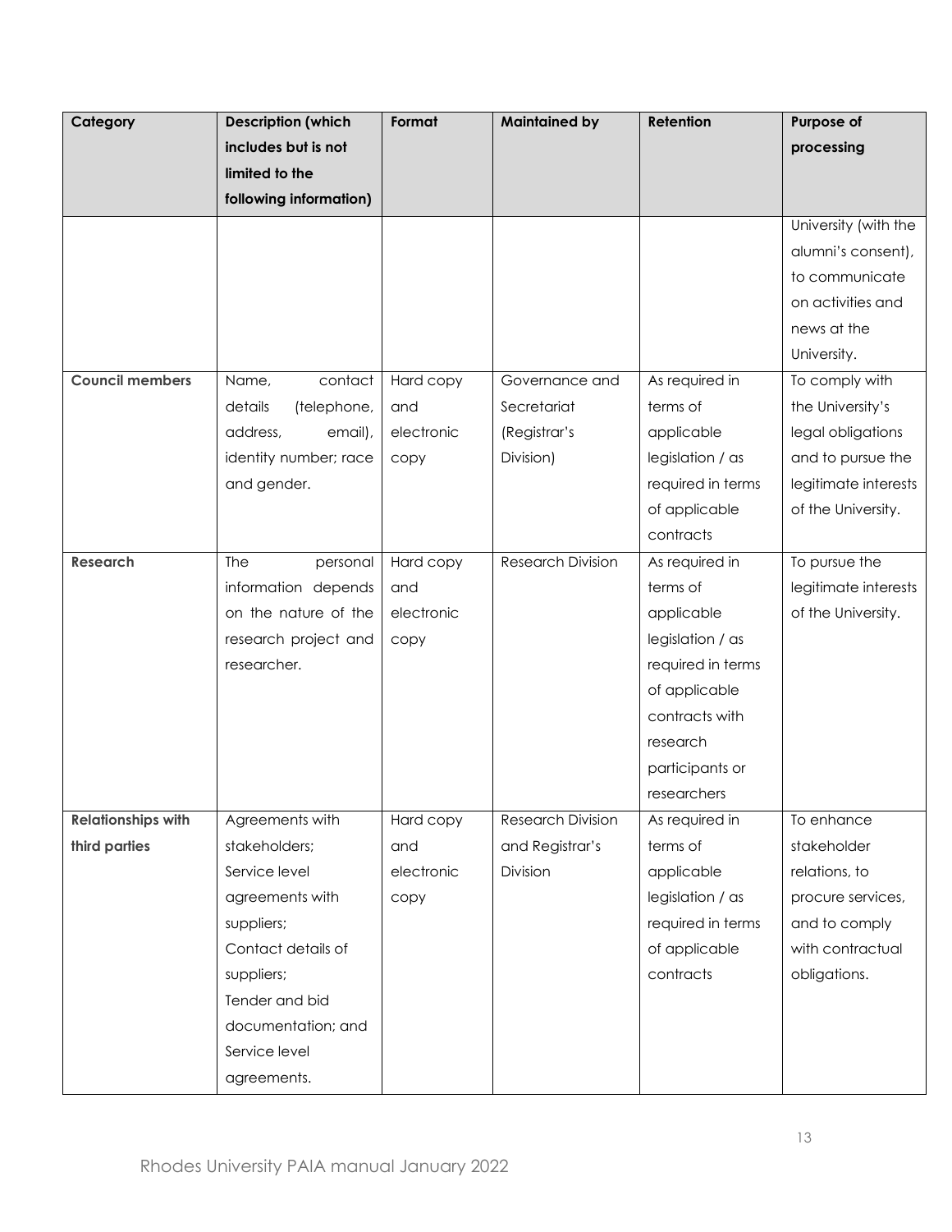| Category                  | <b>Description (which</b> | Format     | <b>Maintained by</b>     | Retention         | Purpose of           |
|---------------------------|---------------------------|------------|--------------------------|-------------------|----------------------|
|                           | includes but is not       |            |                          |                   | processing           |
|                           | limited to the            |            |                          |                   |                      |
|                           | following information)    |            |                          |                   |                      |
|                           |                           |            |                          |                   | University (with the |
|                           |                           |            |                          |                   | alumni's consent),   |
|                           |                           |            |                          |                   | to communicate       |
|                           |                           |            |                          |                   | on activities and    |
|                           |                           |            |                          |                   | news at the          |
|                           |                           |            |                          |                   | University.          |
| <b>Council members</b>    | Name,<br>contact          | Hard copy  | Governance and           | As required in    | To comply with       |
|                           | details<br>(telephone,    | and        | Secretariat              | terms of          | the University's     |
|                           | address,<br>email),       | electronic | (Registrar's             | applicable        | legal obligations    |
|                           | identity number; race     | copy       | Division)                | legislation / as  | and to pursue the    |
|                           | and gender.               |            |                          | required in terms | legitimate interests |
|                           |                           |            |                          | of applicable     | of the University.   |
|                           |                           |            |                          | contracts         |                      |
| <b>Research</b>           | The<br>personal           | Hard copy  | <b>Research Division</b> | As required in    | To pursue the        |
|                           | information depends       | and        |                          | terms of          | legitimate interests |
|                           | on the nature of the      | electronic |                          | applicable        | of the University.   |
|                           | research project and      | copy       |                          | legislation / as  |                      |
|                           | researcher.               |            |                          | required in terms |                      |
|                           |                           |            |                          | of applicable     |                      |
|                           |                           |            |                          | contracts with    |                      |
|                           |                           |            |                          | research          |                      |
|                           |                           |            |                          | participants or   |                      |
|                           |                           |            |                          | researchers       |                      |
| <b>Relationships with</b> | Agreements with           | Hard copy  | Research Division        | As required in    | To enhance           |
| third parties             | stakeholders;             | and        | and Registrar's          | terms of          | stakeholder          |
|                           | Service level             | electronic | Division                 | applicable        | relations, to        |
|                           | agreements with           | copy       |                          | legislation / as  | procure services,    |
|                           | suppliers;                |            |                          | required in terms | and to comply        |
|                           | Contact details of        |            |                          | of applicable     | with contractual     |
|                           | suppliers;                |            |                          | contracts         | obligations.         |
|                           | Tender and bid            |            |                          |                   |                      |
|                           | documentation; and        |            |                          |                   |                      |
|                           | Service level             |            |                          |                   |                      |
|                           | agreements.               |            |                          |                   |                      |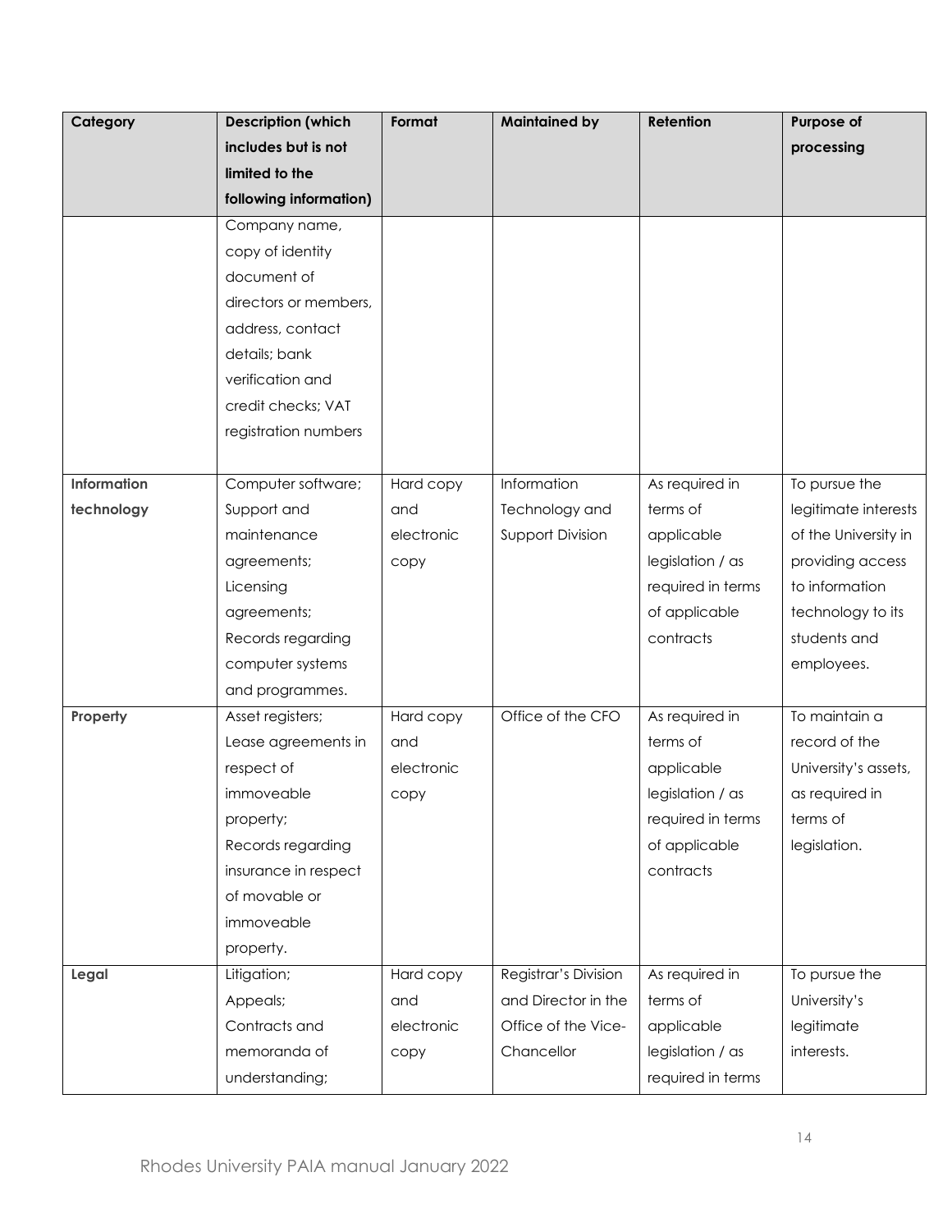| Category    | <b>Description (which</b> | Format     | <b>Maintained by</b>    | Retention         | Purpose of           |
|-------------|---------------------------|------------|-------------------------|-------------------|----------------------|
|             | includes but is not       |            |                         |                   | processing           |
|             | limited to the            |            |                         |                   |                      |
|             | following information)    |            |                         |                   |                      |
|             | Company name,             |            |                         |                   |                      |
|             | copy of identity          |            |                         |                   |                      |
|             | document of               |            |                         |                   |                      |
|             | directors or members,     |            |                         |                   |                      |
|             | address, contact          |            |                         |                   |                      |
|             | details; bank             |            |                         |                   |                      |
|             | verification and          |            |                         |                   |                      |
|             | credit checks; VAT        |            |                         |                   |                      |
|             | registration numbers      |            |                         |                   |                      |
|             |                           |            |                         |                   |                      |
| Information | Computer software;        | Hard copy  | Information             | As required in    | To pursue the        |
| technology  | Support and               | and        | Technology and          | terms of          | legitimate interests |
|             | maintenance               | electronic | <b>Support Division</b> | applicable        | of the University in |
|             | agreements;               | copy       |                         | legislation / as  | providing access     |
|             | Licensing                 |            |                         | required in terms | to information       |
|             | agreements;               |            |                         | of applicable     | technology to its    |
|             | Records regarding         |            |                         | contracts         | students and         |
|             | computer systems          |            |                         |                   | employees.           |
|             | and programmes.           |            |                         |                   |                      |
| Property    | Asset registers;          | Hard copy  | Office of the CFO       | As required in    | To maintain a        |
|             | Lease agreements in       | and        |                         | terms of          | record of the        |
|             | respect of                | electronic |                         | applicable        | University's assets, |
|             | immoveable                | copy       |                         | legislation / as  | as required in       |
|             | property;                 |            |                         | required in terms | terms of             |
|             | Records regarding         |            |                         | of applicable     | legislation.         |
|             | insurance in respect      |            |                         | contracts         |                      |
|             | of movable or             |            |                         |                   |                      |
|             | immoveable                |            |                         |                   |                      |
|             | property.                 |            |                         |                   |                      |
| Legal       | Litigation;               | Hard copy  | Registrar's Division    | As required in    | To pursue the        |
|             | Appeals;                  | and        | and Director in the     | terms of          | University's         |
|             | Contracts and             | electronic | Office of the Vice-     | applicable        | legitimate           |
|             | memoranda of              | сору       | Chancellor              | legislation / as  | interests.           |
|             | understanding;            |            |                         | required in terms |                      |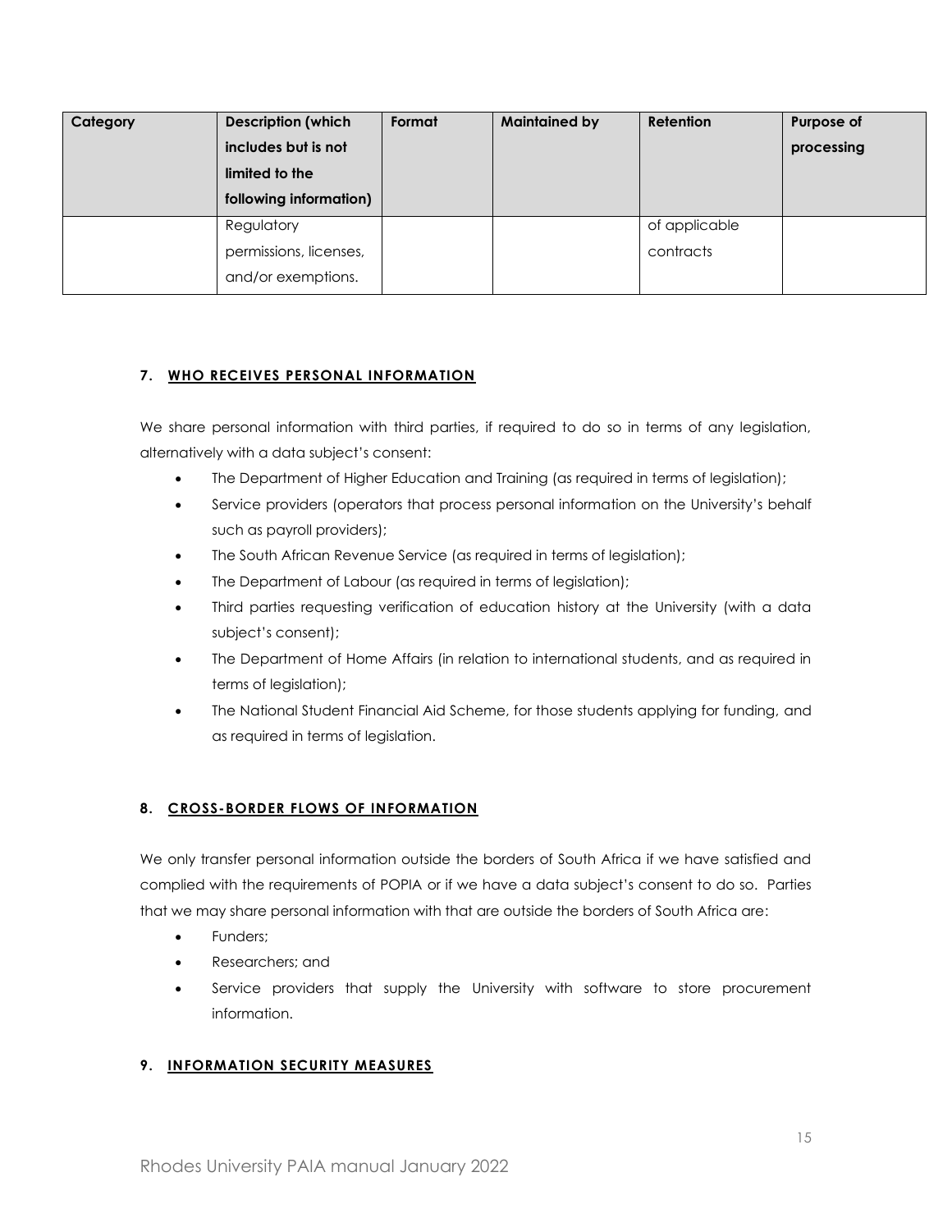| Category | <b>Description (which</b> | Format | <b>Maintained by</b> | <b>Retention</b> | Purpose of |
|----------|---------------------------|--------|----------------------|------------------|------------|
|          | includes but is not       |        |                      |                  | processing |
|          | limited to the            |        |                      |                  |            |
|          | following information)    |        |                      |                  |            |
|          | Regulatory                |        |                      | of applicable    |            |
|          | permissions, licenses,    |        |                      | contracts        |            |
|          | and/or exemptions.        |        |                      |                  |            |

# <span id="page-14-0"></span>**7. WHO RECEIVES PERSONAL INFORMATION**

We share personal information with third parties, if required to do so in terms of any legislation, alternatively with a data subject's consent:

- The Department of Higher Education and Training (as required in terms of legislation);
- Service providers (operators that process personal information on the University's behalf such as payroll providers);
- The South African Revenue Service (as required in terms of legislation);
- The Department of Labour (as required in terms of legislation);
- Third parties requesting verification of education history at the University (with a data subject's consent);
- The Department of Home Affairs (in relation to international students, and as required in terms of legislation);
- The National Student Financial Aid Scheme, for those students applying for funding, and as required in terms of legislation.

# <span id="page-14-1"></span>**8. CROSS-BORDER FLOWS OF INFORMATION**

We only transfer personal information outside the borders of South Africa if we have satisfied and complied with the requirements of POPIA or if we have a data subject's consent to do so. Parties that we may share personal information with that are outside the borders of South Africa are:

- Funders:
- Researchers; and
- Service providers that supply the University with software to store procurement information.

# <span id="page-14-2"></span>**9. INFORMATION SECURITY MEASURES**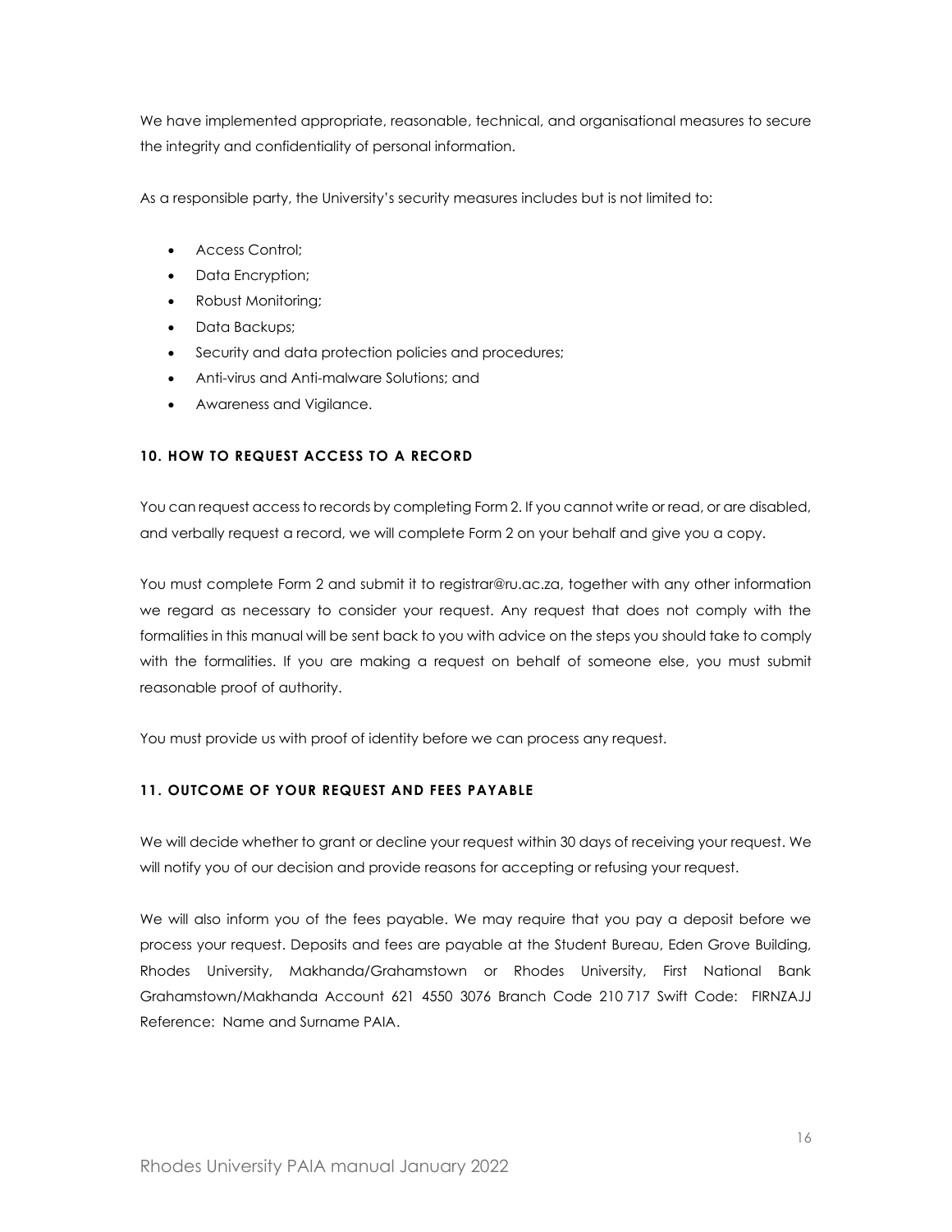We have implemented appropriate, reasonable, technical, and organisational measures to secure the integrity and confidentiality of personal information.

As a responsible party, the University's security measures includes but is not limited to:

- Access Control;
- Data Encryption;
- Robust Monitoring;
- Data Backups;
- Security and data protection policies and procedures;
- Anti-virus and Anti-malware Solutions; and
- Awareness and Vigilance.

### <span id="page-15-0"></span>**10. HOW TO REQUEST ACCESS TO A RECORD**

You can request access to records by completing Form 2. If you cannot write or read, or are disabled, and verbally request a record, we will complete Form 2 on your behalf and give you a copy.

You must complete Form 2 and submit it to registrar@ru.ac.za, together with any other information we regard as necessary to consider your request. Any request that does not comply with the formalities in this manual will be sent back to you with advice on the steps you should take to comply with the formalities. If you are making a request on behalf of someone else, you must submit reasonable proof of authority.

You must provide us with proof of identity before we can process any request.

# <span id="page-15-1"></span>**11. OUTCOME OF YOUR REQUEST AND FEES PAYABLE**

We will decide whether to grant or decline your request within 30 days of receiving your request. We will notify you of our decision and provide reasons for accepting or refusing your request.

We will also inform you of the fees payable. We may require that you pay a deposit before we process your request. Deposits and fees are payable at the Student Bureau, Eden Grove Building, Rhodes University, Makhanda/Grahamstown or Rhodes University, First National Bank Grahamstown/Makhanda Account 621 4550 3076 Branch Code 210 717 Swift Code: FIRNZAJJ Reference: Name and Surname PAIA.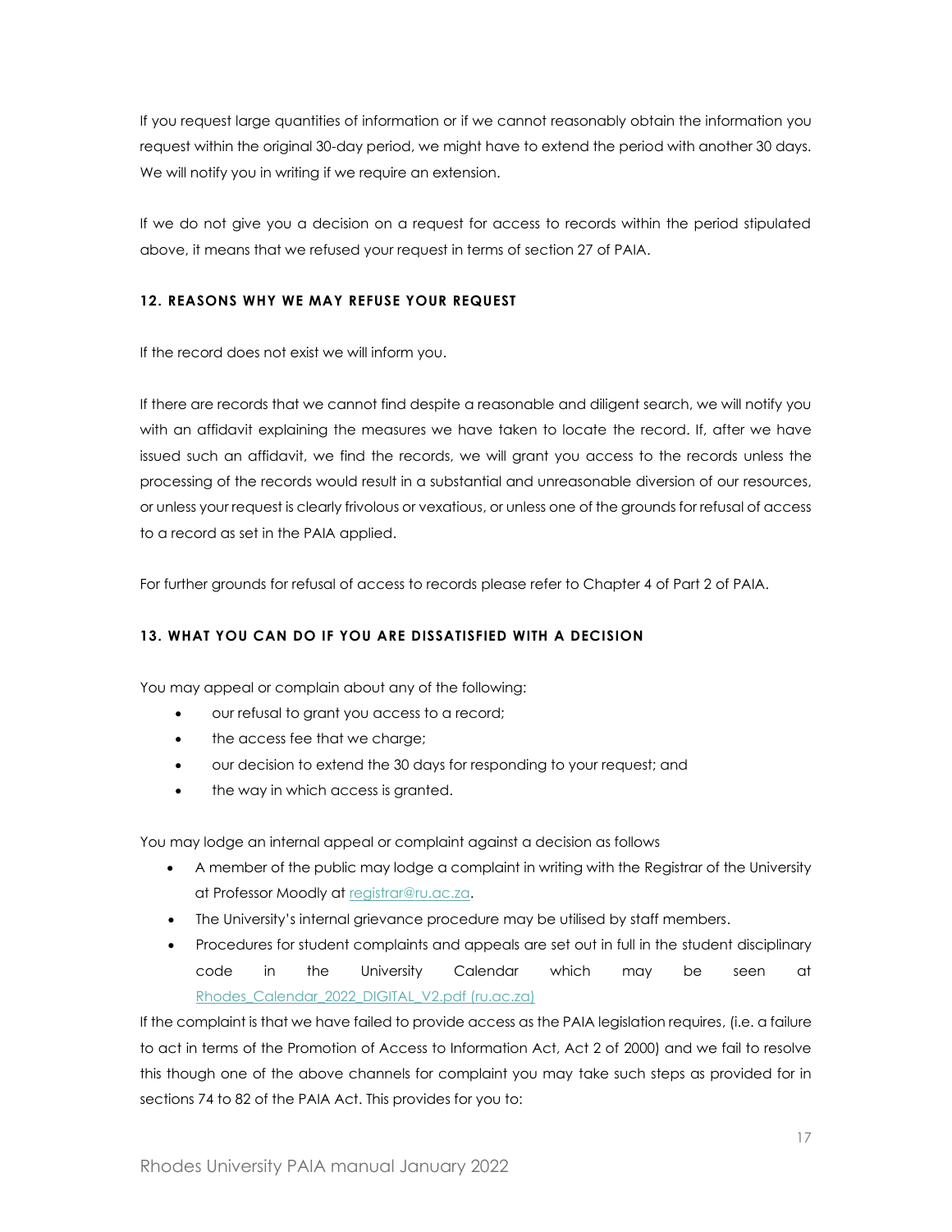If you request large quantities of information or if we cannot reasonably obtain the information you request within the original 30-day period, we might have to extend the period with another 30 days. We will notify you in writing if we require an extension.

If we do not give you a decision on a request for access to records within the period stipulated above, it means that we refused your request in terms of section 27 of PAIA.

# <span id="page-16-0"></span>**12. REASONS WHY WE MAY REFUSE YOUR REQUEST**

If the record does not exist we will inform you.

If there are records that we cannot find despite a reasonable and diligent search, we will notify you with an affidavit explaining the measures we have taken to locate the record. If, after we have issued such an affidavit, we find the records, we will grant you access to the records unless the processing of the records would result in a substantial and unreasonable diversion of our resources, or unless your request is clearly frivolous or vexatious, or unless one of the grounds for refusal of access to a record as set in the PAIA applied.

For further grounds for refusal of access to records please refer to Chapter 4 of Part 2 of PAIA.

# <span id="page-16-1"></span>**13. WHAT YOU CAN DO IF YOU ARE DISSATISFIED WITH A DECISION**

You may appeal or complain about any of the following:

- our refusal to grant you access to a record;
- the access fee that we charge;
- our decision to extend the 30 days for responding to your request; and
- the way in which access is granted.

You may lodge an internal appeal or complaint against a decision as follows

- A member of the public may lodge a complaint in writing with the Registrar of the University at Professor Moodly at [registrar@ru.ac.za.](mailto:registrar@ru.ac.za)
- The University's internal grievance procedure may be utilised by staff members.
- Procedures for student complaints and appeals are set out in full in the student disciplinary code in the University Calendar which may be seen at [Rhodes\\_Calendar\\_2022\\_DIGITAL\\_V2.pdf \(ru.ac.za\)](https://www.ru.ac.za/media/rhodesuniversity/content/registrar/documents/calendar/Rhodes_Calendar_2022_DIGITAL_V2.pdf)

If the complaint is that we have failed to provide access as the PAIA legislation requires, (i.e. a failure to act in terms of the Promotion of Access to Information Act, Act 2 of 2000) and we fail to resolve this though one of the above channels for complaint you may take such steps as provided for in sections 74 to 82 of the PAIA Act. This provides for you to: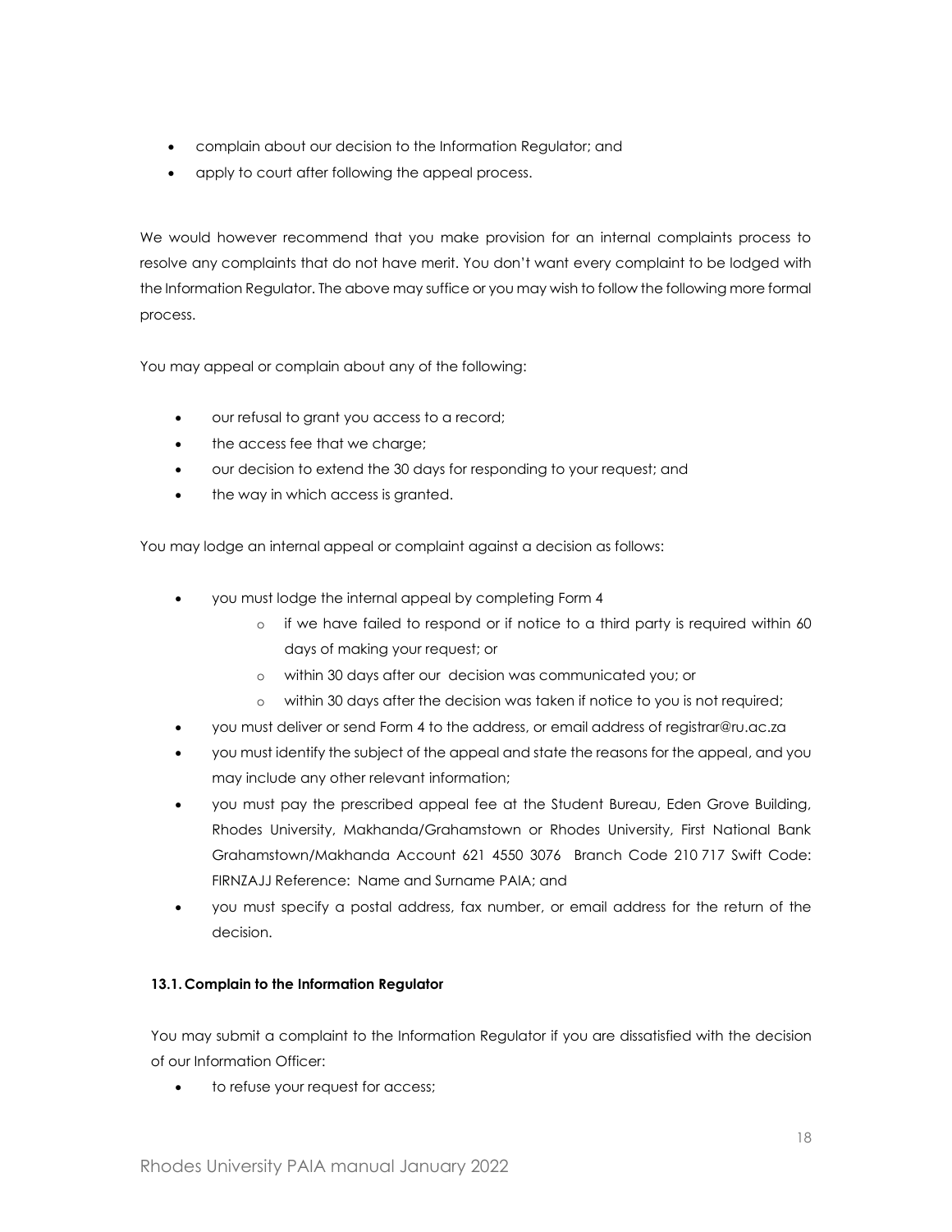- complain about our decision to the Information Regulator; and
- apply to court after following the appeal process.

We would however recommend that you make provision for an internal complaints process to resolve any complaints that do not have merit. You don't want every complaint to be lodged with the Information Regulator. The above may suffice or you may wish to follow the following more formal process.

You may appeal or complain about any of the following:

- our refusal to grant you access to a record;
- the access fee that we charge;
- our decision to extend the 30 days for responding to your request; and
- the way in which access is granted.

You may lodge an internal appeal or complaint against a decision as follows:

- you must lodge the internal appeal by completing Form 4
	- o if we have failed to respond or if notice to a third party is required within 60 days of making your request; or
	- o within 30 days after our decision was communicated you; or
	- o within 30 days after the decision was taken if notice to you is not required;
- you must deliver or send Form 4 to the address, or email address of registrar@ru.ac.za
- you must identify the subject of the appeal and state the reasons for the appeal, and you may include any other relevant information;
- you must pay the prescribed appeal fee at the Student Bureau, Eden Grove Building, Rhodes University, Makhanda/Grahamstown or Rhodes University, First National Bank Grahamstown/Makhanda Account 621 4550 3076 Branch Code 210 717 Swift Code: FIRNZAJJ Reference: Name and Surname PAIA; and
- you must specify a postal address, fax number, or email address for the return of the decision.

# **13.1. Complain to the Information Regulator**

You may submit a complaint to the Information Regulator if you are dissatisfied with the decision of our Information Officer:

to refuse your request for access;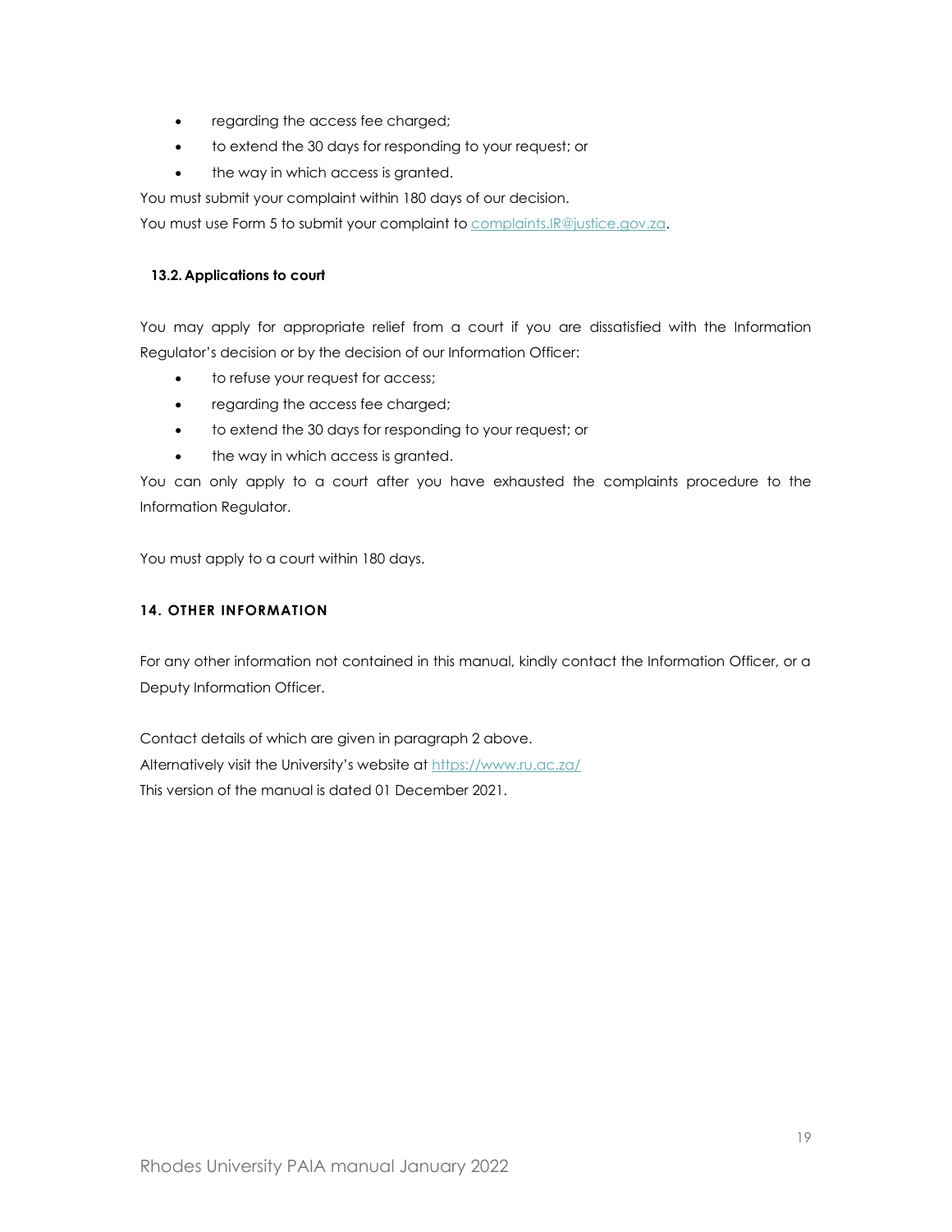- regarding the access fee charged;
- to extend the 30 days for responding to your request; or
- the way in which access is granted.

You must submit your complaint within 180 days of our decision.

You must use Form 5 to submit your complaint to [complaints.IR@justice.gov.za.](mailto:complaints.IR@justice.gov.za)

# **13.2. Applications to court**

You may apply for appropriate relief from a court if you are dissatisfied with the Information Regulator's decision or by the decision of our Information Officer:

- to refuse your request for access;
- regarding the access fee charged;
- to extend the 30 days for responding to your request; or
- the way in which access is granted.

You can only apply to a court after you have exhausted the complaints procedure to the Information Regulator.

You must apply to a court within 180 days.

# <span id="page-18-0"></span>**14. OTHER INFORMATION**

For any other information not contained in this manual, kindly contact the Information Officer, or a Deputy Information Officer.

Contact details of which are given in paragraph 2 above. Alternatively visit the University's website at <https://www.ru.ac.za/> This version of the manual is dated 01 December 2021.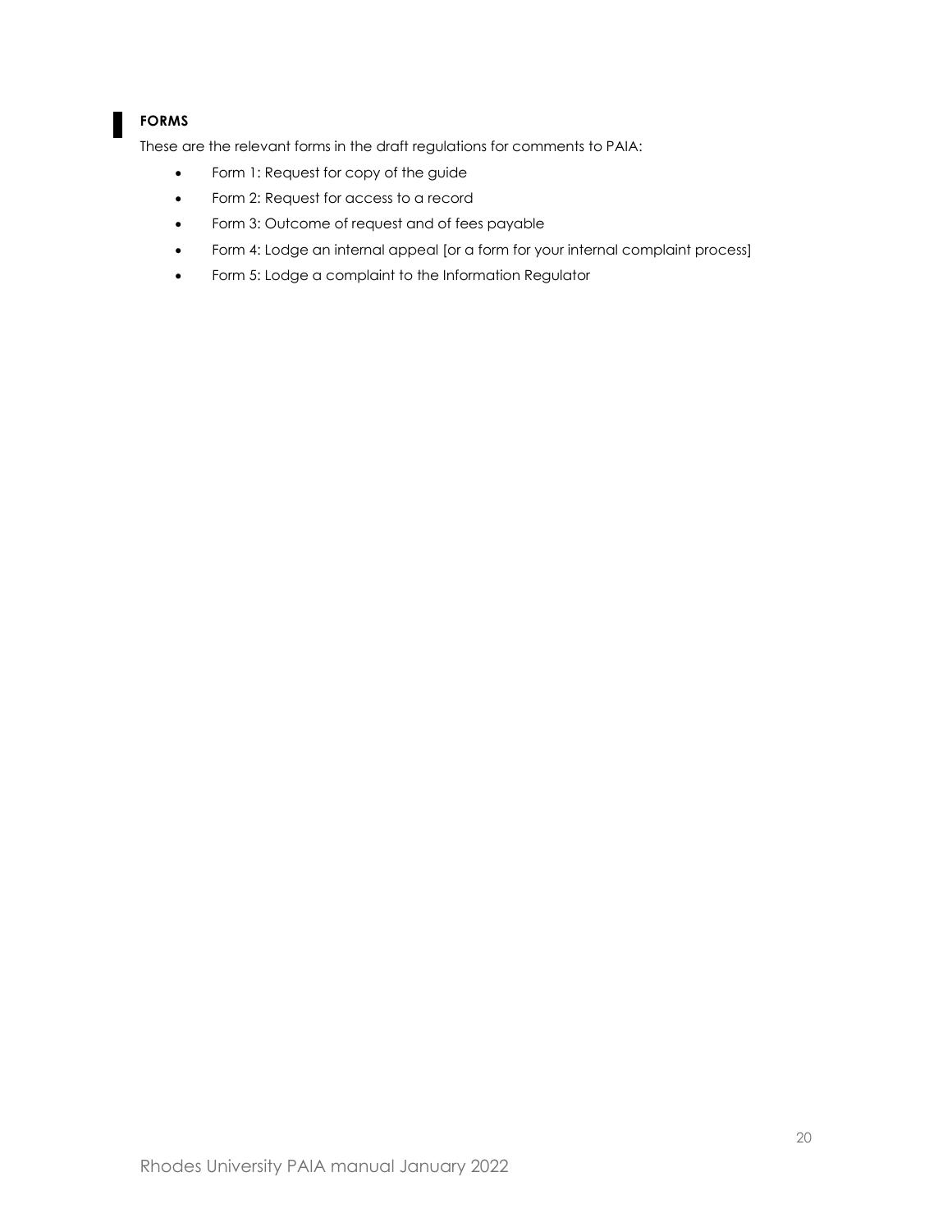# **FORMS**

These are the relevant forms in the draft regulations for comments to PAIA:

- Form 1: Request for copy of the guide
- Form 2: Request for access to a record
- Form 3: Outcome of request and of fees payable
- Form 4: Lodge an internal appeal [or a form for your internal complaint process]
- Form 5: Lodge a complaint to the Information Regulator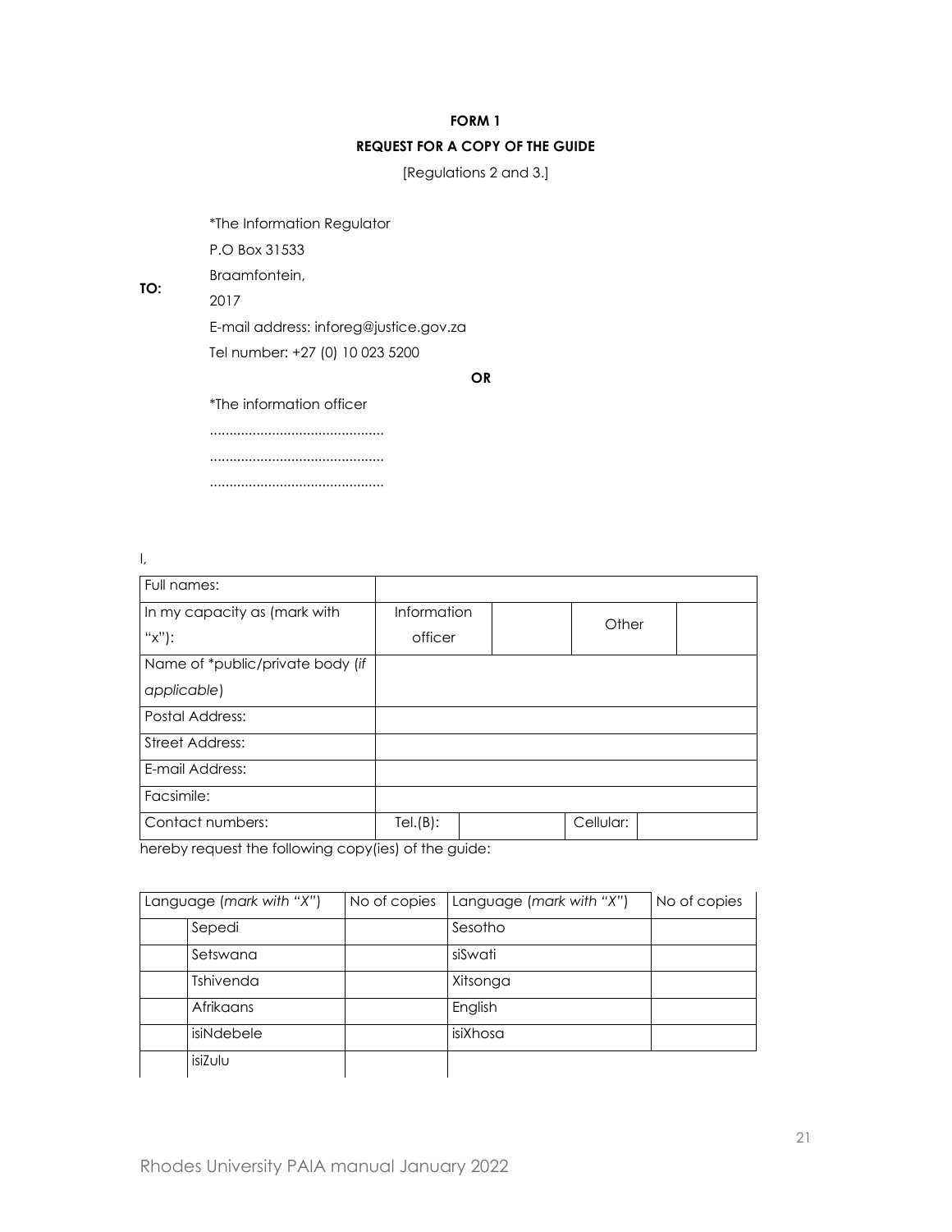# **FORM 1 REQUEST FOR A COPY OF THE GUIDE**

[Regulations 2 and 3.]

\*The Information Regulator

P.O Box 31533

Braamfontein,

2017

**TO:**

E-mail address: inforeg@justice.gov.za Tel number: +27 (0) 10 023 5200

**OR**

\*The information officer

............................................. ............................................. .............................................

I,

| Full names:                      |             |           |       |  |
|----------------------------------|-------------|-----------|-------|--|
|                                  |             |           |       |  |
| In my capacity as (mark with     | Information |           |       |  |
| "x"):                            | officer     |           | Other |  |
| Name of *public/private body (if |             |           |       |  |
| applicable)                      |             |           |       |  |
| <b>Postal Address:</b>           |             |           |       |  |
| <b>Street Address:</b>           |             |           |       |  |
| E-mail Address:                  |             |           |       |  |
| Facsimile:                       |             |           |       |  |
| Contact numbers:                 | Tel(B):     | Cellular: |       |  |

hereby request the following copy(ies) of the guide:

| Language (mark with "X") | No of copies | Language (mark with "X") | No of copies |
|--------------------------|--------------|--------------------------|--------------|
| Sepedi                   |              | Sesotho                  |              |
| Setswana                 |              | siSwati                  |              |
| <b>Tshivenda</b>         |              | Xitsonga                 |              |
| Afrikaans                |              | English                  |              |
| isiNdebele               |              | isiXhosa                 |              |
| isiZulu                  |              |                          |              |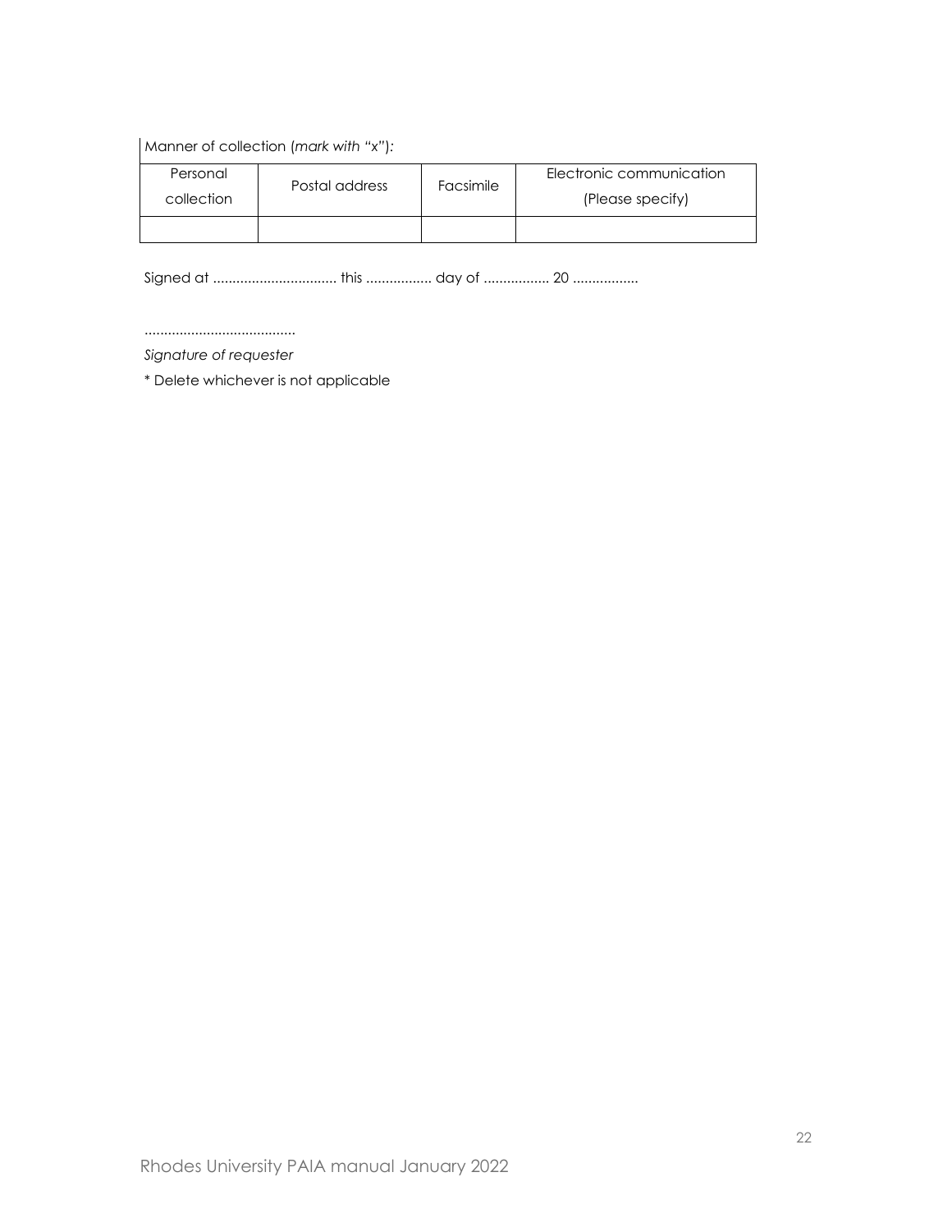Manner of collection (*mark with "x"*)*:*

| Personal   | Postal address | Facsimile | Electronic communication |
|------------|----------------|-----------|--------------------------|
| collection |                |           | (Please specify)         |
|            |                |           |                          |

Signed at ................................ this ................. day of ................. 20 .................

.......................................

*Signature of requester*

\* Delete whichever is not applicable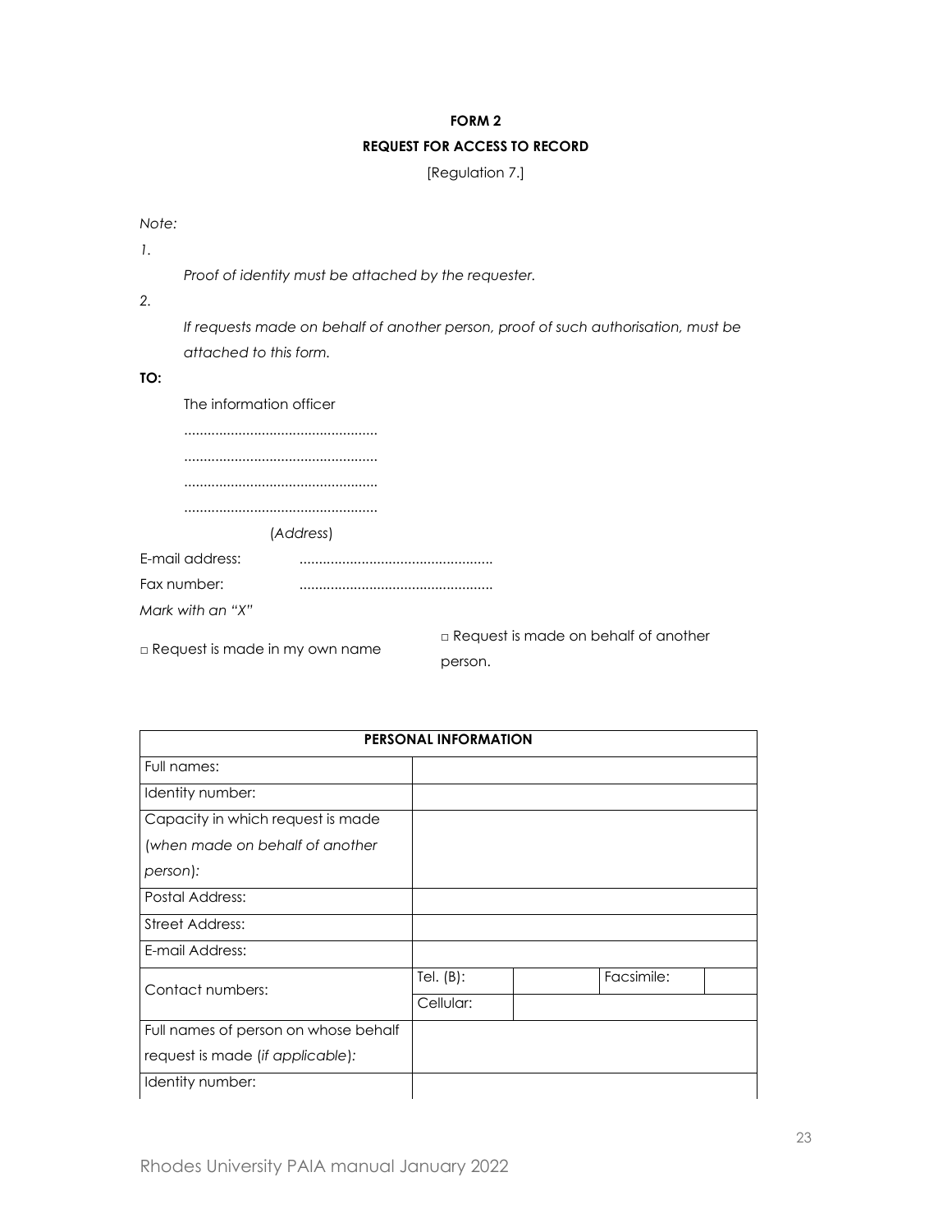#### **FORM 2**

# **REQUEST FOR ACCESS TO RECORD**

[Regulation 7.]

*Note:*

*1.*

*Proof of identity must be attached by the requester.*

*2.*

*If requests made on behalf of another person, proof of such authorisation, must be attached to this form.*

**TO:**

| The information officer |           |  |  |  |
|-------------------------|-----------|--|--|--|
|                         |           |  |  |  |
|                         |           |  |  |  |
|                         |           |  |  |  |
|                         |           |  |  |  |
|                         | (Address) |  |  |  |
| E-mail address:         |           |  |  |  |
| Fax number:             |           |  |  |  |
| Mark with an "X"        |           |  |  |  |

□ Request is made in my own name □ Request is made on behalf of another person.

| <b>PERSONAL INFORMATION</b>          |              |  |            |  |  |
|--------------------------------------|--------------|--|------------|--|--|
| Full names:                          |              |  |            |  |  |
| Identity number:                     |              |  |            |  |  |
| Capacity in which request is made    |              |  |            |  |  |
| (when made on behalf of another      |              |  |            |  |  |
| person):                             |              |  |            |  |  |
| Postal Address:                      |              |  |            |  |  |
| <b>Street Address:</b>               |              |  |            |  |  |
| E-mail Address:                      |              |  |            |  |  |
|                                      | Tel. $(B)$ : |  | Facsimile: |  |  |
| Contact numbers:                     | Cellular:    |  |            |  |  |
| Full names of person on whose behalf |              |  |            |  |  |
| request is made (if applicable):     |              |  |            |  |  |
| Identity number:                     |              |  |            |  |  |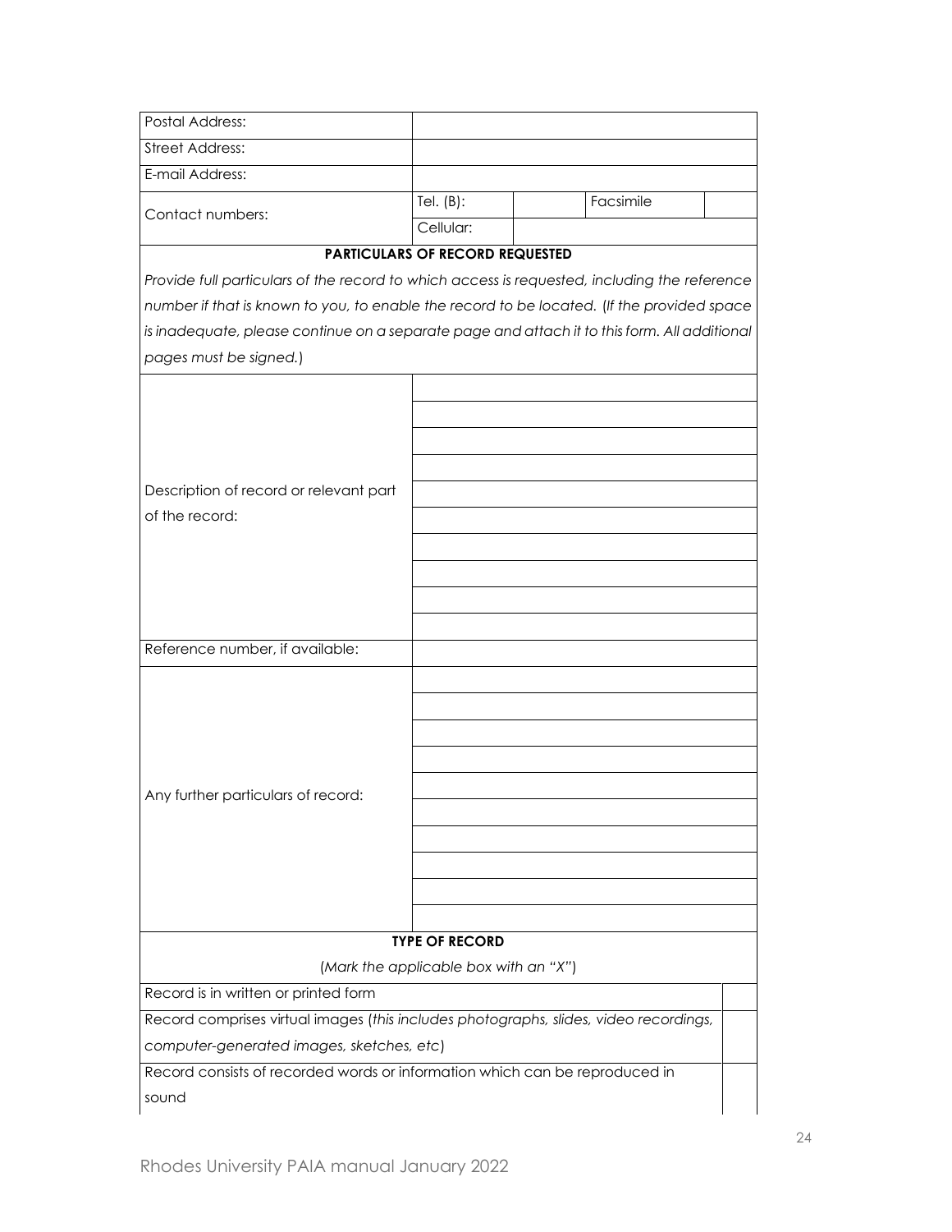| <b>Postal Address:</b>                                                                                                                                                                                                                                                                                               |                                        |           |  |
|----------------------------------------------------------------------------------------------------------------------------------------------------------------------------------------------------------------------------------------------------------------------------------------------------------------------|----------------------------------------|-----------|--|
| <b>Street Address:</b>                                                                                                                                                                                                                                                                                               |                                        |           |  |
| E-mail Address:                                                                                                                                                                                                                                                                                                      |                                        |           |  |
| Contact numbers:                                                                                                                                                                                                                                                                                                     | Tel. $(B)$ :<br>Cellular:              | Facsimile |  |
|                                                                                                                                                                                                                                                                                                                      | <b>PARTICULARS OF RECORD REQUESTED</b> |           |  |
| Provide full particulars of the record to which access is requested, including the reference<br>number if that is known to you, to enable the record to be located. (If the provided space<br>is inadequate, please continue on a separate page and attach it to this form. All additional<br>pages must be signed.) |                                        |           |  |
| Description of record or relevant part<br>of the record:                                                                                                                                                                                                                                                             |                                        |           |  |
| Reference number, if available:                                                                                                                                                                                                                                                                                      |                                        |           |  |
| Any further particulars of record:                                                                                                                                                                                                                                                                                   |                                        |           |  |
|                                                                                                                                                                                                                                                                                                                      | <b>TYPE OF RECORD</b>                  |           |  |
|                                                                                                                                                                                                                                                                                                                      | (Mark the applicable box with an "X")  |           |  |
| Record is in written or printed form                                                                                                                                                                                                                                                                                 |                                        |           |  |
| Record comprises virtual images (this includes photographs, slides, video recordings,                                                                                                                                                                                                                                |                                        |           |  |
| computer-generated images, sketches, etc)                                                                                                                                                                                                                                                                            |                                        |           |  |
| Record consists of recorded words or information which can be reproduced in                                                                                                                                                                                                                                          |                                        |           |  |
| sound                                                                                                                                                                                                                                                                                                                |                                        |           |  |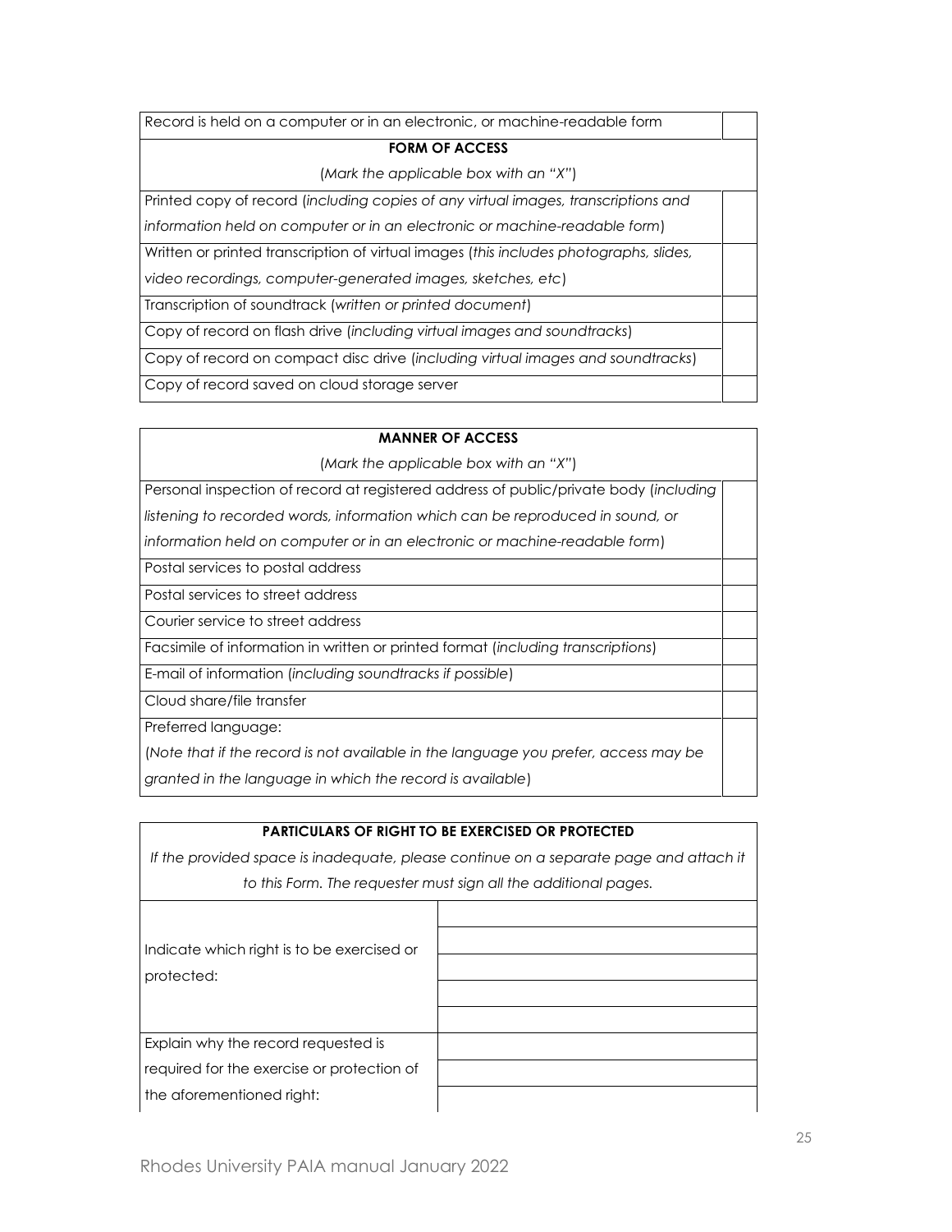| Record is held on a computer or in an electronic, or machine-readable form             |  |
|----------------------------------------------------------------------------------------|--|
| <b>FORM OF ACCESS</b>                                                                  |  |
| (Mark the applicable box with an "X")                                                  |  |
| Printed copy of record (including copies of any virtual images, transcriptions and     |  |
| information held on computer or in an electronic or machine-readable form)             |  |
| Written or printed transcription of virtual images (this includes photographs, slides, |  |
| video recordings, computer-generated images, sketches, etc)                            |  |
| Transcription of soundtrack (written or printed document)                              |  |
| Copy of record on flash drive (including virtual images and soundtracks)               |  |
| Copy of record on compact disc drive (including virtual images and soundtracks)        |  |
| Copy of record saved on cloud storage server                                           |  |
|                                                                                        |  |

| <b>MANNER OF ACCESS</b>                                                               |  |
|---------------------------------------------------------------------------------------|--|
| (Mark the applicable box with an "X")                                                 |  |
| Personal inspection of record at registered address of public/private body (including |  |
| listening to recorded words, information which can be reproduced in sound, or         |  |
| information held on computer or in an electronic or machine-readable form)            |  |
| Postal services to postal address                                                     |  |
| Postal services to street address                                                     |  |
| Courier service to street address                                                     |  |
| Facsimile of information in written or printed format (including transcriptions)      |  |
| E-mail of information (including soundtracks if possible)                             |  |
| Cloud share/file transfer                                                             |  |
| Preferred language:                                                                   |  |
| (Note that if the record is not available in the language you prefer, access may be   |  |
| granted in the language in which the record is available)                             |  |
|                                                                                       |  |

# **PARTICULARS OF RIGHT TO BE EXERCISED OR PROTECTED** If the provided space is inadequate, please continue on a separate page and attach it *to this Form. The requester must sign all the additional pages.* Indicate which right is to be exercised or protected: Explain why the record requested is required for the exercise or protection of the aforementioned right: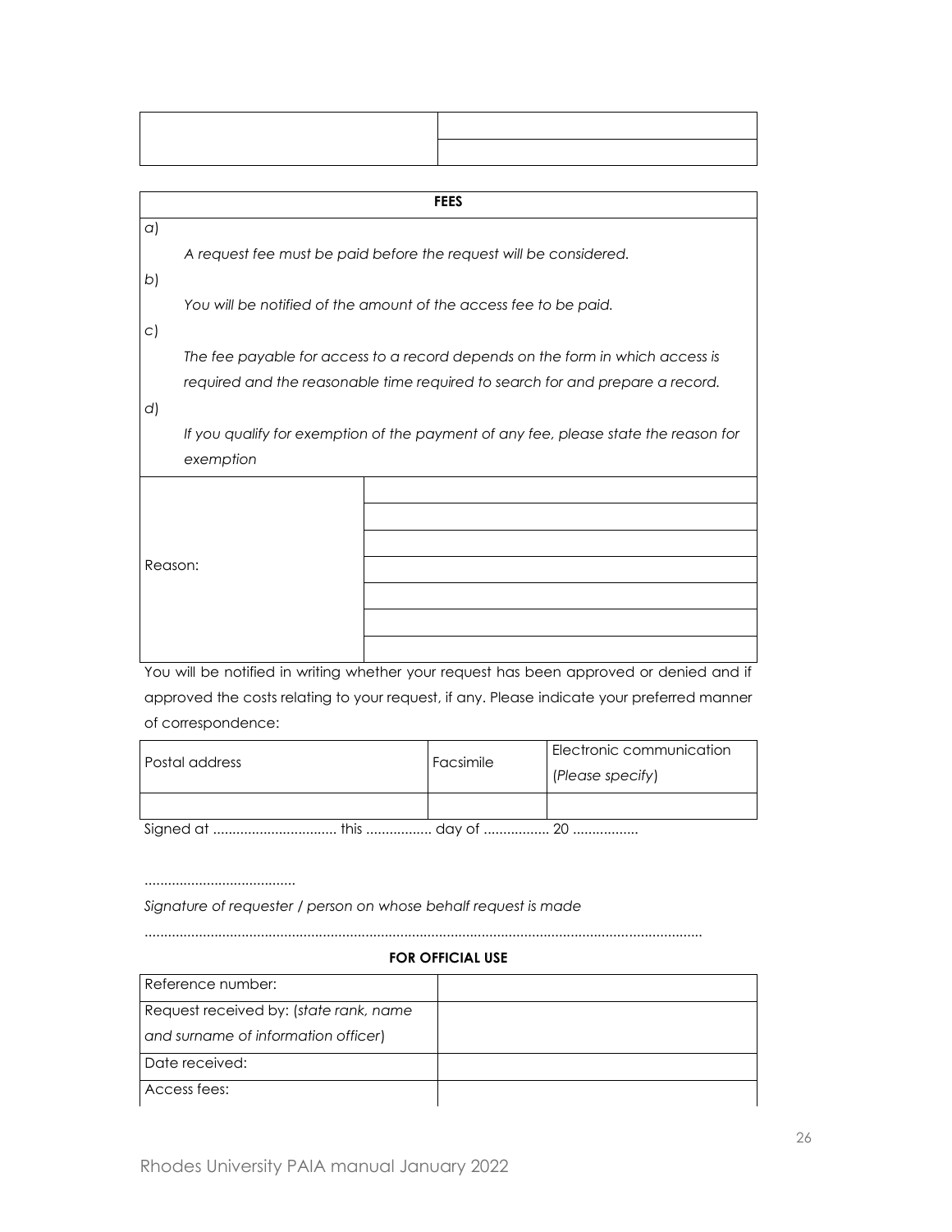|           |                                                                                     |  | <b>FEES</b> |  |  |  |  |
|-----------|-------------------------------------------------------------------------------------|--|-------------|--|--|--|--|
| $\alpha$  |                                                                                     |  |             |  |  |  |  |
|           | A request fee must be paid before the request will be considered.                   |  |             |  |  |  |  |
| b)        |                                                                                     |  |             |  |  |  |  |
|           | You will be notified of the amount of the access fee to be paid.                    |  |             |  |  |  |  |
| $\subset$ |                                                                                     |  |             |  |  |  |  |
|           | The fee payable for access to a record depends on the form in which access is       |  |             |  |  |  |  |
|           | required and the reasonable time required to search for and prepare a record.       |  |             |  |  |  |  |
| d)        |                                                                                     |  |             |  |  |  |  |
|           | If you qualify for exemption of the payment of any fee, please state the reason for |  |             |  |  |  |  |
|           | exemption                                                                           |  |             |  |  |  |  |
|           |                                                                                     |  |             |  |  |  |  |
| Reason:   |                                                                                     |  |             |  |  |  |  |
|           |                                                                                     |  |             |  |  |  |  |
|           |                                                                                     |  |             |  |  |  |  |
|           |                                                                                     |  |             |  |  |  |  |
|           |                                                                                     |  |             |  |  |  |  |
|           |                                                                                     |  |             |  |  |  |  |
|           |                                                                                     |  |             |  |  |  |  |

т

You will be notified in writing whether your request has been approved or denied and if approved the costs relating to your request, if any. Please indicate your preferred manner of correspondence:

| Postal address | Facsimile | Electronic communication<br>(Please specify) |  |  |  |
|----------------|-----------|----------------------------------------------|--|--|--|
|                |           |                                              |  |  |  |
|                |           |                                              |  |  |  |

*Signature of requester / person on whose behalf request is made*

.......................................

Г

# **FOR OFFICIAL USE**

................................................................................................................................................

| Reference number:                      |  |
|----------------------------------------|--|
| Request received by: (state rank, name |  |
| and surname of information officer)    |  |
| Date received:                         |  |
| Access fees:                           |  |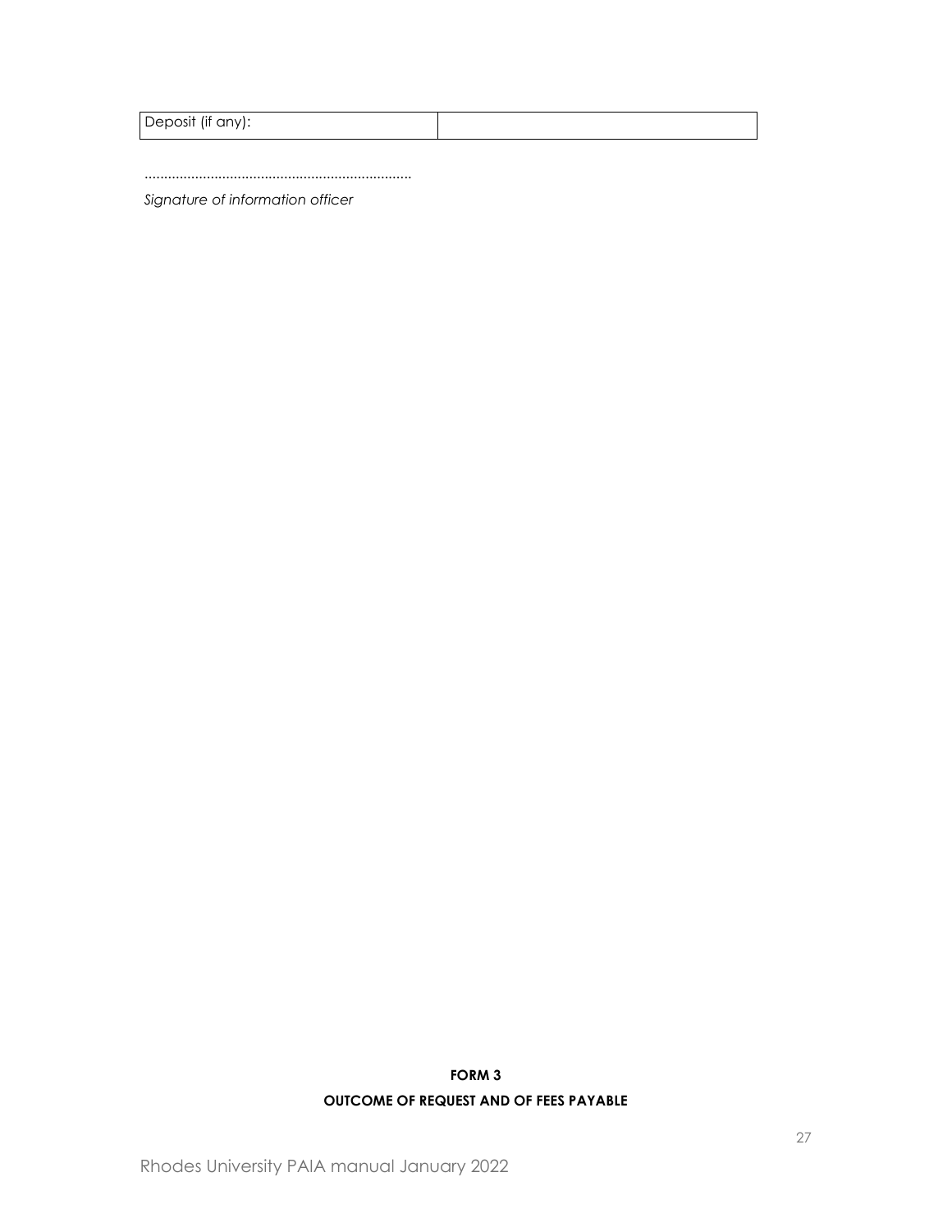|  | $\cdots$<br>Deposit<br>$\cap$<br><br><b>IIT</b><br>- 91 |  |
|--|---------------------------------------------------------|--|
|--|---------------------------------------------------------|--|

.....................................................................

*Signature of information officer*

# **FORM 3 OUTCOME OF REQUEST AND OF FEES PAYABLE**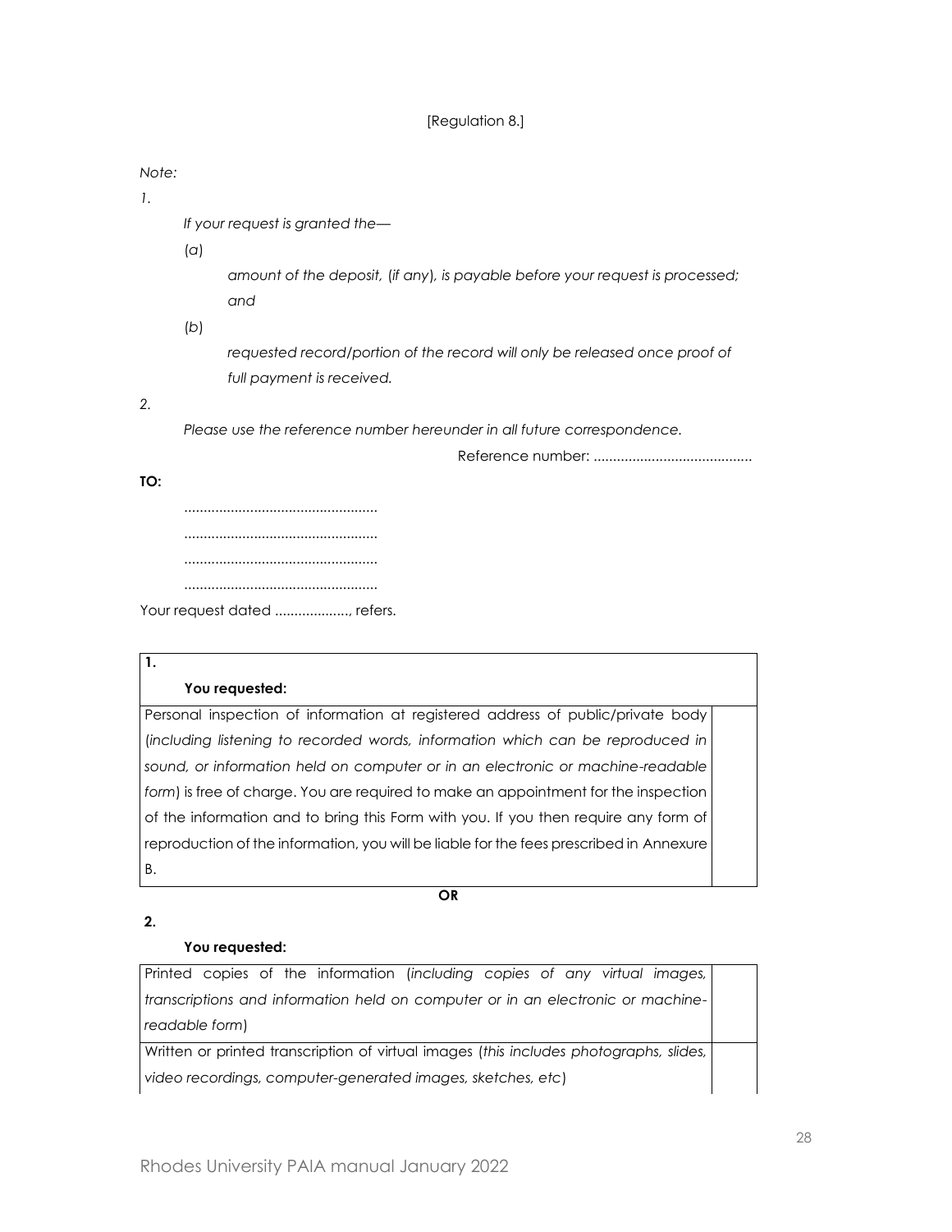### [Regulation 8.]

#### *Note:*

*1.*

*If your request is granted the—*

(*a*)

*amount of the deposit,* (*if any*)*, is payable before your request is processed; and*

(*b*)

*requested record/portion of the record will only be released once proof of full payment is received.*

*2.*

*Please use the reference number hereunder in all future correspondence.*

Reference number: .........................................

### **TO:**

**1.**

.................................................. .................................................. .................................................. .................................................. Your request dated ....................., refers.

# **You requested:**

Personal inspection of information at registered address of public/private body (*including listening to recorded words, information which can be reproduced in sound, or information held on computer or in an electronic or machine-readable form*) is free of charge. You are required to make an appointment for the inspection of the information and to bring this Form with you. If you then require any form of reproduction of the information, you will be liable for the fees prescribed in Annexure B.

**OR**

**2.**

# **You requested:**

Printed copies of the information (*including copies of any virtual images, transcriptions and information held on computer or in an electronic or machinereadable form*)

Written or printed transcription of virtual images (*this includes photographs, slides, video recordings, computer-generated images, sketches, etc*)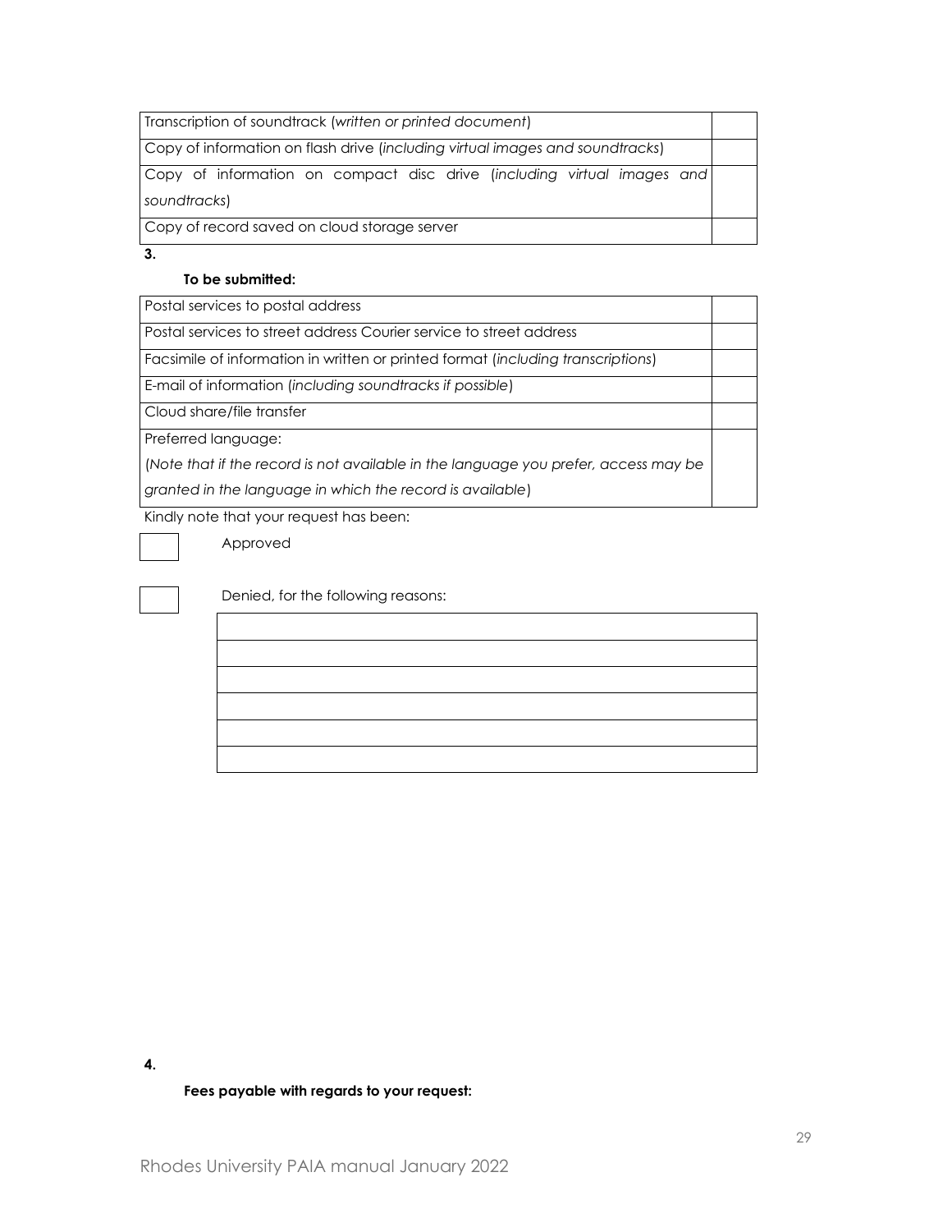| Transcription of soundtrack (written or printed document)                               |  |  |  |  |  |
|-----------------------------------------------------------------------------------------|--|--|--|--|--|
| Copy of information on flash drive (including virtual images and soundtracks)           |  |  |  |  |  |
| Copy of information on compact disc drive (including virtual images and<br>soundtracks) |  |  |  |  |  |
| Copy of record saved on cloud storage server                                            |  |  |  |  |  |

**3.**

#### **To be submitted:**

Postal services to postal address

Postal services to street address Courier service to street address

Facsimile of information in written or printed format (*including transcriptions*)

E-mail of information (*including soundtracks if possible*)

Cloud share/file transfer

Preferred language:

(*Note that if the record is not available in the language you prefer, access may be* 

*granted in the language in which the record is available*)

Kindly note that your request has been:

Approved

Denied, for the following reasons:

#### **4.**

#### **Fees payable with regards to your request:**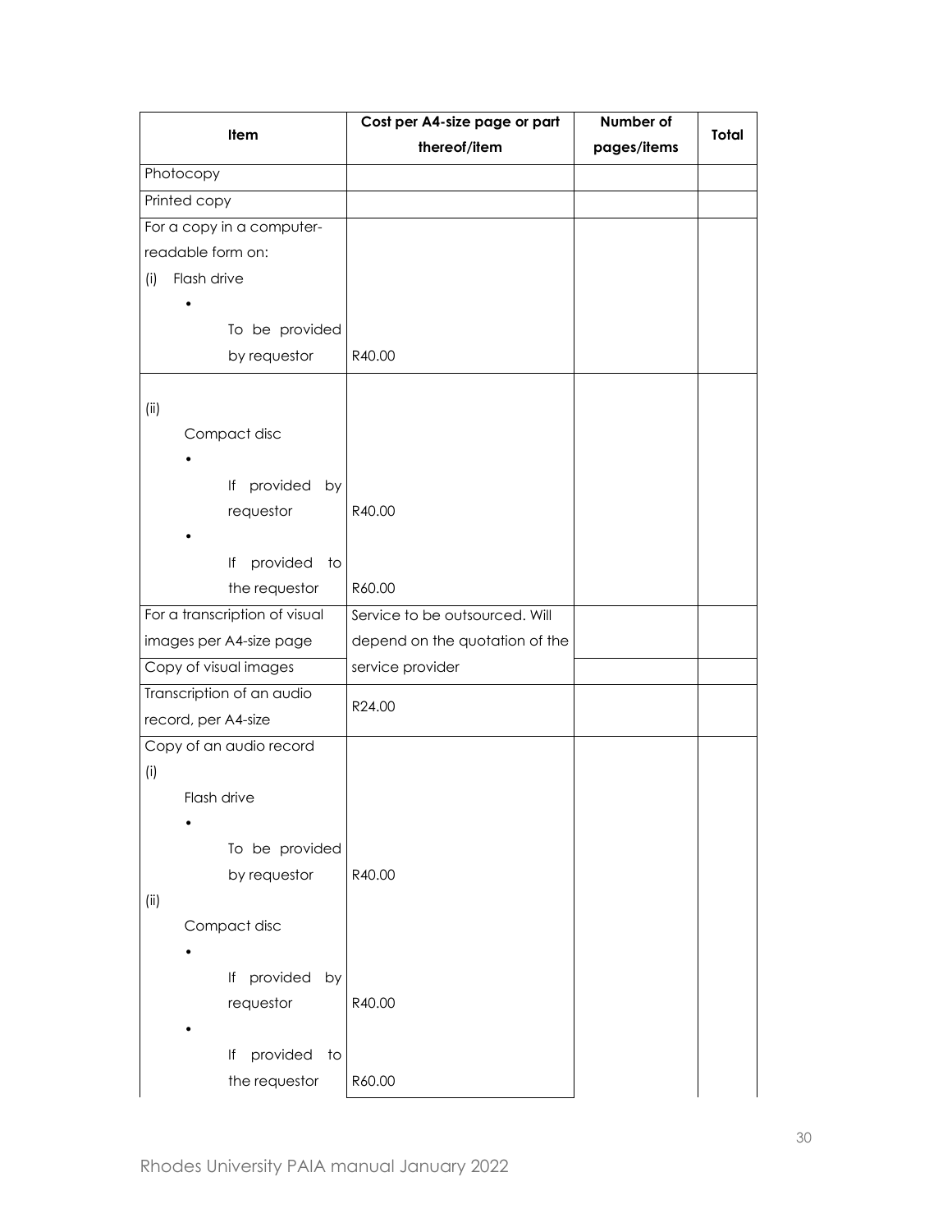| Item                          | Cost per A4-size page or part  | Number of   | <b>Total</b> |
|-------------------------------|--------------------------------|-------------|--------------|
|                               | thereof/item                   | pages/items |              |
| Photocopy                     |                                |             |              |
| Printed copy                  |                                |             |              |
| For a copy in a computer-     |                                |             |              |
| readable form on:             |                                |             |              |
| Flash drive<br>(i)            |                                |             |              |
|                               |                                |             |              |
| To be provided                |                                |             |              |
| by requestor                  | R40.00                         |             |              |
|                               |                                |             |              |
| (ii)                          |                                |             |              |
| Compact disc                  |                                |             |              |
|                               |                                |             |              |
| provided by<br>lf             |                                |             |              |
| requestor                     | R40.00                         |             |              |
|                               |                                |             |              |
| provided<br>lf<br>to          |                                |             |              |
| the requestor                 | R60.00                         |             |              |
| For a transcription of visual | Service to be outsourced. Will |             |              |
| images per A4-size page       | depend on the quotation of the |             |              |
| Copy of visual images         | service provider               |             |              |
| Transcription of an audio     |                                |             |              |
| record, per A4-size           | R24.00                         |             |              |
| Copy of an audio record       |                                |             |              |
|                               |                                |             |              |
| (i)<br>Flash drive            |                                |             |              |
|                               |                                |             |              |
|                               |                                |             |              |
| To be provided                |                                |             |              |
| by requestor                  | R40.00                         |             |              |
| (i)                           |                                |             |              |
| Compact disc                  |                                |             |              |
|                               |                                |             |              |
| If provided by                |                                |             |              |
| requestor                     | R40.00                         |             |              |
|                               |                                |             |              |
| provided<br>lf<br>to          |                                |             |              |
| the requestor                 | R60.00                         |             |              |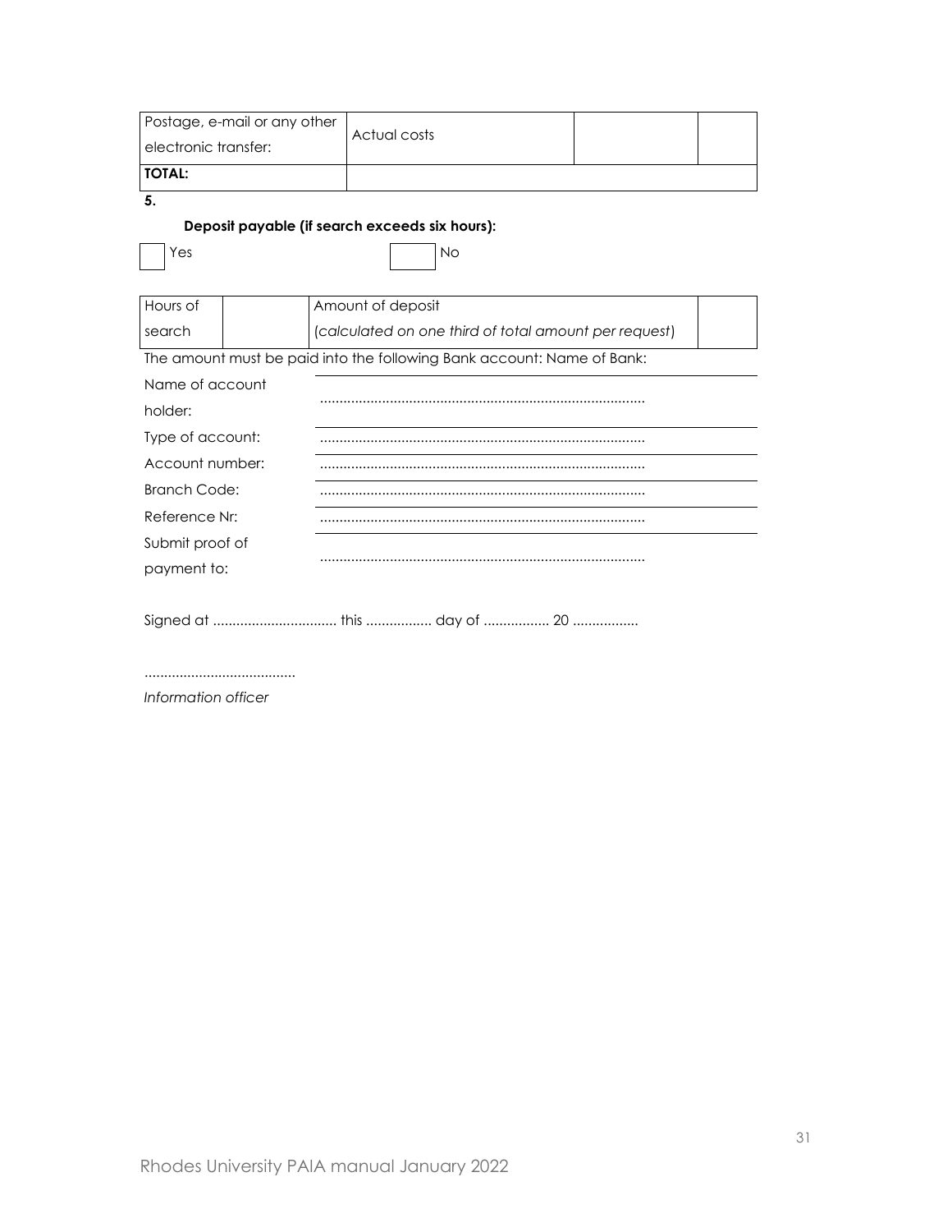|                      | Postage, e-mail or any other | Actual costs                                                           |  |  |
|----------------------|------------------------------|------------------------------------------------------------------------|--|--|
| electronic transfer: |                              |                                                                        |  |  |
| <b>TOTAL:</b>        |                              |                                                                        |  |  |
| 5.                   |                              |                                                                        |  |  |
|                      |                              | Deposit payable (if search exceeds six hours):                         |  |  |
| Yes                  |                              | <b>No</b>                                                              |  |  |
|                      |                              |                                                                        |  |  |
| Hours of             |                              | Amount of deposit                                                      |  |  |
| search               |                              | (calculated on one third of total amount per request)                  |  |  |
|                      |                              | The amount must be paid into the following Bank account: Name of Bank: |  |  |
| Name of account      |                              |                                                                        |  |  |
| holder:              |                              |                                                                        |  |  |
| Type of account:     |                              |                                                                        |  |  |
| Account number:      |                              |                                                                        |  |  |
| <b>Branch Code:</b>  |                              |                                                                        |  |  |
| Reference Nr:        |                              |                                                                        |  |  |
| Submit proof of      |                              |                                                                        |  |  |
| payment to:          |                              |                                                                        |  |  |
|                      |                              |                                                                        |  |  |
|                      |                              |                                                                        |  |  |

*Information officer*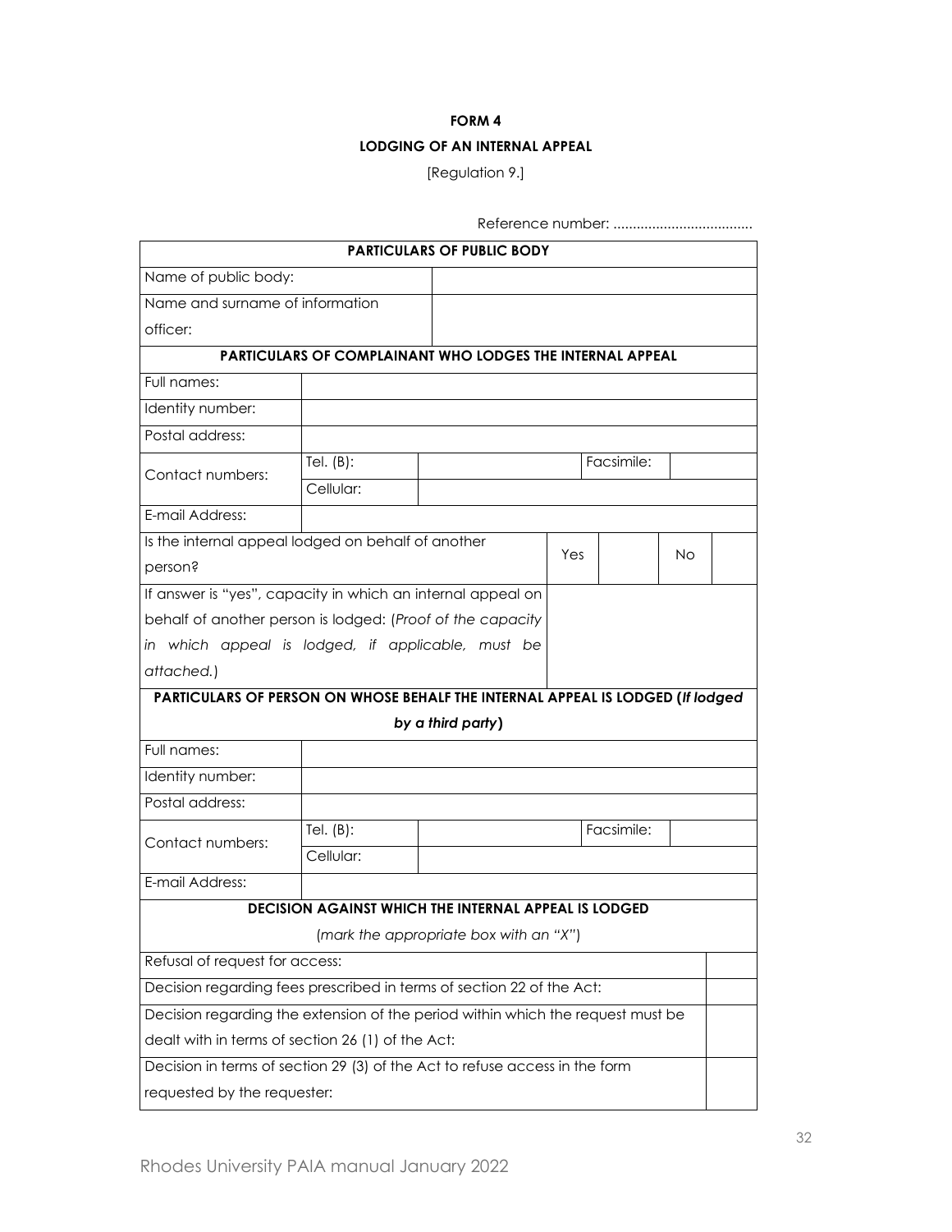#### **FORM 4**

### **LODGING OF AN INTERNAL APPEAL**

[Regulation 9.]

| Reference number:                                                               |              |                                                           |     |            |    |  |
|---------------------------------------------------------------------------------|--------------|-----------------------------------------------------------|-----|------------|----|--|
|                                                                                 |              | <b>PARTICULARS OF PUBLIC BODY</b>                         |     |            |    |  |
| Name of public body:                                                            |              |                                                           |     |            |    |  |
| Name and surname of information                                                 |              |                                                           |     |            |    |  |
| officer:                                                                        |              |                                                           |     |            |    |  |
|                                                                                 |              | PARTICULARS OF COMPLAINANT WHO LODGES THE INTERNAL APPEAL |     |            |    |  |
| Full names:                                                                     |              |                                                           |     |            |    |  |
| Identity number:                                                                |              |                                                           |     |            |    |  |
| Postal address:                                                                 |              |                                                           |     |            |    |  |
| Contact numbers:                                                                | Tel. $(B)$ : |                                                           |     | Facsimile: |    |  |
|                                                                                 | Cellular:    |                                                           |     |            |    |  |
| E-mail Address:                                                                 |              |                                                           |     |            |    |  |
| Is the internal appeal lodged on behalf of another                              |              |                                                           | Yes |            |    |  |
| person?                                                                         |              |                                                           |     |            | No |  |
| If answer is "yes", capacity in which an internal appeal on                     |              |                                                           |     |            |    |  |
| behalf of another person is lodged: (Proof of the capacity                      |              |                                                           |     |            |    |  |
| in which appeal is lodged, if applicable, must be                               |              |                                                           |     |            |    |  |
| attached.)                                                                      |              |                                                           |     |            |    |  |
| PARTICULARS OF PERSON ON WHOSE BEHALF THE INTERNAL APPEAL IS LODGED (If lodged  |              |                                                           |     |            |    |  |
| by a third party)                                                               |              |                                                           |     |            |    |  |
| Full names:                                                                     |              |                                                           |     |            |    |  |
| Identity number:                                                                |              |                                                           |     |            |    |  |
| Postal address:                                                                 |              |                                                           |     |            |    |  |
| Contact numbers:                                                                | Tel. $(B)$ : |                                                           |     | Facsimile: |    |  |
|                                                                                 | Cellular:    |                                                           |     |            |    |  |
| E-mail Address:                                                                 |              |                                                           |     |            |    |  |
|                                                                                 |              | DECISION AGAINST WHICH THE INTERNAL APPEAL IS LODGED      |     |            |    |  |
| (mark the appropriate box with an "X")                                          |              |                                                           |     |            |    |  |
| Refusal of request for access:                                                  |              |                                                           |     |            |    |  |
| Decision regarding fees prescribed in terms of section 22 of the Act:           |              |                                                           |     |            |    |  |
| Decision regarding the extension of the period within which the request must be |              |                                                           |     |            |    |  |
| dealt with in terms of section 26 (1) of the Act:                               |              |                                                           |     |            |    |  |
| Decision in terms of section 29 (3) of the Act to refuse access in the form     |              |                                                           |     |            |    |  |
| requested by the requester:                                                     |              |                                                           |     |            |    |  |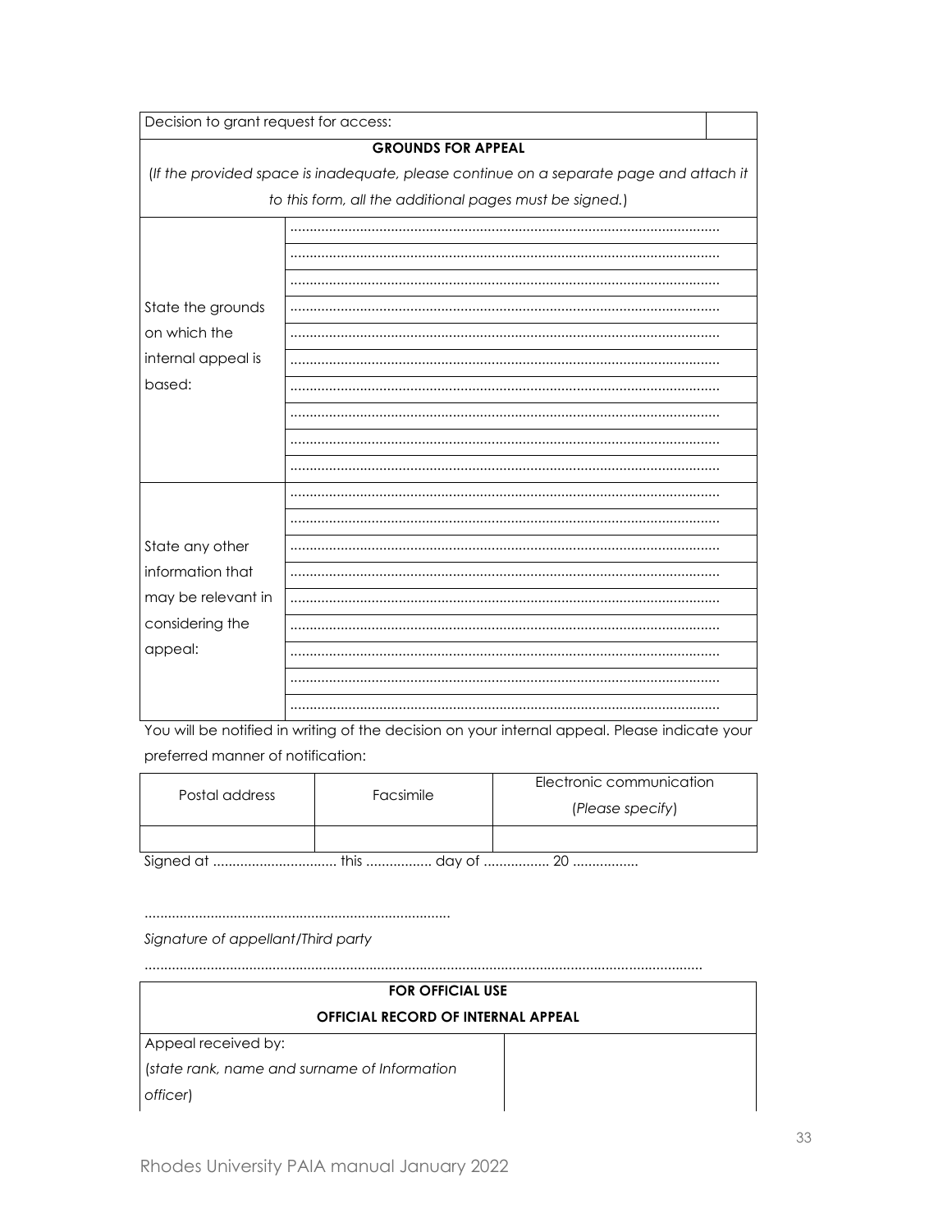| Decision to grant request for access: |                                                                                        |  |  |  |  |
|---------------------------------------|----------------------------------------------------------------------------------------|--|--|--|--|
|                                       | <b>GROUNDS FOR APPEAL</b>                                                              |  |  |  |  |
|                                       | (If the provided space is inadequate, please continue on a separate page and attach it |  |  |  |  |
|                                       | to this form, all the additional pages must be signed.)                                |  |  |  |  |
|                                       |                                                                                        |  |  |  |  |
|                                       |                                                                                        |  |  |  |  |
|                                       |                                                                                        |  |  |  |  |
| State the grounds                     |                                                                                        |  |  |  |  |
| on which the                          |                                                                                        |  |  |  |  |
| internal appeal is                    |                                                                                        |  |  |  |  |
| based:                                |                                                                                        |  |  |  |  |
|                                       |                                                                                        |  |  |  |  |
|                                       |                                                                                        |  |  |  |  |
|                                       |                                                                                        |  |  |  |  |
|                                       |                                                                                        |  |  |  |  |
|                                       |                                                                                        |  |  |  |  |
| State any other                       |                                                                                        |  |  |  |  |
| information that                      |                                                                                        |  |  |  |  |
| may be relevant in                    |                                                                                        |  |  |  |  |
| considering the                       |                                                                                        |  |  |  |  |
| appeal:                               |                                                                                        |  |  |  |  |
|                                       |                                                                                        |  |  |  |  |
|                                       |                                                                                        |  |  |  |  |

You will be notified in writing of the decision on your internal appeal. Please indicate your preferred manner of notification:

| Postal address | Facsimile | Electronic communication<br>(Please specify) |
|----------------|-----------|----------------------------------------------|
|                |           |                                              |

Signature of appellant/Third party

# **FOR OFFICIAL USE** OFFICIAL RECORD OF INTERNAL APPEAL Appeal received by: (state rank, name and surname of Information officer)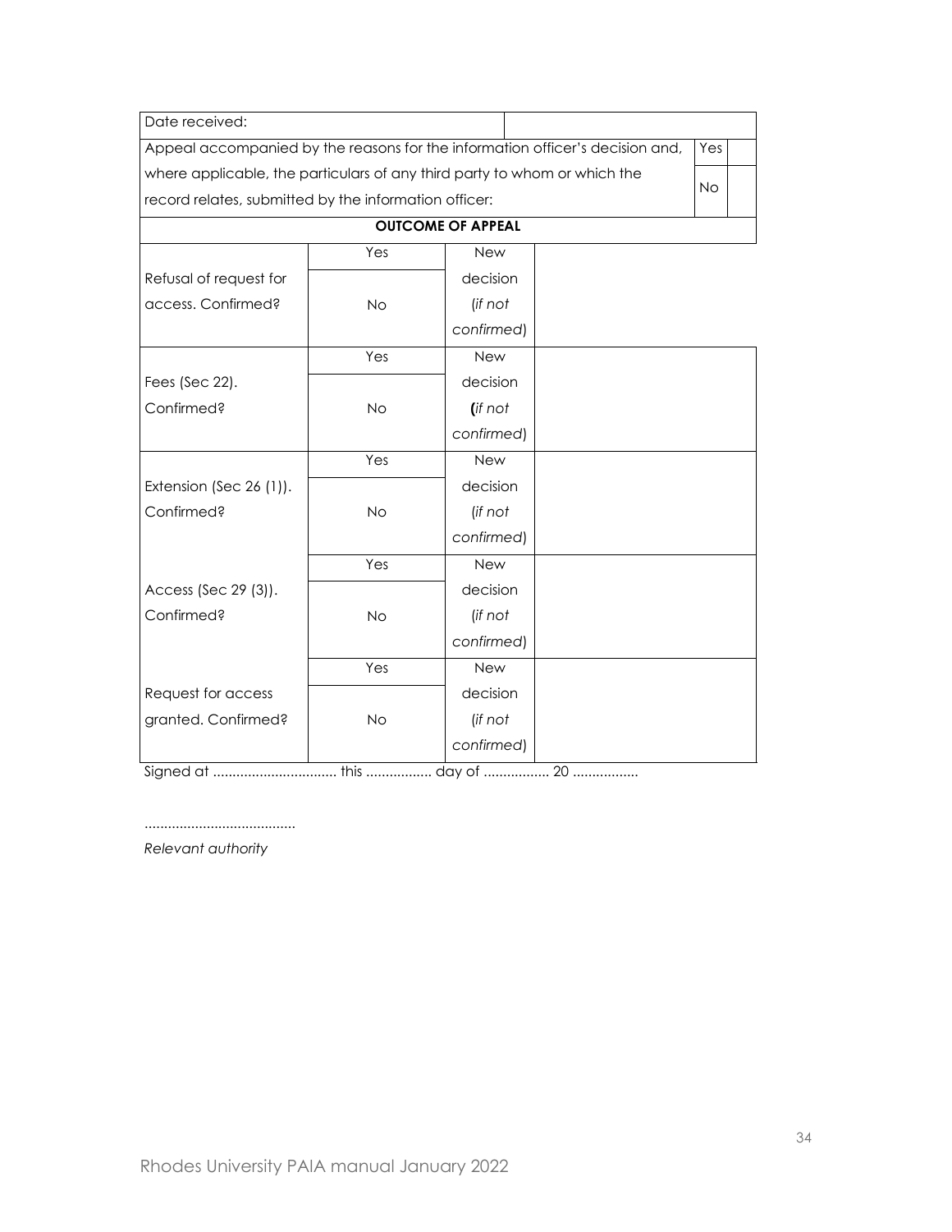| Date received:                                                                |           |                          |  |           |  |
|-------------------------------------------------------------------------------|-----------|--------------------------|--|-----------|--|
| Appeal accompanied by the reasons for the information officer's decision and, |           |                          |  | Yes       |  |
| where applicable, the particulars of any third party to whom or which the     |           |                          |  | <b>No</b> |  |
| record relates, submitted by the information officer:                         |           |                          |  |           |  |
|                                                                               |           | <b>OUTCOME OF APPEAL</b> |  |           |  |
|                                                                               | Yes       | <b>New</b>               |  |           |  |
| Refusal of request for                                                        |           | decision                 |  |           |  |
| access. Confirmed?                                                            | <b>No</b> | (if not                  |  |           |  |
|                                                                               |           | confirmed)               |  |           |  |
|                                                                               | Yes       | <b>New</b>               |  |           |  |
| Fees (Sec 22).                                                                |           | decision                 |  |           |  |
| Confirmed?                                                                    | <b>No</b> | (if not                  |  |           |  |
|                                                                               |           | confirmed)               |  |           |  |
|                                                                               | Yes       | New                      |  |           |  |
| Extension (Sec 26 (1)).                                                       |           | decision                 |  |           |  |
| Confirmed?                                                                    | <b>No</b> | (if not                  |  |           |  |
|                                                                               |           | confirmed)               |  |           |  |
|                                                                               | Yes       | New                      |  |           |  |
| Access (Sec 29 (3)).                                                          |           | decision                 |  |           |  |
| Confirmed?                                                                    | <b>No</b> | (if not                  |  |           |  |
|                                                                               |           | confirmed)               |  |           |  |
|                                                                               | Yes       | <b>New</b>               |  |           |  |
| Request for access                                                            |           | decision                 |  |           |  |
| granted. Confirmed?                                                           | <b>No</b> | (if not                  |  |           |  |
|                                                                               |           | confirmed)               |  |           |  |

Signed at ................................ this ................. day of ................. 20 .................

*Relevant authority*

.......................................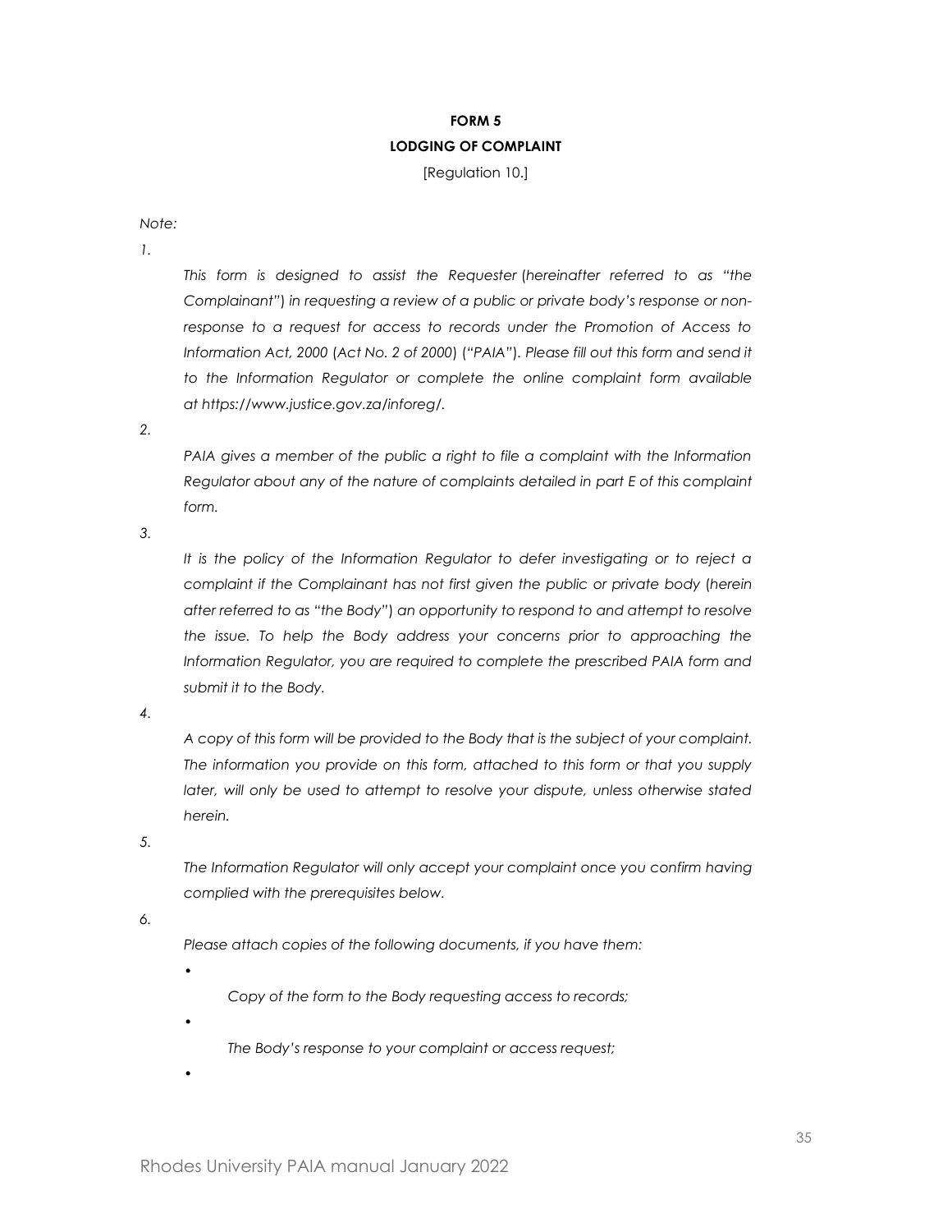# **FORM 5 LODGING OF COMPLAINT**

[Regulation 10.]

*Note:*

*1.*

*This form is designed to assist the Requester* (*hereinafter referred to as "the Complainant"*) *in requesting a review of a public or private body's response or nonresponse to a request for access to records under the Promotion of Access to Information Act, 2000* (*Act No. 2 of 2000*) (*"PAIA"*)*. Please fill out this form and send it*  to the Information Regulator or complete the online complaint form available *at https://www.justice.gov.za/inforeg/.*

*2.*

*PAIA gives a member of the public a right to file a complaint with the Information Regulator about any of the nature of complaints detailed in part E of this complaint form.*

*3.*

*It is the policy of the Information Regulator to defer investigating or to reject a complaint if the Complainant has not first given the public or private body* (*herein after referred to as "the Body"*) *an opportunity to respond to and attempt to resolve the issue. To help the Body address your concerns prior to approaching the Information Regulator, you are required to complete the prescribed PAIA form and submit it to the Body.*

*4.*

*A copy of this form will be provided to the Body that is the subject of your complaint. The information you provide on this form, attached to this form or that you supply later, will only be used to attempt to resolve your dispute, unless otherwise stated herein.*

*5.*

*The Information Regulator will only accept your complaint once you confirm having complied with the prerequisites below.*

*6.*

*Please attach copies of the following documents, if you have them:*

*Copy of the form to the Body requesting access to records;*

*•*

*•*

*The Body's response to your complaint or access request;*

*•*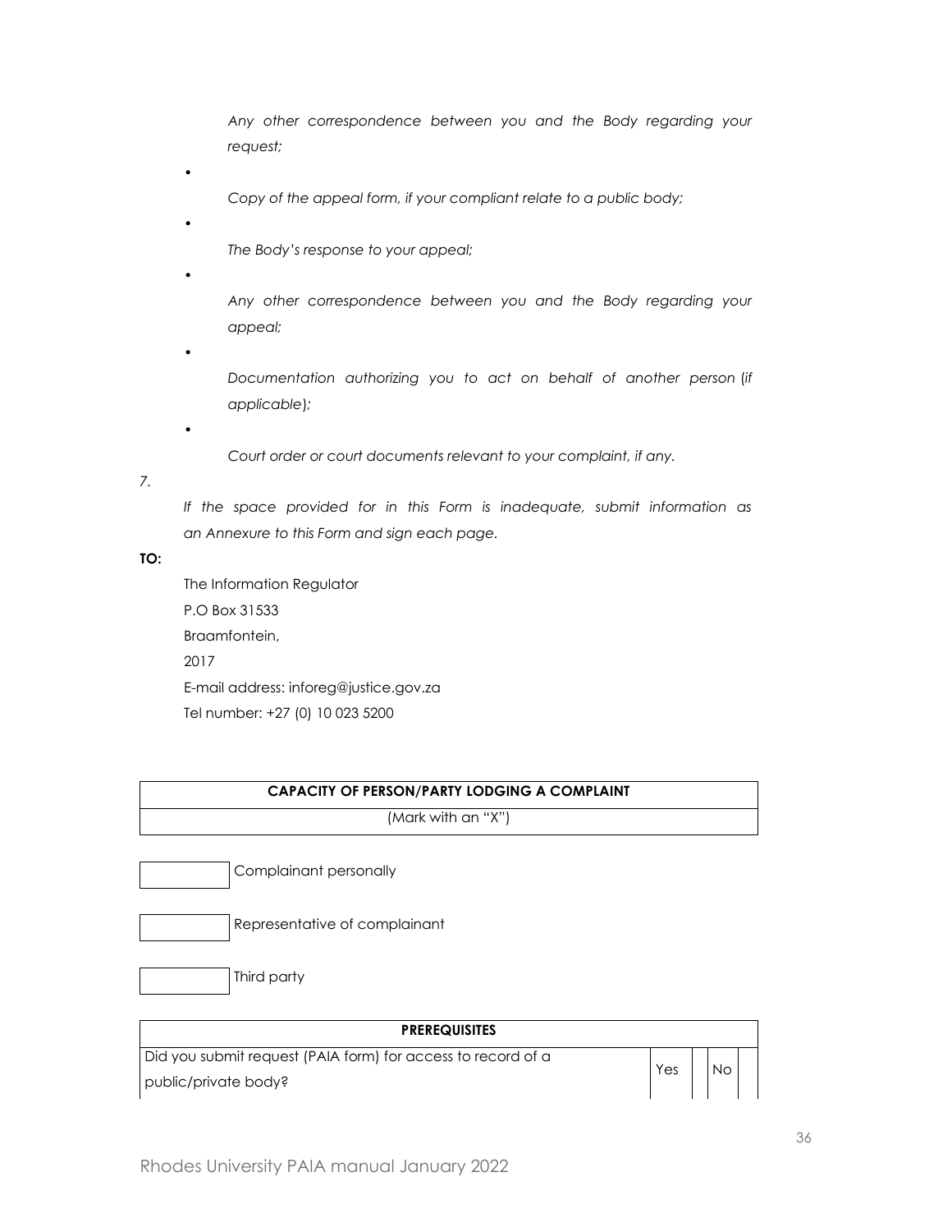*Any other correspondence between you and the Body regarding your request;*

*Copy of the appeal form, if your compliant relate to a public body;*

*The Body's response to your appeal;*

*•*

*•*

*•*

*Any other correspondence between you and the Body regarding your appeal;*

*•*

*•*

*Documentation authorizing you to act on behalf of another person* (*if applicable*)*;*

*Court order or court documents relevant to your complaint, if any.*

*7.*

*If the space provided for in this Form is inadequate, submit information as an Annexure to this Form and sign each page.*

**TO:**

The Information Regulator P.O Box 31533 Braamfontein, 2017 E-mail address: inforeg@justice.gov.za Tel number: +27 (0) 10 023 5200

# **CAPACITY OF PERSON/PARTY LODGING A COMPLAINT**

(Mark with an "X")

Complainant personally

Representative of complainant

Third party

| <b>PREREQUISITES</b>                                         |     |    |
|--------------------------------------------------------------|-----|----|
| Did you submit request (PAIA form) for access to record of a | Yes | Nс |
| public/private body?                                         |     |    |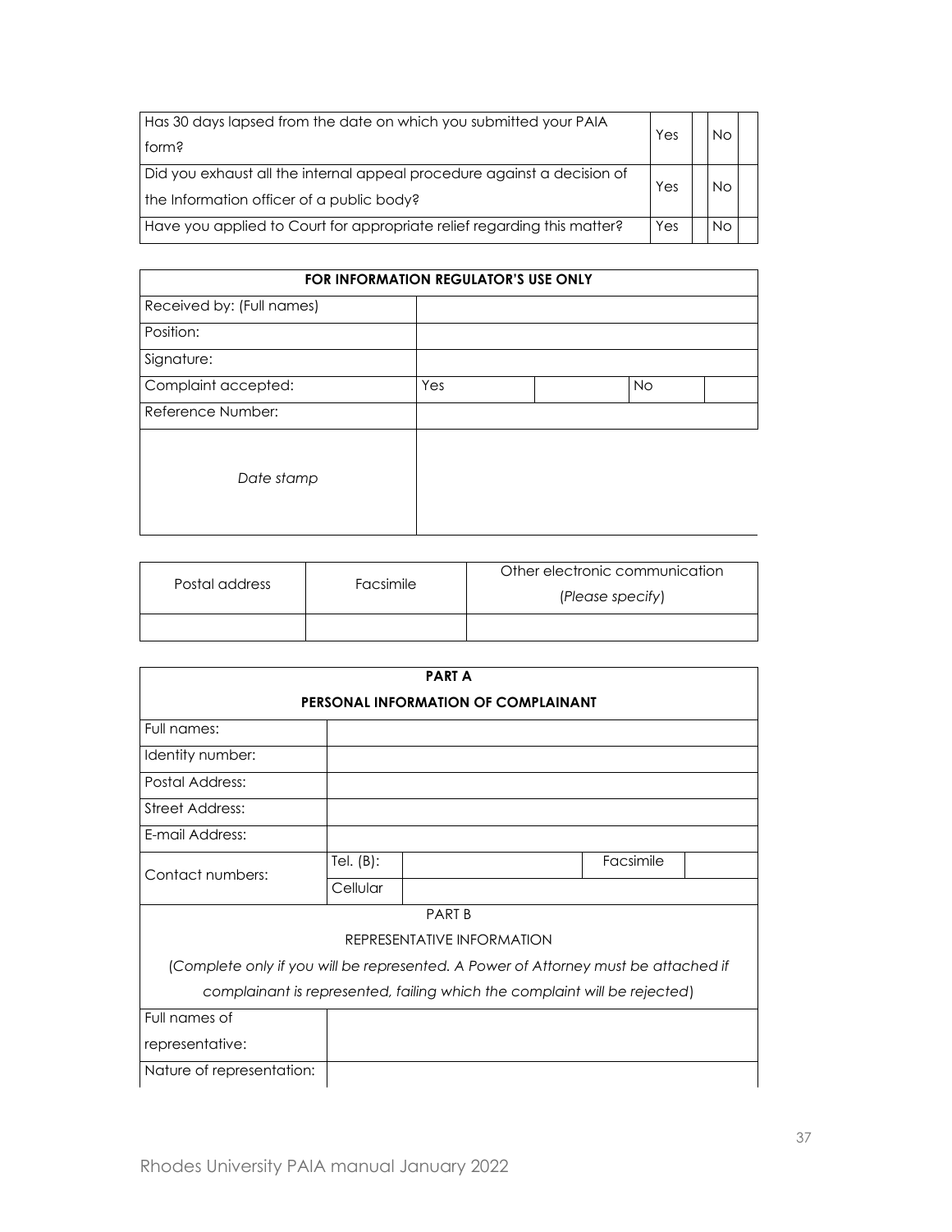| Has 30 days lapsed from the date on which you submitted your PAIA       | Yes | <b>No</b> |  |
|-------------------------------------------------------------------------|-----|-----------|--|
| form?                                                                   |     |           |  |
| Did you exhaust all the internal appeal procedure against a decision of | Yes | No        |  |
| the Information officer of a public body?                               |     |           |  |
| Have you applied to Court for appropriate relief regarding this matter? | Yes | <b>No</b> |  |

| <b>FOR INFORMATION REGULATOR'S USE ONLY</b> |     |  |           |  |
|---------------------------------------------|-----|--|-----------|--|
| Received by: (Full names)                   |     |  |           |  |
| Position:                                   |     |  |           |  |
| Signature:                                  |     |  |           |  |
| Complaint accepted:                         | Yes |  | <b>No</b> |  |
| Reference Number:                           |     |  |           |  |
| Date stamp                                  |     |  |           |  |

| Postal address | Facsimile | Other electronic communication<br>(Please specify) |
|----------------|-----------|----------------------------------------------------|
|                |           |                                                    |

|                           |              | <b>PARTA</b>                                                                       |           |  |
|---------------------------|--------------|------------------------------------------------------------------------------------|-----------|--|
|                           |              | PERSONAL INFORMATION OF COMPLAINANT                                                |           |  |
| Full names:               |              |                                                                                    |           |  |
| Identity number:          |              |                                                                                    |           |  |
| Postal Address:           |              |                                                                                    |           |  |
| Street Address:           |              |                                                                                    |           |  |
| E-mail Address:           |              |                                                                                    |           |  |
| Contact numbers:          | Tel. $(B)$ : |                                                                                    | Facsimile |  |
|                           | Cellular     |                                                                                    |           |  |
|                           |              | <b>PART B</b>                                                                      |           |  |
|                           |              | REPRESENTATIVE INFORMATION                                                         |           |  |
|                           |              | (Complete only if you will be represented. A Power of Attorney must be attached if |           |  |
|                           |              | complainant is represented, failing which the complaint will be rejected)          |           |  |
| Full names of             |              |                                                                                    |           |  |
| representative:           |              |                                                                                    |           |  |
| Nature of representation: |              |                                                                                    |           |  |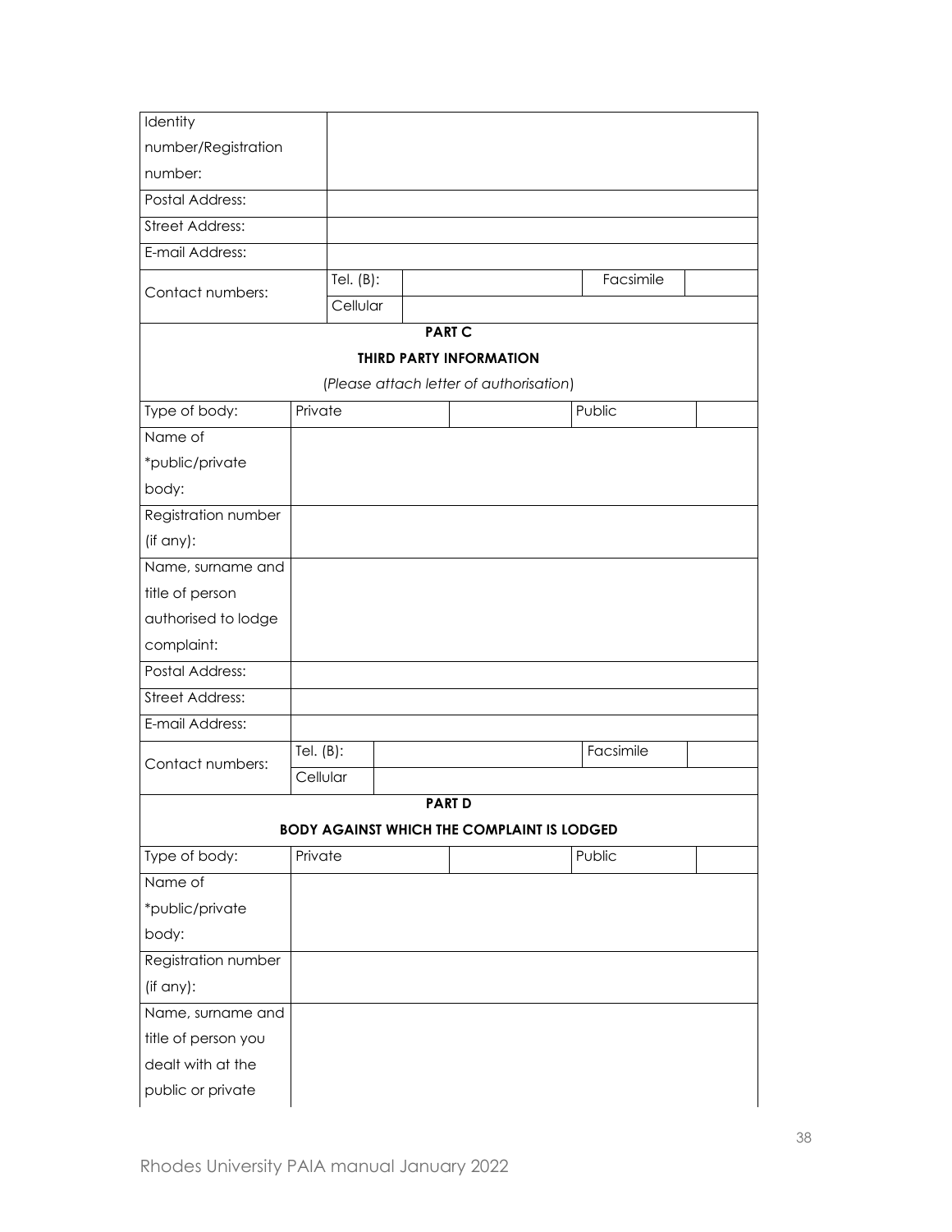| Identity                                                                    |              |                                                   |        |           |  |
|-----------------------------------------------------------------------------|--------------|---------------------------------------------------|--------|-----------|--|
| number/Registration                                                         |              |                                                   |        |           |  |
| number:                                                                     |              |                                                   |        |           |  |
| <b>Postal Address:</b>                                                      |              |                                                   |        |           |  |
| <b>Street Address:</b>                                                      |              |                                                   |        |           |  |
| E-mail Address:                                                             |              |                                                   |        |           |  |
|                                                                             | Tel. $(B)$ : |                                                   |        | Facsimile |  |
| Contact numbers:                                                            | Cellular     |                                                   |        |           |  |
|                                                                             |              | <b>PART C</b>                                     |        |           |  |
|                                                                             |              | <b>THIRD PARTY INFORMATION</b>                    |        |           |  |
|                                                                             |              | (Please attach letter of authorisation)           |        |           |  |
| Type of body:                                                               | Private      |                                                   | Public |           |  |
| Name of                                                                     |              |                                                   |        |           |  |
| *public/private                                                             |              |                                                   |        |           |  |
| body:                                                                       |              |                                                   |        |           |  |
| Registration number                                                         |              |                                                   |        |           |  |
| (if any):                                                                   |              |                                                   |        |           |  |
| Name, surname and                                                           |              |                                                   |        |           |  |
| title of person                                                             |              |                                                   |        |           |  |
| authorised to lodge                                                         |              |                                                   |        |           |  |
| complaint:                                                                  |              |                                                   |        |           |  |
| <b>Postal Address:</b>                                                      |              |                                                   |        |           |  |
|                                                                             |              |                                                   |        |           |  |
|                                                                             |              |                                                   |        |           |  |
|                                                                             |              |                                                   |        |           |  |
| <b>Street Address:</b><br>E-mail Address:                                   | Tel. $(B)$ : |                                                   |        | Facsimile |  |
| Contact numbers:                                                            | Cellular     |                                                   |        |           |  |
|                                                                             |              | <b>PART D</b>                                     |        |           |  |
|                                                                             |              | <b>BODY AGAINST WHICH THE COMPLAINT IS LODGED</b> |        |           |  |
|                                                                             | Private      |                                                   | Public |           |  |
|                                                                             |              |                                                   |        |           |  |
|                                                                             |              |                                                   |        |           |  |
|                                                                             |              |                                                   |        |           |  |
| Type of body:<br>Name of<br>*public/private<br>body:<br>Registration number |              |                                                   |        |           |  |
| (if any):                                                                   |              |                                                   |        |           |  |
| Name, surname and                                                           |              |                                                   |        |           |  |
| title of person you                                                         |              |                                                   |        |           |  |
| dealt with at the                                                           |              |                                                   |        |           |  |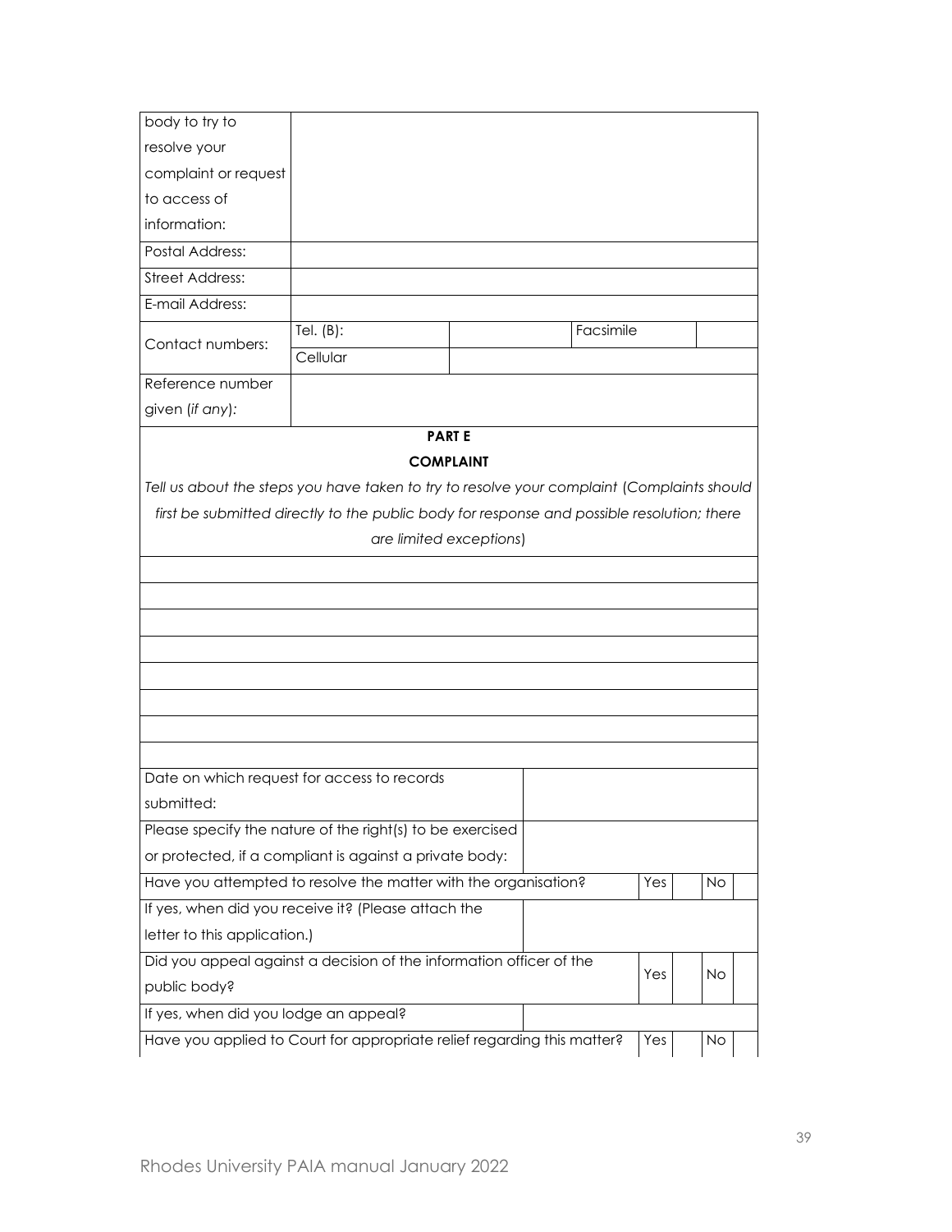| body to try to                        |                                                                                            |                         |           |           |
|---------------------------------------|--------------------------------------------------------------------------------------------|-------------------------|-----------|-----------|
| resolve your                          |                                                                                            |                         |           |           |
| complaint or request                  |                                                                                            |                         |           |           |
| to access of                          |                                                                                            |                         |           |           |
| information:                          |                                                                                            |                         |           |           |
| <b>Postal Address:</b>                |                                                                                            |                         |           |           |
| <b>Street Address:</b>                |                                                                                            |                         |           |           |
| E-mail Address:                       |                                                                                            |                         |           |           |
| Contact numbers:                      | Tel. $(B)$ :<br>Cellular                                                                   |                         | Facsimile |           |
| Reference number                      |                                                                                            |                         |           |           |
| given (if any):                       |                                                                                            |                         |           |           |
|                                       |                                                                                            | <b>PARTE</b>            |           |           |
|                                       |                                                                                            | <b>COMPLAINT</b>        |           |           |
|                                       | Tell us about the steps you have taken to try to resolve your complaint (Complaints should |                         |           |           |
|                                       |                                                                                            | are limited exceptions) |           |           |
|                                       |                                                                                            |                         |           |           |
|                                       | Date on which request for access to records                                                |                         |           |           |
| submitted:                            |                                                                                            |                         |           |           |
|                                       | Please specify the nature of the right(s) to be exercised                                  |                         |           |           |
|                                       | or protected, if a compliant is against a private body:                                    |                         |           |           |
|                                       | Have you attempted to resolve the matter with the organisation?                            |                         | Yes       | <b>No</b> |
|                                       | If yes, when did you receive it? (Please attach the                                        |                         |           |           |
| letter to this application.)          |                                                                                            |                         |           |           |
|                                       | Did you appeal against a decision of the information officer of the                        |                         |           |           |
| public body?                          |                                                                                            |                         | Yes       | No.       |
| If yes, when did you lodge an appeal? |                                                                                            |                         |           |           |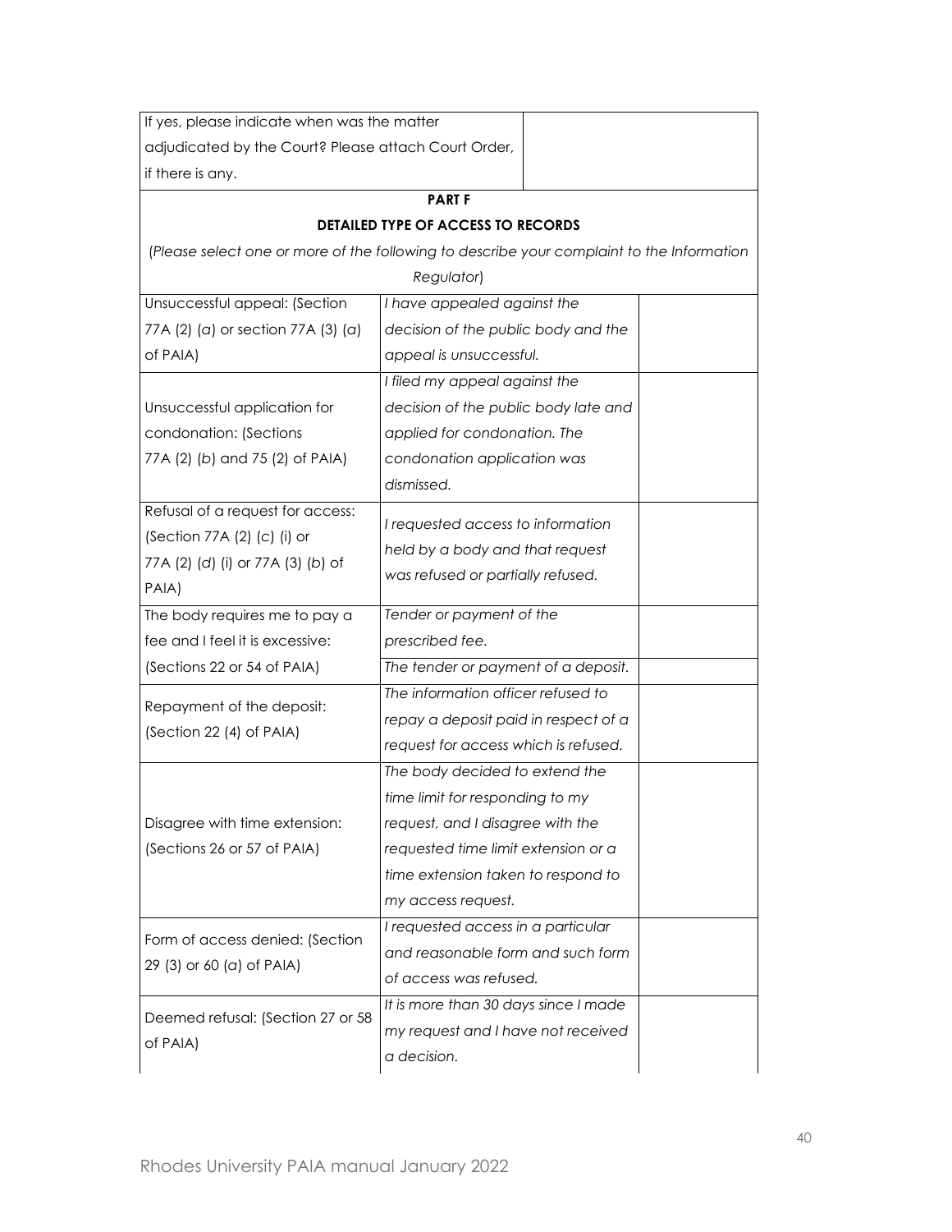| If yes, please indicate when was the matter          |                                                                                           |  |
|------------------------------------------------------|-------------------------------------------------------------------------------------------|--|
| adjudicated by the Court? Please attach Court Order, |                                                                                           |  |
| if there is any.                                     |                                                                                           |  |
|                                                      | <b>PART F</b>                                                                             |  |
|                                                      | <b>DETAILED TYPE OF ACCESS TO RECORDS</b>                                                 |  |
|                                                      | (Please select one or more of the following to describe your complaint to the Information |  |
|                                                      | Regulator)                                                                                |  |
| Unsuccessful appeal: (Section                        | I have appealed against the                                                               |  |
| 77A (2) (a) or section 77A (3) (a)                   | decision of the public body and the                                                       |  |
| of PAIA)                                             | appeal is unsuccessful.                                                                   |  |
|                                                      | I filed my appeal against the                                                             |  |
| Unsuccessful application for                         | decision of the public body late and                                                      |  |
| condonation: (Sections                               | applied for condonation. The                                                              |  |
| 77A (2) (b) and 75 (2) of PAIA)                      | condonation application was                                                               |  |
|                                                      | dismissed.                                                                                |  |
| Refusal of a request for access:                     | I requested access to information                                                         |  |
| (Section 77A (2) (c) (i) or                          | held by a body and that request                                                           |  |
| 77A (2) (d) (i) or 77A (3) (b) of                    | was refused or partially refused.                                                         |  |
| PAIA)                                                |                                                                                           |  |
| The body requires me to pay a                        | Tender or payment of the                                                                  |  |
| fee and I feel it is excessive:                      | prescribed fee.                                                                           |  |
| (Sections 22 or 54 of PAIA)                          | The tender or payment of a deposit.                                                       |  |
| Repayment of the deposit:                            | The information officer refused to                                                        |  |
| (Section 22 (4) of PAIA)                             | repay a deposit paid in respect of a                                                      |  |
|                                                      | request for access which is refused.                                                      |  |
|                                                      | The body decided to extend the                                                            |  |
|                                                      | time limit for responding to my                                                           |  |
| Disagree with time extension:                        | request, and I disagree with the                                                          |  |
| (Sections 26 or 57 of PAIA)                          | requested time limit extension or a                                                       |  |
|                                                      | time extension taken to respond to                                                        |  |
|                                                      | my access request.                                                                        |  |
| Form of access denied: (Section                      | I requested access in a particular                                                        |  |
| 29 (3) or 60 (a) of PAIA)                            | and reasonable form and such form                                                         |  |
|                                                      | of access was refused.                                                                    |  |
| Deemed refusal: (Section 27 or 58                    | It is more than 30 days since I made                                                      |  |
| of PAIA)                                             | my request and I have not received                                                        |  |
|                                                      | a decision.                                                                               |  |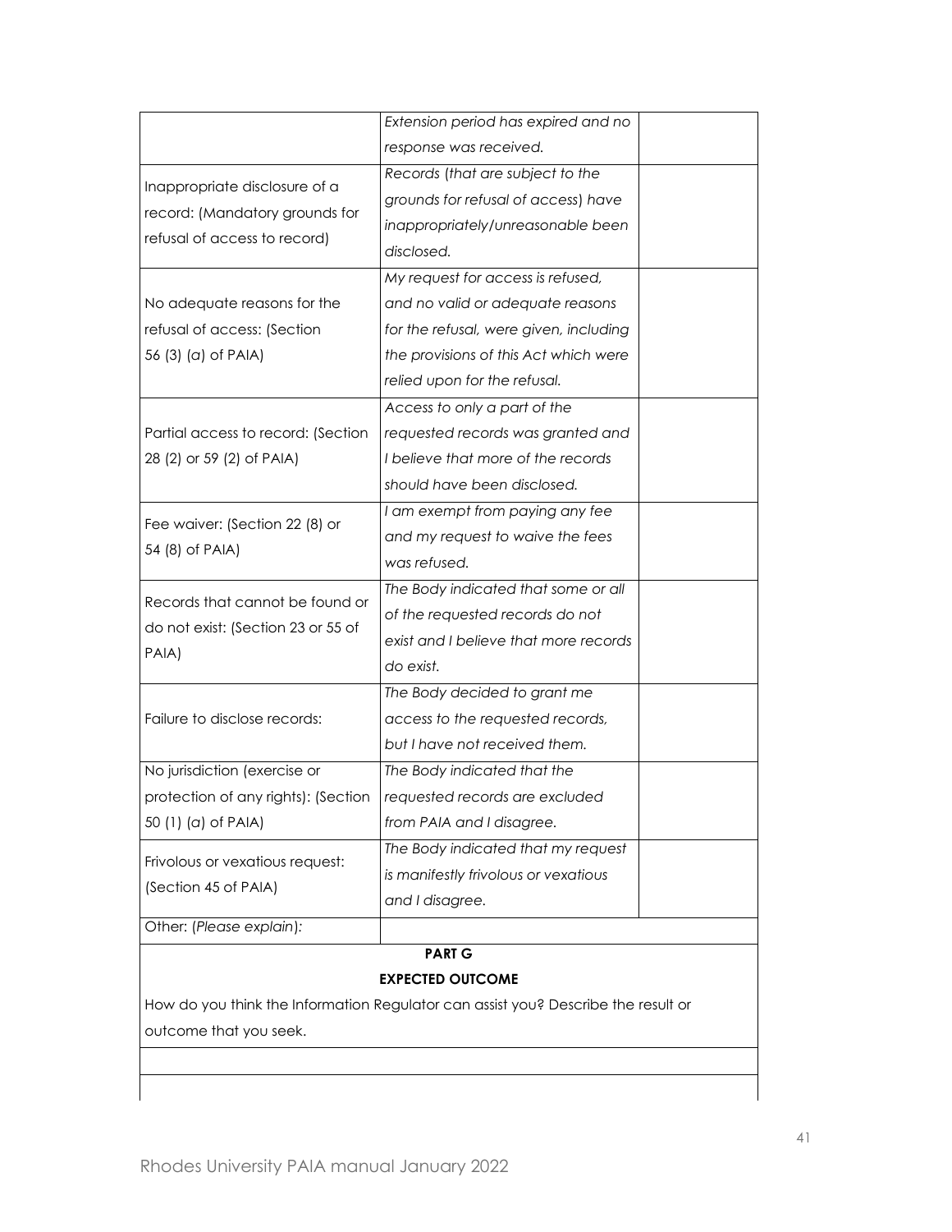| Extension period has expired and no<br>response was received.<br>Records (that are subject to the<br>Inappropriate disclosure of a<br>grounds for refusal of access) have<br>record: (Mandatory grounds for<br>inappropriately/unreasonable been<br>refusal of access to record)<br>disclosed.<br>My request for access is refused,<br>No adequate reasons for the<br>and no valid or adequate reasons<br>refusal of access: (Section<br>for the refusal, were given, including<br>the provisions of this Act which were<br>56 (3) (a) of PAIA)<br>relied upon for the refusal.<br>Access to only a part of the<br>Partial access to record: (Section<br>requested records was granted and<br>28 (2) or 59 (2) of PAIA)<br>I believe that more of the records<br>should have been disclosed.<br>I am exempt from paying any fee<br>Fee waiver: (Section 22 (8) or<br>and my request to waive the fees<br>54 (8) of PAIA)<br>was refused.<br>The Body indicated that some or all<br>Records that cannot be found or<br>of the requested records do not<br>do not exist: (Section 23 or 55 of<br>exist and I believe that more records<br>PAIA)<br>do exist.<br>The Body decided to grant me<br>Failure to disclose records:<br>access to the requested records,<br>but I have not received them.<br>No jurisdiction (exercise or<br>The Body indicated that the<br>protection of any rights): (Section<br>requested records are excluded<br>50 (1) (a) of PAIA)<br>from PAIA and I disagree.<br>The Body indicated that my request<br>Frivolous or vexatious request:<br>is manifestly frivolous or vexatious<br>(Section 45 of PAIA)<br>and I disagree.<br>Other: (Please explain):<br><b>PART G</b><br><b>EXPECTED OUTCOME</b><br>How do you think the Information Regulator can assist you? Describe the result or |                        |  |
|----------------------------------------------------------------------------------------------------------------------------------------------------------------------------------------------------------------------------------------------------------------------------------------------------------------------------------------------------------------------------------------------------------------------------------------------------------------------------------------------------------------------------------------------------------------------------------------------------------------------------------------------------------------------------------------------------------------------------------------------------------------------------------------------------------------------------------------------------------------------------------------------------------------------------------------------------------------------------------------------------------------------------------------------------------------------------------------------------------------------------------------------------------------------------------------------------------------------------------------------------------------------------------------------------------------------------------------------------------------------------------------------------------------------------------------------------------------------------------------------------------------------------------------------------------------------------------------------------------------------------------------------------------------------------------------------------------------------------------------------------------------------------------------------------------------------|------------------------|--|
|                                                                                                                                                                                                                                                                                                                                                                                                                                                                                                                                                                                                                                                                                                                                                                                                                                                                                                                                                                                                                                                                                                                                                                                                                                                                                                                                                                                                                                                                                                                                                                                                                                                                                                                                                                                                                      |                        |  |
|                                                                                                                                                                                                                                                                                                                                                                                                                                                                                                                                                                                                                                                                                                                                                                                                                                                                                                                                                                                                                                                                                                                                                                                                                                                                                                                                                                                                                                                                                                                                                                                                                                                                                                                                                                                                                      |                        |  |
|                                                                                                                                                                                                                                                                                                                                                                                                                                                                                                                                                                                                                                                                                                                                                                                                                                                                                                                                                                                                                                                                                                                                                                                                                                                                                                                                                                                                                                                                                                                                                                                                                                                                                                                                                                                                                      |                        |  |
|                                                                                                                                                                                                                                                                                                                                                                                                                                                                                                                                                                                                                                                                                                                                                                                                                                                                                                                                                                                                                                                                                                                                                                                                                                                                                                                                                                                                                                                                                                                                                                                                                                                                                                                                                                                                                      |                        |  |
|                                                                                                                                                                                                                                                                                                                                                                                                                                                                                                                                                                                                                                                                                                                                                                                                                                                                                                                                                                                                                                                                                                                                                                                                                                                                                                                                                                                                                                                                                                                                                                                                                                                                                                                                                                                                                      |                        |  |
|                                                                                                                                                                                                                                                                                                                                                                                                                                                                                                                                                                                                                                                                                                                                                                                                                                                                                                                                                                                                                                                                                                                                                                                                                                                                                                                                                                                                                                                                                                                                                                                                                                                                                                                                                                                                                      |                        |  |
|                                                                                                                                                                                                                                                                                                                                                                                                                                                                                                                                                                                                                                                                                                                                                                                                                                                                                                                                                                                                                                                                                                                                                                                                                                                                                                                                                                                                                                                                                                                                                                                                                                                                                                                                                                                                                      |                        |  |
|                                                                                                                                                                                                                                                                                                                                                                                                                                                                                                                                                                                                                                                                                                                                                                                                                                                                                                                                                                                                                                                                                                                                                                                                                                                                                                                                                                                                                                                                                                                                                                                                                                                                                                                                                                                                                      |                        |  |
|                                                                                                                                                                                                                                                                                                                                                                                                                                                                                                                                                                                                                                                                                                                                                                                                                                                                                                                                                                                                                                                                                                                                                                                                                                                                                                                                                                                                                                                                                                                                                                                                                                                                                                                                                                                                                      |                        |  |
|                                                                                                                                                                                                                                                                                                                                                                                                                                                                                                                                                                                                                                                                                                                                                                                                                                                                                                                                                                                                                                                                                                                                                                                                                                                                                                                                                                                                                                                                                                                                                                                                                                                                                                                                                                                                                      |                        |  |
|                                                                                                                                                                                                                                                                                                                                                                                                                                                                                                                                                                                                                                                                                                                                                                                                                                                                                                                                                                                                                                                                                                                                                                                                                                                                                                                                                                                                                                                                                                                                                                                                                                                                                                                                                                                                                      |                        |  |
|                                                                                                                                                                                                                                                                                                                                                                                                                                                                                                                                                                                                                                                                                                                                                                                                                                                                                                                                                                                                                                                                                                                                                                                                                                                                                                                                                                                                                                                                                                                                                                                                                                                                                                                                                                                                                      |                        |  |
|                                                                                                                                                                                                                                                                                                                                                                                                                                                                                                                                                                                                                                                                                                                                                                                                                                                                                                                                                                                                                                                                                                                                                                                                                                                                                                                                                                                                                                                                                                                                                                                                                                                                                                                                                                                                                      |                        |  |
|                                                                                                                                                                                                                                                                                                                                                                                                                                                                                                                                                                                                                                                                                                                                                                                                                                                                                                                                                                                                                                                                                                                                                                                                                                                                                                                                                                                                                                                                                                                                                                                                                                                                                                                                                                                                                      |                        |  |
|                                                                                                                                                                                                                                                                                                                                                                                                                                                                                                                                                                                                                                                                                                                                                                                                                                                                                                                                                                                                                                                                                                                                                                                                                                                                                                                                                                                                                                                                                                                                                                                                                                                                                                                                                                                                                      |                        |  |
|                                                                                                                                                                                                                                                                                                                                                                                                                                                                                                                                                                                                                                                                                                                                                                                                                                                                                                                                                                                                                                                                                                                                                                                                                                                                                                                                                                                                                                                                                                                                                                                                                                                                                                                                                                                                                      |                        |  |
|                                                                                                                                                                                                                                                                                                                                                                                                                                                                                                                                                                                                                                                                                                                                                                                                                                                                                                                                                                                                                                                                                                                                                                                                                                                                                                                                                                                                                                                                                                                                                                                                                                                                                                                                                                                                                      |                        |  |
|                                                                                                                                                                                                                                                                                                                                                                                                                                                                                                                                                                                                                                                                                                                                                                                                                                                                                                                                                                                                                                                                                                                                                                                                                                                                                                                                                                                                                                                                                                                                                                                                                                                                                                                                                                                                                      |                        |  |
|                                                                                                                                                                                                                                                                                                                                                                                                                                                                                                                                                                                                                                                                                                                                                                                                                                                                                                                                                                                                                                                                                                                                                                                                                                                                                                                                                                                                                                                                                                                                                                                                                                                                                                                                                                                                                      |                        |  |
|                                                                                                                                                                                                                                                                                                                                                                                                                                                                                                                                                                                                                                                                                                                                                                                                                                                                                                                                                                                                                                                                                                                                                                                                                                                                                                                                                                                                                                                                                                                                                                                                                                                                                                                                                                                                                      |                        |  |
|                                                                                                                                                                                                                                                                                                                                                                                                                                                                                                                                                                                                                                                                                                                                                                                                                                                                                                                                                                                                                                                                                                                                                                                                                                                                                                                                                                                                                                                                                                                                                                                                                                                                                                                                                                                                                      |                        |  |
|                                                                                                                                                                                                                                                                                                                                                                                                                                                                                                                                                                                                                                                                                                                                                                                                                                                                                                                                                                                                                                                                                                                                                                                                                                                                                                                                                                                                                                                                                                                                                                                                                                                                                                                                                                                                                      |                        |  |
|                                                                                                                                                                                                                                                                                                                                                                                                                                                                                                                                                                                                                                                                                                                                                                                                                                                                                                                                                                                                                                                                                                                                                                                                                                                                                                                                                                                                                                                                                                                                                                                                                                                                                                                                                                                                                      |                        |  |
|                                                                                                                                                                                                                                                                                                                                                                                                                                                                                                                                                                                                                                                                                                                                                                                                                                                                                                                                                                                                                                                                                                                                                                                                                                                                                                                                                                                                                                                                                                                                                                                                                                                                                                                                                                                                                      |                        |  |
|                                                                                                                                                                                                                                                                                                                                                                                                                                                                                                                                                                                                                                                                                                                                                                                                                                                                                                                                                                                                                                                                                                                                                                                                                                                                                                                                                                                                                                                                                                                                                                                                                                                                                                                                                                                                                      |                        |  |
|                                                                                                                                                                                                                                                                                                                                                                                                                                                                                                                                                                                                                                                                                                                                                                                                                                                                                                                                                                                                                                                                                                                                                                                                                                                                                                                                                                                                                                                                                                                                                                                                                                                                                                                                                                                                                      |                        |  |
|                                                                                                                                                                                                                                                                                                                                                                                                                                                                                                                                                                                                                                                                                                                                                                                                                                                                                                                                                                                                                                                                                                                                                                                                                                                                                                                                                                                                                                                                                                                                                                                                                                                                                                                                                                                                                      |                        |  |
|                                                                                                                                                                                                                                                                                                                                                                                                                                                                                                                                                                                                                                                                                                                                                                                                                                                                                                                                                                                                                                                                                                                                                                                                                                                                                                                                                                                                                                                                                                                                                                                                                                                                                                                                                                                                                      |                        |  |
|                                                                                                                                                                                                                                                                                                                                                                                                                                                                                                                                                                                                                                                                                                                                                                                                                                                                                                                                                                                                                                                                                                                                                                                                                                                                                                                                                                                                                                                                                                                                                                                                                                                                                                                                                                                                                      |                        |  |
|                                                                                                                                                                                                                                                                                                                                                                                                                                                                                                                                                                                                                                                                                                                                                                                                                                                                                                                                                                                                                                                                                                                                                                                                                                                                                                                                                                                                                                                                                                                                                                                                                                                                                                                                                                                                                      |                        |  |
|                                                                                                                                                                                                                                                                                                                                                                                                                                                                                                                                                                                                                                                                                                                                                                                                                                                                                                                                                                                                                                                                                                                                                                                                                                                                                                                                                                                                                                                                                                                                                                                                                                                                                                                                                                                                                      |                        |  |
|                                                                                                                                                                                                                                                                                                                                                                                                                                                                                                                                                                                                                                                                                                                                                                                                                                                                                                                                                                                                                                                                                                                                                                                                                                                                                                                                                                                                                                                                                                                                                                                                                                                                                                                                                                                                                      |                        |  |
|                                                                                                                                                                                                                                                                                                                                                                                                                                                                                                                                                                                                                                                                                                                                                                                                                                                                                                                                                                                                                                                                                                                                                                                                                                                                                                                                                                                                                                                                                                                                                                                                                                                                                                                                                                                                                      |                        |  |
|                                                                                                                                                                                                                                                                                                                                                                                                                                                                                                                                                                                                                                                                                                                                                                                                                                                                                                                                                                                                                                                                                                                                                                                                                                                                                                                                                                                                                                                                                                                                                                                                                                                                                                                                                                                                                      |                        |  |
|                                                                                                                                                                                                                                                                                                                                                                                                                                                                                                                                                                                                                                                                                                                                                                                                                                                                                                                                                                                                                                                                                                                                                                                                                                                                                                                                                                                                                                                                                                                                                                                                                                                                                                                                                                                                                      |                        |  |
|                                                                                                                                                                                                                                                                                                                                                                                                                                                                                                                                                                                                                                                                                                                                                                                                                                                                                                                                                                                                                                                                                                                                                                                                                                                                                                                                                                                                                                                                                                                                                                                                                                                                                                                                                                                                                      | outcome that you seek. |  |
|                                                                                                                                                                                                                                                                                                                                                                                                                                                                                                                                                                                                                                                                                                                                                                                                                                                                                                                                                                                                                                                                                                                                                                                                                                                                                                                                                                                                                                                                                                                                                                                                                                                                                                                                                                                                                      |                        |  |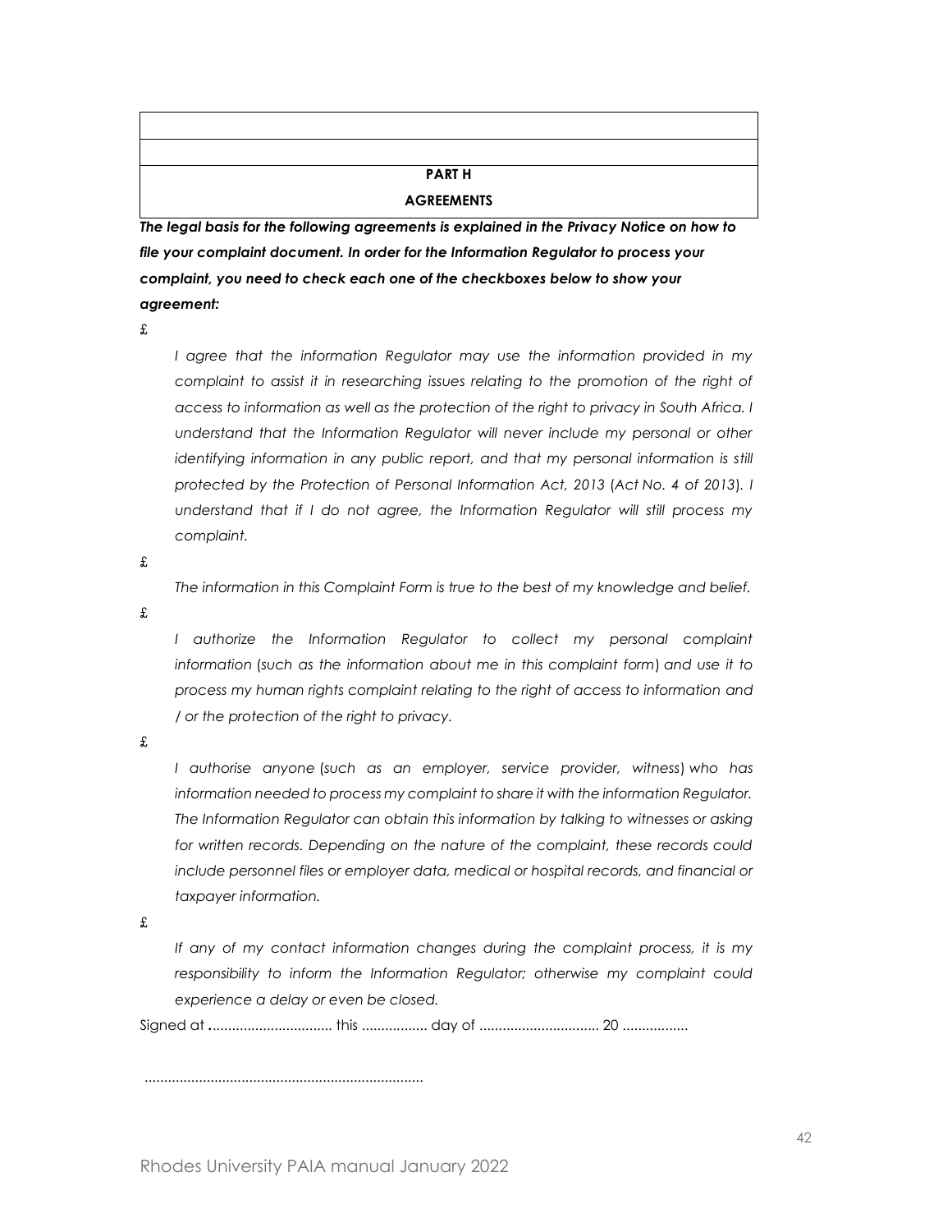# **PART H**

#### **AGREEMENTS**

*The legal basis for the following agreements is explained in the Privacy Notice on how to file your complaint document. In order for the Information Regulator to process your complaint, you need to check each one of the checkboxes below to show your agreement:*

£

*I agree that the information Regulator may use the information provided in my complaint to assist it in researching issues relating to the promotion of the right of access to information as well as the protection of the right to privacy in South Africa. I understand that the Information Regulator will never include my personal or other identifying information in any public report, and that my personal information is still protected by the Protection of Personal Information Act, 2013* (*Act No. 4 of 2013*)*. I understand that if I do not agree, the Information Regulator will still process my complaint.*

£

*The information in this Complaint Form is true to the best of my knowledge and belief.*

£

*I* authorize the Information Regulator to collect my personal complaint *information* (*such as the information about me in this complaint form*) *and use it to process my human rights complaint relating to the right of access to information and / or the protection of the right to privacy.*

£

*I authorise anyone* (*such as an employer, service provider, witness*) *who has information needed to process my complaint to share it with the information Regulator. The Information Regulator can obtain this information by talking to witnesses or asking for written records. Depending on the nature of the complaint, these records could include personnel files or employer data, medical or hospital records, and financial or taxpayer information.*

£

*If any of my contact information changes during the complaint process, it is my responsibility to inform the Information Regulator; otherwise my complaint could experience a delay or even be closed.*

Signed at *.*............................... this ................. day of ............................... 20 .................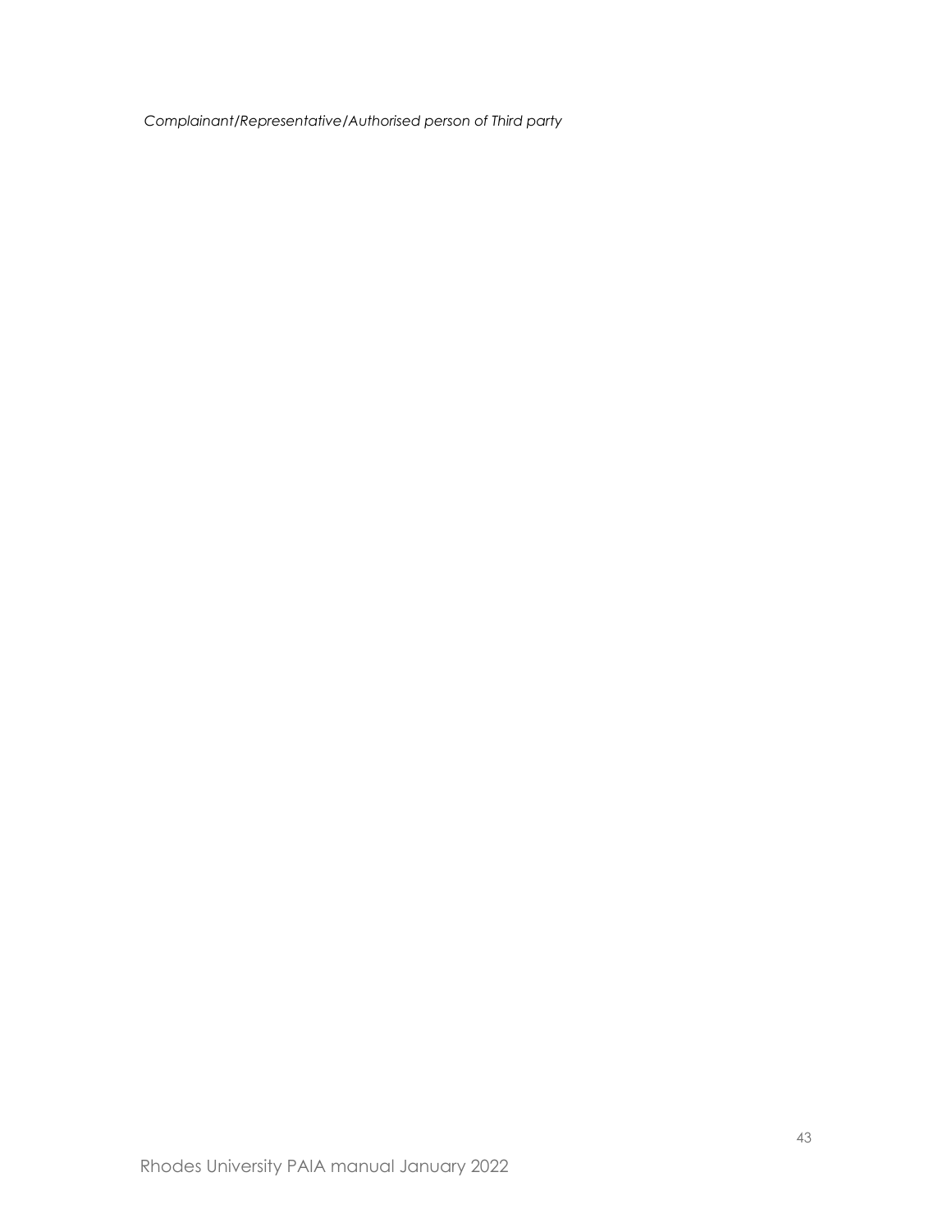*Complainant/Representative/Authorised person of Third party*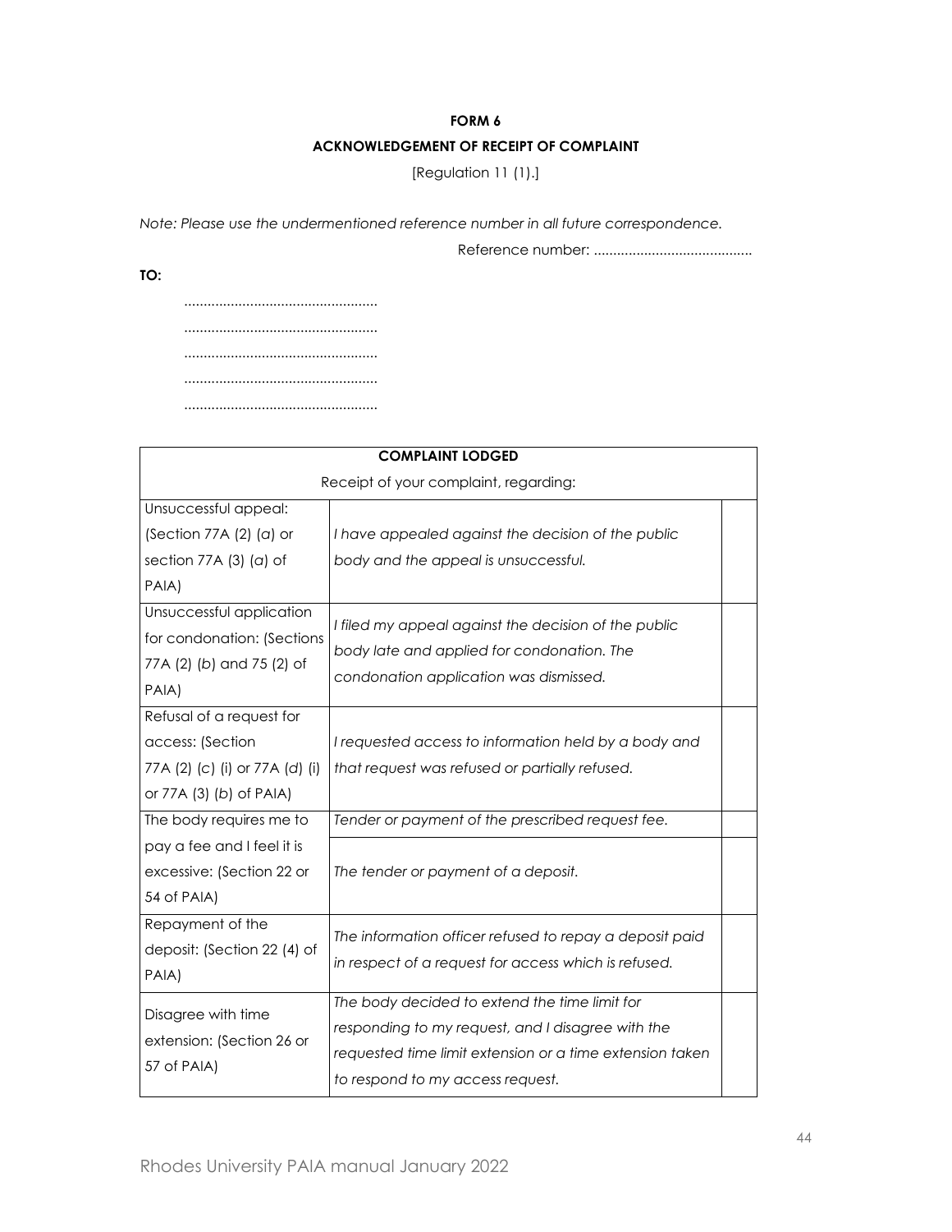#### **FORM 6**

# **ACKNOWLEDGEMENT OF RECEIPT OF COMPLAINT**

[Regulation 11 (1).]

*Note: Please use the undermentioned reference number in all future correspondence.*

Reference number: .........................................

**TO:**

.................................................. .................................................. .................................................. .................................................. ..................................................

| <b>COMPLAINT LODGED</b>                                                                                   |                                                                                                                                                                                                    |  |  |  |
|-----------------------------------------------------------------------------------------------------------|----------------------------------------------------------------------------------------------------------------------------------------------------------------------------------------------------|--|--|--|
| Receipt of your complaint, regarding:                                                                     |                                                                                                                                                                                                    |  |  |  |
| Unsuccessful appeal:                                                                                      |                                                                                                                                                                                                    |  |  |  |
| (Section 77A $(2)$ $(a)$ or                                                                               | I have appealed against the decision of the public                                                                                                                                                 |  |  |  |
| section 77A $(3)$ $(a)$ of                                                                                | body and the appeal is unsuccessful.                                                                                                                                                               |  |  |  |
| PAIA)                                                                                                     |                                                                                                                                                                                                    |  |  |  |
| Unsuccessful application<br>for condonation: (Sections<br>77A (2) (b) and 75 (2) of<br>PAIA)              | I filed my appeal against the decision of the public<br>body late and applied for condonation. The<br>condonation application was dismissed.                                                       |  |  |  |
| Refusal of a request for<br>access: (Section<br>77A (2) (c) (i) or 77A (d) (i)<br>or 77A (3) (b) of PAIA) | I requested access to information held by a body and<br>that request was refused or partially refused.                                                                                             |  |  |  |
| The body requires me to                                                                                   | Tender or payment of the prescribed request fee.                                                                                                                                                   |  |  |  |
| pay a fee and I feel it is<br>excessive: (Section 22 or<br>54 of PAIA)                                    | The tender or payment of a deposit.                                                                                                                                                                |  |  |  |
| Repayment of the<br>deposit: (Section 22 (4) of<br>PAIA)                                                  | The information officer refused to repay a deposit paid<br>in respect of a request for access which is refused.                                                                                    |  |  |  |
| Disagree with time<br>extension: (Section 26 or<br>57 of PAIA)                                            | The body decided to extend the time limit for<br>responding to my request, and I disagree with the<br>requested time limit extension or a time extension taken<br>to respond to my access request. |  |  |  |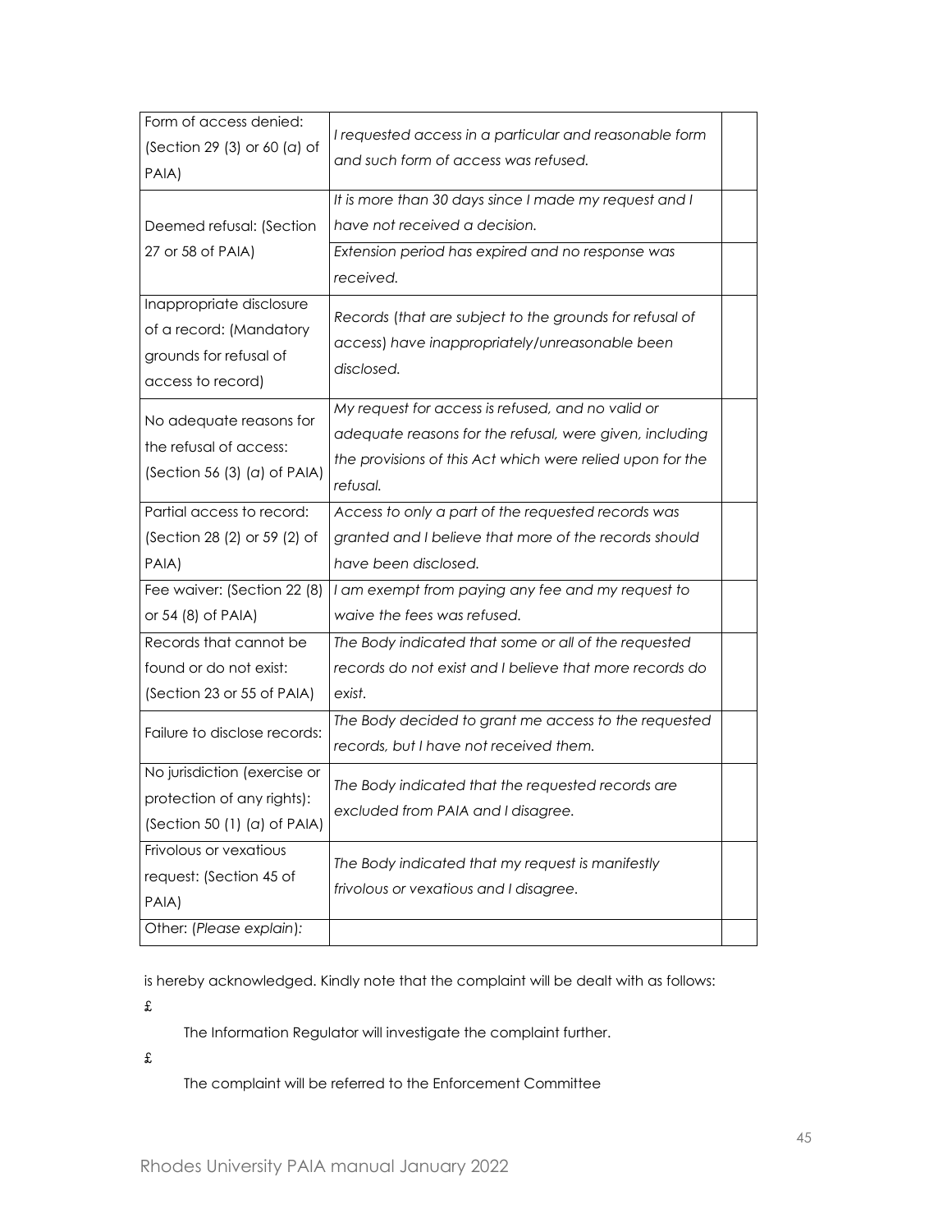| Form of access denied:       | I requested access in a particular and reasonable form    |  |
|------------------------------|-----------------------------------------------------------|--|
| (Section 29 (3) or 60 (a) of | and such form of access was refused.                      |  |
| PAIA)                        |                                                           |  |
|                              | It is more than 30 days since I made my request and I     |  |
| Deemed refusal: (Section     | have not received a decision.                             |  |
| 27 or 58 of PAIA)            | Extension period has expired and no response was          |  |
|                              | received.                                                 |  |
| Inappropriate disclosure     | Records (that are subject to the grounds for refusal of   |  |
| of a record: (Mandatory      |                                                           |  |
| grounds for refusal of       | access) have inappropriately/unreasonable been            |  |
| access to record)            | disclosed.                                                |  |
|                              | My request for access is refused, and no valid or         |  |
| No adequate reasons for      | adequate reasons for the refusal, were given, including   |  |
| the refusal of access:       | the provisions of this Act which were relied upon for the |  |
| (Section 56 (3) (a) of PAIA) | refusal.                                                  |  |
| Partial access to record:    | Access to only a part of the requested records was        |  |
| (Section 28 (2) or 59 (2) of | granted and I believe that more of the records should     |  |
| PAIA)                        | have been disclosed.                                      |  |
| Fee waiver: (Section 22 (8)  | I am exempt from paying any fee and my request to         |  |
| or 54 (8) of PAIA)           | waive the fees was refused.                               |  |
| Records that cannot be       | The Body indicated that some or all of the requested      |  |
| found or do not exist:       | records do not exist and I believe that more records do   |  |
| (Section 23 or 55 of PAIA)   | exist.                                                    |  |
|                              | The Body decided to grant me access to the requested      |  |
| Failure to disclose records: | records, but I have not received them.                    |  |
| No jurisdiction (exercise or |                                                           |  |
| protection of any rights):   | The Body indicated that the requested records are         |  |
| (Section 50 (1) (a) of PAIA) | excluded from PAIA and I disagree.                        |  |
| Frivolous or vexatious       |                                                           |  |
| request: (Section 45 of      | The Body indicated that my request is manifestly          |  |
| PAIA)                        | frivolous or vexatious and I disagree.                    |  |
| Other: (Please explain):     |                                                           |  |
|                              |                                                           |  |

is hereby acknowledged. Kindly note that the complaint will be dealt with as follows:

£

The Information Regulator will investigate the complaint further.

£

The complaint will be referred to the Enforcement Committee